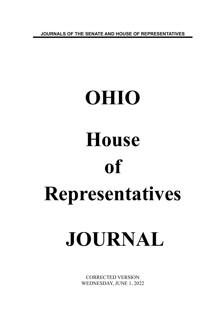**JOURNALS OF THE SENATE AND HOUSE OF REPRESENTATIVES**

# **OHIO House of Representatives**

## **JOURNAL**

CORRECTED VERSION WEDNESDAY, JUNE 1, 2022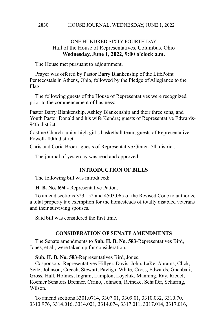#### HOUSE JOURNAL, WEDNESDAY, JUNE 1, 2022 2830

### ONE HUNDRED SIXTY-FOURTH DAY Hall of the House of Representatives, Columbus, Ohio **Wednesday, June 1, 2022, 9:00 o'clock a.m.**

The House met pursuant to adjournment.

Prayer was offered by Pastor Barry Blankenship of the LifePoint Pentecostals in Athens, Ohio, followed by the Pledge of Allegiance to the Flag.

The following guests of the House of Representatives were recognized prior to the commencement of business:

Pastor Barry Blankenship, Ashley Blankenship and their three sons, and Youth Pastor Donald and his wife Kendra; guests of Representative Edwards-94th district.

Castine Church junior high girl's basketball team; guests of Representative Powell- 80th district.

Chris and Coria Brock, guests of Representative Ginter- 5th district.

The journal of yesterday was read and approved.

#### **INTRODUCTION OF BILLS**

The following bill was introduced:

**H. B. No. 694 -** Representative Patton.

To amend sections 323.152 and 4503.065 of the Revised Code to authorize a total property tax exemption for the homesteads of totally disabled veterans and their surviving spouses.

Said bill was considered the first time.

#### **CONSIDERATION OF SENATE AMENDMENTS**

The Senate amendments to **Sub. H. B. No. 583**-Representatives Bird, Jones, et al., were taken up for consideration.

**Sub. H. B. No. 583**-Representatives Bird, Jones.

Cosponsors: Representatives Hillyer, Davis, John, LaRe, Abrams, Click, Seitz, Johnson, Creech, Stewart, Pavliga, White, Cross, Edwards, Ghanbari, Gross, Hall, Holmes, Ingram, Lampton, Loychik, Manning, Ray, Riedel, Roemer Senators Brenner, Cirino, Johnson, Reineke, Schaffer, Schuring, Wilson.

To amend sections 3301.0714, 3307.01, 3309.01, 3310.032, 3310.70, 3313.976, 3314.016, 3314.021, 3314.074, 3317.011, 3317.014, 3317.016,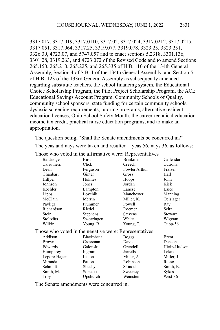3317.017, 3317.019, 3317.0110, 3317.02, 3317.024, 3317.0212, 3317.0215, 3317.051, 3317.064, 3317.25, 3319.077, 3319.078, 3323.25, 3323.251, 3326.39, 4723.07, and 5747.057 and to enact sections 5.2318, 3301.136, 3301.28, 3319.263, and 4723.072 of the Revised Code and to amend Sections 265.150, 265.210, 265.225, and 265.335 of H.B. 110 of the 134th General Assembly, Section 4 of S.B. 1 of the 134th General Assembly, and Section 5 of H.B. 123 of the 133rd General Assembly as subsequently amended regarding substitute teachers, the school financing system, the Educational Choice Scholarship Program, the Pilot Project Scholarship Program, the ACE Educational Savings Account Program, Community Schools of Quality, community school sponsors, state funding for certain community schools, dyslexia screening requirements, tutoring programs, alternative resident education licenses, Ohio School Safety Month, the career-technical education income tax credit, practical nurse education programs, and to make an appropriation.

The question being, "Shall the Senate amendments be concurred in?"

The yeas and nays were taken and resulted – yeas 56, nays 36, as follows:

|                                                       | volva in the annihum ve were, respresentant to |                 |                |
|-------------------------------------------------------|------------------------------------------------|-----------------|----------------|
| Baldridge                                             | Bird                                           | <b>Brinkman</b> | Callender      |
| Carruthers                                            | Click                                          | Creech          | Cutrona        |
| Dean                                                  | Ferguson                                       | Fowler Arthur   | Fraizer        |
| Ghanbari                                              | Ginter                                         | Gross           | Hall           |
| Hillyer                                               | Holmes                                         | Hoops           | John           |
| Johnson                                               | Jones                                          | Jordan          | Kick           |
| Koehler                                               | Lampton                                        | Lanese          | LaRe           |
| Lipps                                                 | Loychik                                        | Manchester      | Manning        |
| McClain                                               | Merrin                                         | Miller, K.      | Oelslager      |
| Pavliga                                               | Plummer                                        | Powell          | Ray            |
| Richardson                                            | Riedel                                         | Roemer          | Seitz          |
| Stein                                                 | Stephens                                       | <b>Stevens</b>  | <b>Stewart</b> |
| <b>Stoltzfus</b>                                      | Swearingen                                     | White           | Wiggam         |
| Wilkin                                                | Young, B.                                      | Young, T.       | Cupp-56        |
| Those who voted in the negative were: Representatives |                                                |                 |                |
| Addison                                               | Blackshear                                     | <b>Boggs</b>    | <b>Brent</b>   |
| <b>Brown</b>                                          | Crossman                                       | Davis           | Denson         |
| Edwards                                               | Galonski                                       | Grendell        | Hicks-Hudson   |
| Humphrey                                              | Ingram                                         | <b>Jarrells</b> | Leland         |
| Lepore-Hagan                                          | Liston                                         | Miller, A.      | Miller, J.     |
| Miranda                                               | Patton                                         | Robinson        | Russo          |
| Schmidt                                               | Sheehy                                         | Skindell        | Smith, K.      |
| Smith, M.                                             | Sobecki                                        | Sweeney         | Sykes          |
| Troy                                                  | Upchurch                                       | Weinstein       | West-36        |
|                                                       |                                                |                 |                |

Those who voted in the affirmative were: Representatives

The Senate amendments were concurred in.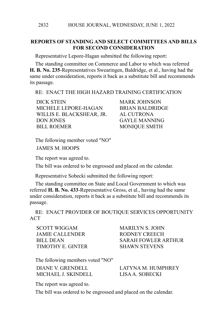#### **REPORTS OF STANDING AND SELECT COMMITTEES AND BILLS FOR SECOND CONSIDERATION**

Representative Lepore-Hagan submitted the following report:

The standing committee on Commerce and Labor to which was referred **H. B. No. 235**-Representatives Swearingen, Baldridge, et al., having had the same under consideration, reports it back as a substitute bill and recommends its passage.

RE: ENACT THE HIGH HAZARD TRAINING CERTIFICATION

DICK STEIN MARK JOHNSON MICHELE LEPORE-HAGAN BRIAN BALDRIDGE WILLIS E. BLACKSHEAR, JR. AL CUTRONA DON JONES GAYLE MANNING BILL ROEMER MONIQUE SMITH

The following member voted "NO"

JAMES M. HOOPS

The report was agreed to.

The bill was ordered to be engrossed and placed on the calendar.

Representative Sobecki submitted the following report:

The standing committee on State and Local Government to which was referred **H. B. No. 433**-Representative Gross, et al., having had the same under consideration, reports it back as a substitute bill and recommends its passage.

RE: ENACT PROVIDER OF BOUTIQUE SERVICES OPPORTUNITY ACT

SCOTT WIGGAM MARILYN S JOHN JAMIE CALLENDER RODNEY CREECH TIMOTHY E. GINTER SHAWN STEVENS

BILL DEAN SARAH FOWLER ARTHUR

The following members voted "NO"

MICHAEL J. SKINDELL LISA A. SOBECKI

DIANE V. GRENDELL LATYNA M. HUMPHREY

The report was agreed to.

The bill was ordered to be engrossed and placed on the calendar.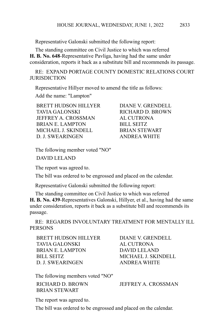Representative Galonski submitted the following report:

The standing committee on Civil Justice to which was referred **H. B. No. 648**-Representative Pavliga, having had the same under consideration, reports it back as a substitute bill and recommends its passage.

RE: EXPAND PORTAGE COUNTY DOMESTIC RELATIONS COURT **JURISDICTION** 

Representative Hillyer moved to amend the title as follows:

Add the name: "Lampton"

BRETT HUDSON HILLYER DIANE V. GRENDELL TAVIA GALONSKI RICHARD D. BROWN JEFFREY A. CROSSMAN AL CUTRONA BRIAN E. LAMPTON BILL SEITZ MICHAEL J. SKINDELL BRIAN STEWART D. J. SWEARINGEN ANDREA WHITE

The following member voted "NO"

DAVID LELAND

The report was agreed to.

The bill was ordered to be engrossed and placed on the calendar.

Representative Galonski submitted the following report:

The standing committee on Civil Justice to which was referred **H. B. No. 439**-Representatives Galonski, Hillyer, et al., having had the same under consideration, reports it back as a substitute bill and recommends its passage.

RE: REGARDS INVOLUNTARY TREATMENT FOR MENTALLY ILL PERSONS

BRETT HUDSON HILLYER DIANE V. GRENDELL TAVIA GALONSKI AL CUTRONA BRIAN E. LAMPTON DAVID LELAND BILL SEITZ MICHAEL J. SKINDELL D. J. SWEARINGEN ANDREA WHITE

The following members voted "NO" RICHARD D. BROWN JEFFREY A CROSSMAN BRIAN STEWART

The report was agreed to.

The bill was ordered to be engrossed and placed on the calendar.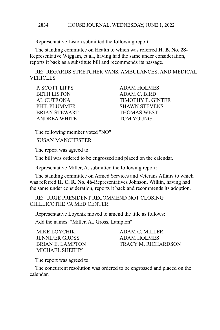Representative Liston submitted the following report:

The standing committee on Health to which was referred **H. B. No. 28**- Representative Wiggam, et al., having had the same under consideration, reports it back as a substitute bill and recommends its passage.

RE: REGARDS STRETCHER VANS, AMBULANCES, AND MEDICAL VEHICLES

| <b>P. SCOTT LIPPS</b> | ADAM HOLMES          |
|-----------------------|----------------------|
| <b>BETH LISTON</b>    | ADAM C. BIRD         |
| AL CUTRONA            | TIMOTHY E. GINTER    |
| PHIL PLUMMER          | <b>SHAWN STEVENS</b> |
| <b>BRIAN STEWART</b>  | <b>THOMAS WEST</b>   |
| ANDREA WHITE          | <b>TOM YOUNG</b>     |

The following member voted "NO"

SUSAN MANCHESTER

The report was agreed to.

The bill was ordered to be engrossed and placed on the calendar.

Representative Miller, A. submitted the following report:

The standing committee on Armed Services and Veterans Affairs to which was referred **H. C. R. No. 46**-Representatives Johnson, Wilkin, having had the same under consideration, reports it back and recommends its adoption.

RE: URGE PRESIDENT RECOMMEND NOT CLOSING CHILLICOTHE VA MED CENTER

Representative Loychik moved to amend the title as follows:

Add the names: "Miller, A., Gross, Lampton"

MIKE LOYCHIK ADAM C. MILLER JENNIFER GROSS ADAM HOLMES MICHAEL SHEEHY

BRIAN E. LAMPTON TRACY M. RICHARDSON

The report was agreed to.

The concurrent resolution was ordered to be engrossed and placed on the calendar.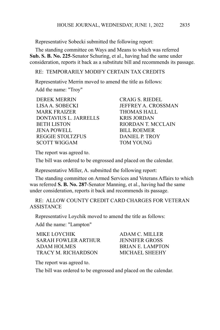Representative Sobecki submitted the following report:

The standing committee on Ways and Means to which was referred **Sub. S. B. No. 225**-Senator Schuring, et al., having had the same under consideration, reports it back as a substitute bill and recommends its passage.

#### RE: TEMPORARILY MODIFY CERTAIN TAX CREDITS

Representative Merrin moved to amend the title as follows: Add the name: "Troy"

DEREK MERRIN CRAIG S. RIEDEL LISA A. SOBECKI JEFFREY A. CROSSMAN MARK FRAIZER **THOMAS HALL** DONTAVIUS L. JARRELLS KRIS JORDAN BETH LISTON RIORDAN T. MCCLAIN JENA POWELL BILL ROEMER REGGIE STOLTZFUS DANIEL P. TROY SCOTT WIGGAM TOM YOUNG

The report was agreed to.

The bill was ordered to be engrossed and placed on the calendar.

Representative Miller, A. submitted the following report:

The standing committee on Armed Services and Veterans Affairs to which was referred **S. B. No. 287**-Senator Manning, et al., having had the same under consideration, reports it back and recommends its passage.

RE: ALLOW COUNTY CREDIT CARD CHARGES FOR VETERAN ASSISTANCE

Representative Loychik moved to amend the title as follows:

Add the name: "Lampton"

MIKE LOYCHIK ADAM C. MILLER SARAH FOWLER ARTHUR JENNIFER GROSS ADAM HOLMES BRIAN E. LAMPTON TRACY M. RICHARDSON MICHAEL SHEEHY

The report was agreed to.

The bill was ordered to be engrossed and placed on the calendar.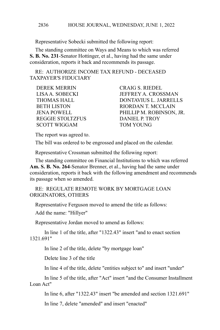Representative Sobecki submitted the following report:

The standing committee on Ways and Means to which was referred **S. B. No. 231**-Senator Hottinger, et al., having had the same under consideration, reports it back and recommends its passage.

RE: AUTHORIZE INCOME TAX REFUND - DECEASED TAXPAYER'S FIDUCIARY

DEREK MERRIN CRAIG S. RIEDEL REGGIE STOLTZFUS DANIEL P. TROY SCOTT WIGGAM TOM YOUNG

LISA A. SOBECKI JEFFREY A. CROSSMAN THOMAS HALL DONTAVIUS L. JARRELLS BETH LISTON RIORDAN T. MCCLAIN JENA POWELL PHILLIP M. ROBINSON, JR.

The report was agreed to.

The bill was ordered to be engrossed and placed on the calendar.

Representative Crossman submitted the following report:

The standing committee on Financial Institutions to which was referred **Am. S. B. No. 264**-Senator Brenner, et al., having had the same under consideration, reports it back with the following amendment and recommends its passage when so amended.

RE: REGULATE REMOTE WORK BY MORTGAGE LOAN ORIGINATORS, OTHERS

Representative Ferguson moved to amend the title as follows:

Add the name: "Hillyer"

Representative Jordan moved to amend as follows:

In line 1 of the title, after "1322.43" insert "and to enact section 1321.691"

In line 2 of the title, delete "by mortgage loan"

Delete line 3 of the title

In line 4 of the title, delete "entities subject to" and insert "under"

In line 5 of the title, after "Act" insert "and the Consumer Installment Loan Act"

In line 6, after "1322.43" insert "be amended and section 1321.691"

In line 7, delete "amended" and insert "enacted"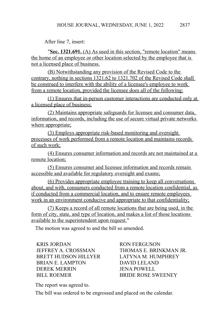After line 7, insert:

"**Sec. 1321.691.** (A) As used in this section, "remote location" means the home of an employee or other location selected by the employee that is not a licensed place of business.

(B) Notwithstanding any provision of the Revised Code to the contrary, nothing in sections 1321.62 to 1321.702 of the Revised Code shall be construed to interfere with the ability of a licensee's employee to work from a remote location, provided the licensee does all of the following:

(1) Ensures that in-person customer interactions are conducted only at a licensed place of business;

(2) Maintains appropriate safeguards for licensee and consumer data, information, and records, including the use of secure virtual private networks where appropriate:

(3) Employs appropriate risk-based monitoring and oversight processes of work performed from a remote location and maintains records of such work;

(4) Ensures consumer information and records are not maintained at a remote location;

(5) Ensures consumer and licensee information and records remain accessible and available for regulatory oversight and exams;

(6) Provides appropriate employee training to keep all conversations about, and with, consumers conducted from a remote location confidential, as if conducted from a commercial location, and to ensure remote employees work in an environment conducive and appropriate to that confidentiality;

(7) Keeps a record of all remote locations that are being used, in the form of city, state, and type of location, and makes a list of those locations available to the superintendent upon request."

The motion was agreed to and the bill so amended.

KRIS JORDAN RON FERGUSON BRETT HUDSON HILLYER LATYNA M. HUMPHREY BRIAN E. LAMPTON DAVID LELAND DEREK MERRIN JENA POWELL BILL ROEMER BRIDE ROSE SWEENEY

JEFFREY A. CROSSMAN THOMAS E. BRINKMAN JR.

The report was agreed to.

The bill was ordered to be engrossed and placed on the calendar.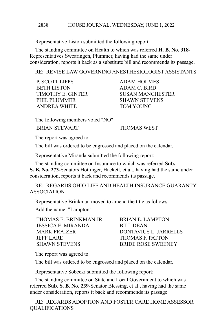Representative Liston submitted the following report:

The standing committee on Health to which was referred **H. B. No. 318**- Representatives Swearingen, Plummer, having had the same under consideration, reports it back as a substitute bill and recommends its passage.

RE: REVISE LAW GOVERNING ANESTHESIOLOGIST ASSISTANTS

| <b>P. SCOTT LIPPS</b> | ADAM HOLMES             |
|-----------------------|-------------------------|
| <b>BETH LISTON</b>    | ADAM C. BIRD            |
| TIMOTHY E. GINTER     | <b>SUSAN MANCHESTER</b> |
| PHIL PLUMMER          | <b>SHAWN STEVENS</b>    |
| ANDREA WHITE          | TOM YOUNG               |

The following members voted "NO"

BRIAN STEWART THOMAS WEST

The report was agreed to.

The bill was ordered to be engrossed and placed on the calendar.

Representative Miranda submitted the following report:

The standing committee on Insurance to which was referred **Sub. S. B. No. 273**-Senators Hottinger, Hackett, et al., having had the same under consideration, reports it back and recommends its passage.

RE: REGARDS OHIO LIFE AND HEALTH INSURANCE GUARANTY ASSOCIATION

Representative Brinkman moved to amend the title as follows:

Add the name: "Lampton"

| THOMAS E. BRINKMAN JR. | BRIAN E. LAMPTON          |
|------------------------|---------------------------|
| JESSICA E. MIRANDA     | <b>BILL DEAN</b>          |
| <b>MARK FRAIZER</b>    | DONTAVIUS L. JARRELLS     |
| JEFF LARE              | THOMAS F PATTON           |
| <b>SHAWN STEVENS</b>   | <b>BRIDE ROSE SWEENEY</b> |

The report was agreed to.

The bill was ordered to be engrossed and placed on the calendar.

Representative Sobecki submitted the following report:

The standing committee on State and Local Government to which was referred **Sub. S. B. No. 239**-Senator Blessing, et al., having had the same under consideration, reports it back and recommends its passage.

RE: REGARDS ADOPTION AND FOSTER CARE HOME ASSESSOR QUALIFICATIONS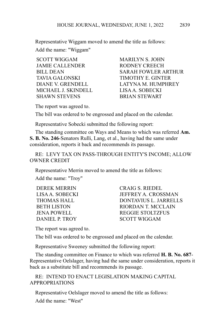Representative Wiggam moved to amend the title as follows: Add the name: "Wiggam"

SCOTT WIGGAM MARILYN S. JOHN JAMIE CALLENDER RODNEY CREECH TAVIA GALONSKI TIMOTHY E. GINTER MICHAEL J. SKINDELL SHAWN STEVENS BRIAN STEWART

BILL DEAN SARAH FOWLER ARTHUR DIANE V. GRENDELL LATYNA M. HUMPHREY

2839

The report was agreed to.

The bill was ordered to be engrossed and placed on the calendar.

Representative Sobecki submitted the following report:

The standing committee on Ways and Means to which was referred **Am. S. B. No. 246**-Senators Rulli, Lang, et al., having had the same under consideration, reports it back and recommends its passage.

RE: LEVY TAX ON PASS-THROUGH ENTITY'S INCOME; ALLOW OWNER CREDIT

Representative Merrin moved to amend the title as follows:

Add the name: "Troy"

DANIEL P. TROY SCOTT WIGGAM

DEREK MERRIN CRAIG S. RIEDEL LISA A. SOBECKI JEFFREY A. CROSSMAN THOMAS HALL DONTAVIUS L. JARRELLS BETH LISTON RIORDAN T. MCCLAIN JENA POWELL REGGIE STOLTZFUS

The report was agreed to.

The bill was ordered to be engrossed and placed on the calendar.

Representative Sweeney submitted the following report:

The standing committee on Finance to which was referred **H. B. No. 687**- Representative Oelslager, having had the same under consideration, reports it back as a substitute bill and recommends its passage.

RE: INTEND TO ENACT LEGISLATION MAKING CAPITAL APPROPRIATIONS

Representative Oelslager moved to amend the title as follows:

Add the name: "West"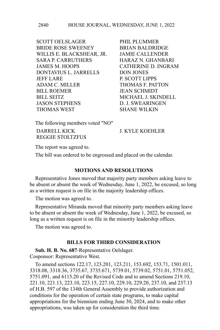SCOTT OELSLAGER PHIL PLUMMER BRIDE ROSE SWEENEY BRIAN BALDRIDGE WILLIS E. BLACKSHEAR, JR. JAMIE CALLENDER SARA P. CARRUTHERS HARAZ N. GHANBARI JAMES M. HOOPS CATHERINE D. INGRAM DONTAVIUS L. JARRELLS DON JONES JEFF LARE P. SCOTT LIPPS ADAM C. MILLER THOMAS F. PATTON BILL ROEMER JEAN SCHMIDT BILL SEITZ MICHAEL J. SKINDELL JASON STEPHENS D. J. SWEARINGEN THOMAS WEST SHANE WILKIN

The following members voted "NO"

DARRELL KICK J. KYLE KOEHLER REGGIE STOLTZFUS

The report was agreed to.

The bill was ordered to be engrossed and placed on the calendar.

#### **MOTIONS AND RESOLUTIONS**

Representative Jones moved that majority party members asking leave to be absent or absent the week of Wednesday, June 1, 2022, be excused, so long as a written request is on file in the majority leadership offices.

The motion was agreed to.

Representative Miranda moved that minority party members asking leave to be absent or absent the week of Wednesday, June 1, 2022, be excused, so long as a written request is on file in the minority leadership offices.

The motion was agreed to.

#### **BILLS FOR THIRD CONSIDERATION**

**Sub. H. B. No. 687**-Representative Oelslager. Cosponsor: Representative West.

To amend sections 122.17, 123.201, 123.211, 153.692, 153.71, 1501.011, 3318.08, 3318.36, 3735.67, 3735.671, 5739.01, 5739.02, 5751.01, 5751.052, 5751.091, and 6115.20 of the Revised Code and to amend Sections 219.10, 221.10, 221.13, 223.10, 223.15, 227.10, 229.10, 229.20, 237.10, and 237.13 of H.B. 597 of the 134th General Assembly to provide authorization and conditions for the operation of certain state programs, to make capital appropriations for the biennium ending June 30, 2024, and to make other appropriations, was taken up for consideration the third time.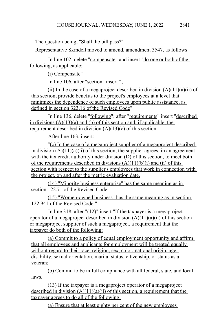The question being, "Shall the bill pass?"

Representative Skindell moved to amend, amendment 3547, as follows:

In line 102, delete "compensate" and insert "do one or both of the following, as applicable:

(i) Compensate"

In line 106, after "section" insert ";

(ii) In the case of a megaproject described in division  $(A)(11)(a)(ii)$  of this section, provide benefits to the project's employees at a level that minimizes the dependence of such employees upon public assistance, as defined in section 323.16 of the Revised Code"

In line 136, delete "following"; after "requirements" insert "described in divisions  $(A)(13)(a)$  and (b) of this section and, if applicable, the requirement described in division  $(A)(13)(c)$  of this section"

After line 163, insert:

"(c) In the case of a megaproject supplier of a megaproject described in division  $(A)(11)(a)(ii)$  of this section, the supplier agrees, in an agreement with the tax credit authority under division (D) of this section, to meet both of the requirements described in divisions  $(A)(11)(b)(i)$  and (ii) of this section with respect to the supplier's employees that work in connection with the project, on and after the metric evaluation date.

(14) "Minority business enterprise" has the same meaning as in section 122.71 of the Revised Code.

(15) "Women-owned business" has the same meaning as in section 122.941 of the Revised Code."

In line 318, after " $(12)$ " insert "If the taxpayer is a megaproject operator of a megaproject described in division  $(A)(11)(a)(ii)$  of this section or megaproject supplier of such a megaproject, a requirement that the taxpayer do both of the following:

(a) Commit to a policy of equal employment opportunity and affirm that all employees and applicants for employment will be treated equally without regard to their race, religion, sex, color, national origin, age, disability, sexual orientation, marital status, citizenship, or status as a veteran;

(b) Commit to be in full compliance with all federal, state, and local laws.

(13) If the taxpayer is a megaproject operator of a megaproject described in division  $(A)(11)(a)(ii)$  of this section, a requirement that the taxpayer agrees to do all of the following:

(a) Ensure that at least eighty per cent of the new employees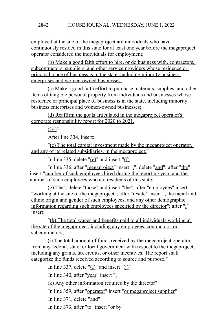employed at the site of the megaproject are individuals who have continuously resided in this state for at least one year before the megaproject operator considered the individuals for employment;

(b) Make a good faith effort to hire, or do business with, contractors, subcontractors, suppliers, and other service providers whose residence or principal place of business is in the state, including minority business enterprises and women-owned businesses;

(c) Make a good faith effort to purchase materials, supplies, and other items of tangible personal property from individuals and businesses whose residence or principal place of business is in the state, including minority business enterprises and women-owned businesses;

(d) Reaffirm the goals articulated in the megaproject operator's corporate responsibility report for 2020 to 2021.

 $(14)$ "

After line 334, insert:

"(e) The total capital investment made by the megaproject operator, and any of its related subsidiaries, in the megaproject;"

In line 335, delete " $(e)$ " and insert " $(f)$ "

In line 336, after "megaproject" insert ","; delete "and"; after "the" insert "number of such employees hired during the reporting year, and the number of such employees who are residents of this state;

(g) The"; delete "those" and insert "the"; after "employees" insert "working at the site of the megaproject"; after "reside" insert ", the racial and ethnic origin and gender of such employees, and any other demographic information regarding such employees specified by the director"; after ";" insert:

"(h) The total wages and benefits paid to all individuals working at the site of the megaproject, including any employees, contractors, or subcontractors;

(i) The total amount of funds received by the megaproject operator from any federal, state, or local government with respect to the megaproject, including any grants, tax credits, or other incentives. The report shall categorize the funds received according to source and purpose."

In line 337, delete " $(f)$ " and insert " $(i)$ "

In line 340, after "year" insert ";

(k) Any other information required by the director"

In line 359, after "operator" insert "or megaproject supplier"

In line 371, delete "and"

In line 373, after " $\text{to}$ " insert " $\text{or } \text{by}$ "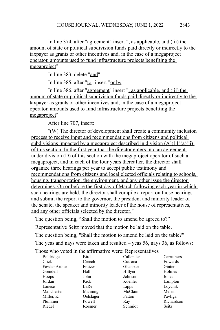In line 374, after "agreement" insert ", as applicable, and (iii) the amount of state or political subdivision funds paid directly or indirectly to the taxpayer as grants or other incentives and, in the case of a megaproject operator, amounts used to fund infrastructure projects benefiting the megaproject"

In line 383, delete "and"

In line 385, after "to" insert "or by"

In line 386, after "agreement" insert ", as applicable, and (iii) the amount of state or political subdivision funds paid directly or indirectly to the taxpayer as grants or other incentives and, in the case of a megaproject operator, amounts used to fund infrastructure projects benefiting the megaproject"

After line 707, insert:

"(W) The director of development shall create a community inclusion process to receive input and recommendations from citizens and political subdivisions impacted by a megaproject described in division  $(A)(11)(a)(ii)$ of this section. In the first year that the director enters into an agreement under division (D) of this section with the megaproject operator of such a megaproject, and in each of the four years thereafter, the director shall organize three hearings per year to accept public testimony and recommendations from citizens and local elected officials relating to schools, housing, transportation, the environment, and any other issue the director determines. On or before the first day of March following each year in which such hearings are held, the director shall compile a report on those hearings and submit the report to the governor, the president and minority leader of the senate, the speaker and minority leader of the house of representatives, and any other officials selected by the director."

The question being, "Shall the motion to amend be agreed to?"

Representative Seitz moved that the motion be laid on the table.

The question being, "Shall the motion to amend be laid on the table?"

The yeas and nays were taken and resulted – yeas 56, nays 36, as follows:

Those who voted in the affirmative were: Representatives

| Baldridge     | Bird      | Callender | Carruthers |
|---------------|-----------|-----------|------------|
| Click         | Creech    | Cutrona   | Edwards    |
| Fowler Arthur | Fraizer   | Ghanbari  | Ginter     |
| Grendell      | Hall      | Hillyer   | Holmes     |
| Hoops         | John      | Johnson   | Jones      |
| Jordan        | Kick      | Koehler   | Lampton    |
| Lanese        | LaRe      | Lipps     | Loychik    |
| Manchester    | Manning   | McClain   | Merrin     |
| Miller, K.    | Oelslager | Patton    | Pavliga    |
| Plummer       | Powell    | Ray       | Richardson |
| Riedel        | Roemer    | Schmidt   | Seitz      |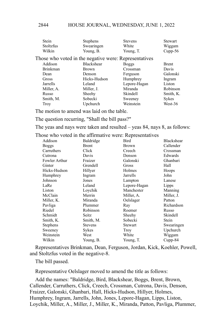| <b>Stein</b><br>Stoltzfus<br>Wilkin | <b>Stephens</b><br>Swearingen<br>Young, B.            | <b>Stevens</b><br>White<br>Young, T. | <b>Stewart</b><br>Wiggam<br>$Cupp-56$ |
|-------------------------------------|-------------------------------------------------------|--------------------------------------|---------------------------------------|
|                                     | Those who voted in the negative were: Representatives |                                      |                                       |
| Addison                             | Blackshear                                            | <b>Boggs</b>                         | <b>Brent</b>                          |
| <b>Brinkman</b>                     | Brown                                                 | Crossman                             | Davis                                 |
| Dean                                | Denson                                                | Ferguson                             | Galonski                              |
| Gross                               | Hicks-Hudson                                          | Humphrey                             | Ingram                                |
| Jarrells                            | Leland                                                | Lepore-Hagan                         | Liston                                |
| Miller, A.                          | Miller, J.                                            | Miranda                              | Robinson                              |
| Russo                               | Sheehy                                                | Skindell                             | Smith, K.                             |
| Smith, M.                           | Sobecki                                               | Sweeney                              | <b>Sykes</b>                          |
| <b>Troy</b>                         | Upchurch                                              | Weinstein                            | West-36                               |

The motion to amend was laid on the table.

The question recurring, "Shall the bill pass?"

The yeas and nays were taken and resulted – yeas 84, nays 8, as follows:

Those who voted in the affirmative were: Representatives

| Addison       | Baldridge      | Bird         | Blackshear |
|---------------|----------------|--------------|------------|
| Boggs         | Brent          | <b>Brown</b> | Callender  |
| Carruthers    | Click          | Creech       | Crossman   |
| Cutrona       | Davis          | Denson       | Edwards    |
| Fowler Arthur | Fraizer        | Galonski     | Ghanbari   |
| Ginter        | Grendell       | Gross        | Hall       |
| Hicks-Hudson  | Hillyer        | Holmes       | Hoops      |
| Humphrey      | Ingram         | Jarrells     | John       |
| Johnson       | Jones          | Lampton      | Lanese     |
| LaRe          | Leland         | Lepore-Hagan | Lipps      |
| Liston        | Loychik        | Manchester   | Manning    |
| McClain       | Merrin         | Miller, A.   | Miller, J. |
| Miller, K.    | Miranda        | Oelslager    | Patton     |
| Pavliga       | Plummer        | Ray          | Richardson |
| Riedel        | Robinson       | Roemer       | Russo      |
| Schmidt       | Seitz          | Sheehy       | Skindell   |
| Smith, K.     | Smith, M.      | Sobecki      | Stein      |
| Stephens      | <b>Stevens</b> | Stewart      | Swearingen |
| Sweeney       | Sykes          | Troy         | Upchurch   |
| Weinstein     | West           | White        | Wiggam     |
| Wilkin        | Young, B.      | Young, T.    | $Cupp-84$  |

Representatives Brinkman, Dean, Ferguson, Jordan, Kick, Koehler, Powell, and Stoltzfus voted in the negative-8.

The bill passed.

Representative Oelslager moved to amend the title as follows:

Add the names: "Baldridge, Bird, Blackshear, Boggs, Brent, Brown, Callender, Carruthers, Click, Creech, Crossman, Cutrona, Davis, Denson, Fraizer, Galonski, Ghanbari, Hall, Hicks-Hudson, Hillyer, Holmes, Humphrey, Ingram, Jarrells, John, Jones, Lepore-Hagan, Lipps, Liston, Loychik, Miller, A., Miller, J., Miller, K., Miranda, Patton, Pavliga, Plummer,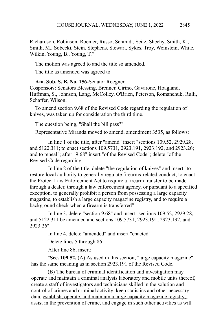Richardson, Robinson, Roemer, Russo, Schmidt, Seitz, Sheehy, Smith, K., Smith, M., Sobecki, Stein, Stephens, Stewart, Sykes, Troy, Weinstein, White, Wilkin, Young, B., Young, T."

The motion was agreed to and the title so amended.

The title as amended was agreed to.

**Am. Sub. S. B. No. 156**-Senator Roegner.

Cosponsors: Senators Blessing, Brenner, Cirino, Gavarone, Hoagland, Huffman, S., Johnson, Lang, McColley, O'Brien, Peterson, Romanchuk, Rulli, Schaffer, Wilson.

To amend section 9.68 of the Revised Code regarding the regulation of knives, was taken up for consideration the third time.

The question being, "Shall the bill pass?"

Representative Miranda moved to amend, amendment 3535, as follows:

In line 1 of the title, after "amend" insert "sections 109.52, 2929.28, and 5122.311; to enact sections 109.5731, 2923.191, 2923.192, and 2923.26; and to repeal"; after "9.68" insert "of the Revised Code"; delete "of the Revised Code regarding"

In line 2 of the title, delete "the regulation of knives" and insert "to restore local authority to generally regulate firearms-related conduct, to enact the Protect Law Enforcement Act to require a firearm transfer to be made through a dealer, through a law enforcement agency, or pursuant to a specified exception, to generally prohibit a person from possessing a large capacity magazine, to establish a large capacity magazine registry, and to require a background check when a firearm is transferred"

In line 3, delete "section 9.68" and insert "sections 109.52, 2929.28, and 5122.311 be amended and sections 109.5731, 2923.191, 2923.192, and 2923.26"

In line 4, delete "amended" and insert "enacted"

Delete lines 5 through 86

After line 86, insert:

"**Sec. 109.52.** (A) As used in this section, "large capacity magazine" has the same meaning as in section 2923.191 of the Revised Code.

(B) The bureau of criminal identification and investigation may operate and maintain a criminal analysis laboratory and mobile units thereof, create a staff of investigators and technicians skilled in the solution and control of crimes and criminal activity, keep statistics and other necessary data, establish, operate, and maintain a large capacity magazine registry, assist in the prevention of crime, and engage in such other activities as will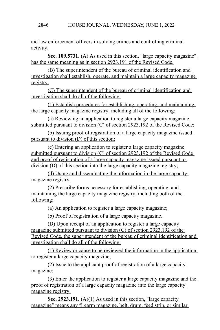aid law enforcement officers in solving crimes and controlling criminal activity.

**Sec. 109.5731.** (A) As used in this section, "large capacity magazine" has the same meaning as in section 2923.191 of the Revised Code.

(B) The superintendent of the bureau of criminal identification and investigation shall establish, operate, and maintain a large capacity magazine registry.

(C) The superintendent of the bureau of criminal identification and investigation shall do all of the following:

(1) Establish procedures for establishing, operating, and maintaining the large capacity magazine registry, including all of the following:

(a) Reviewing an application to register a large capacity magazine submitted pursuant to division (C) of section 2923.192 of the Revised Code:

(b) Issuing proof of registration of a large capacity magazine issued pursuant to division (D) of this section;

(c) Entering an application to register a large capacity magazine submitted pursuant to division (C) of section 2923.192 of the Revised Code and proof of registration of a large capacity magazine issued pursuant to division (D) of this section into the large capacity magazine registry;

(d) Using and disseminating the information in the large capacity magazine registry.

(2) Prescribe forms necessary for establishing, operating, and maintaining the large capacity magazine registry, including both of the following:

(a) An application to register a large capacity magazine;

(b) Proof of registration of a large capacity magazine.

(D) Upon receipt of an application to register a large capacity magazine submitted pursuant to division (C) of section 2923.192 of the Revised Code, the superintendent of the bureau of criminal identification and investigation shall do all of the following:

(1) Review or cause to be reviewed the information in the application to register a large capacity magazine;

(2) Issue to the applicant proof of registration of a large capacity magazine;

(3) Enter the application to register a large capacity magazine and the proof of registration of a large capacity magazine into the large capacity magazine registry.

**Sec. 2923.191.** (A)(1) As used in this section, "large capacity magazine" means any firearm magazine, belt, drum, feed strip, or similar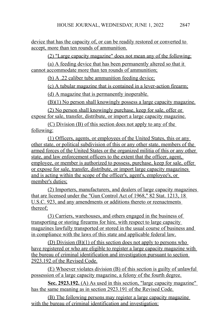device that has the capacity of, or can be readily restored or converted to accept, more than ten rounds of ammunition.

(2) "Large capacity magazine" does not mean any of the following:

(a) A feeding device that has been permanently altered so that it cannot accommodate more than ten rounds of ammunition;

(b) A .22 caliber tube ammunition feeding device;

(c) A tubular magazine that is contained in a lever-action firearm;

(d) A magazine that is permanently inoperable.

(B)(1) No person shall knowingly possess a large capacity magazine.

(2) No person shall knowingly purchase, keep for sale, offer or expose for sale, transfer, distribute, or import a large capacity magazine.

(C) Division (B) of this section does not apply to any of the following:

(1) Officers, agents, or employees of the United States, this or any other state, or political subdivision of this or any other state, members of the armed forces of the United States or the organized militia of this or any other state, and law enforcement officers to the extent that the officer, agent, employee, or member is authorized to possess, purchase, keep for sale, offer or expose for sale, transfer, distribute, or import large capacity magazines and is acting within the scope of the officer's, agent's, employee's, or member's duties;

(2) Importers, manufacturers, and dealers of large capacity magazines that are licensed under the "Gun Control Act of 1968," 82 Stat. 1213, 18 U.S.C. 923, and any amendments or additions thereto or reenactments thereof;

(3) Carriers, warehouses, and others engaged in the business of transporting or storing firearms for hire, with respect to large capacity magazines lawfully transported or stored in the usual course of business and in compliance with the laws of this state and applicable federal law.

(D) Division (B)(1) of this section does not apply to persons who have registered or who are eligible to register a large capacity magazine with the bureau of criminal identification and investigation pursuant to section 2923.192 of the Revised Code.

(E) Whoever violates division (B) of this section is guilty of unlawful possession of a large capacity magazine, a felony of the fourth degree.

Sec. 2923.192. (A) As used in this section, "large capacity magazine" has the same meaning as in section 2923.191 of the Revised Code.

(B) The following persons may register a large capacity magazine with the bureau of criminal identification and investigation: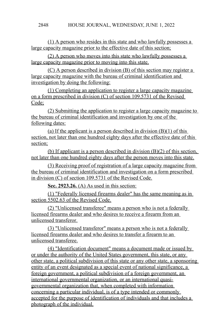(1) A person who resides in this state and who lawfully possesses a large capacity magazine prior to the effective date of this section;

(2) A person who moves into this state who lawfully possesses a large capacity magazine prior to moving into this state.

(C) A person described in division (B) of this section may register a large capacity magazine with the bureau of criminal identification and investigation by doing the following:

(1) Completing an application to register a large capacity magazine on a form prescribed in division (C) of section 109.5731 of the Revised Code;

(2) Submitting the application to register a large capacity magazine to the bureau of criminal identification and investigation by one of the following dates:

(a) If the applicant is a person described in division  $(B)(1)$  of this section, not later than one hundred eighty days after the effective date of this section;

(b) If applicant is a person described in division (B)(2) of this section, not later than one hundred eighty days after the person moves into this state.

(3) Receiving proof of registration of a large capacity magazine from the bureau of criminal identification and investigation on a form prescribed in division (C) of section 109.5731 of the Revised Code.

**Sec. 2923.26.** (A) As used in this section:

(1) "Federally licensed firearms dealer" has the same meaning as in section 5502.63 of the Revised Code.

(2) "Unlicensed transferee" means a person who is not a federally licensed firearms dealer and who desires to receive a firearm from an unlicensed transferor.

(3) "Unlicensed transferor" means a person who is not a federally licensed firearms dealer and who desires to transfer a firearm to an unlicensed transferee.

(4) "Identification document" means a document made or issued by or under the authority of the United States government, this state, or any other state, a political subdivision of this state or any other state, a sponsoring entity of an event designated as a special event of national significance, a foreign government, a political subdivision of a foreign government, an international governmental organization, or an international quasigovernmental organization that, when completed with information concerning a particular individual, is of a type intended or commonly accepted for the purpose of identification of individuals and that includes a photograph of the individual.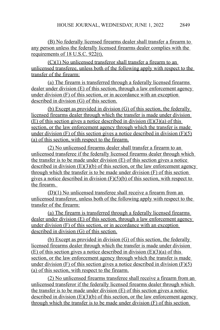(B) No federally licensed firearms dealer shall transfer a firearm to any person unless the federally licensed firearms dealer complies with the requirements of 18 U.S.C. 922(t).

(C)(1) No unlicensed transferor shall transfer a firearm to an unlicensed transferee, unless both of the following apply with respect to the transfer of the firearm:

(a) The firearm is transferred through a federally licensed firearms dealer under division (E) of this section, through a law enforcement agency under division (F) of this section, or in accordance with an exception described in division (G) of this section.

(b) Except as provided in division (G) of this section, the federally licensed firearms dealer through which the transfer is made under division (E) of this section gives a notice described in division  $(E)(3)(a)$  of this section, or the law enforcement agency through which the transfer is made under division  $(F)$  of this section gives a notice described in division  $(F)(5)$ (a) of this section, with respect to the firearm.

(2) No unlicensed firearms dealer shall transfer a firearm to an unlicensed transferee if the federally licensed firearms dealer through which the transfer is to be made under division (E) of this section gives a notice described in division  $(E)(3)(b)$  of this section, or the law enforcement agency through which the transfer is to be made under division (F) of this section gives a notice described in division  $(F)(5)(b)$  of this section, with respect to the firearm.

(D)(1) No unlicensed transferee shall receive a firearm from an unlicensed transferor, unless both of the following apply with respect to the transfer of the firearm:

(a) The firearm is transferred through a federally licensed firearms dealer under division (E) of this section, through a law enforcement agency under division (F) of this section, or in accordance with an exception described in division (G) of this section.

(b) Except as provided in division (G) of this section, the federally licensed firearms dealer through which the transfer is made under division (E) of this section gives a notice described in division  $(E)(3)(a)$  of this section, or the law enforcement agency through which the transfer is made under division  $(F)$  of this section gives a notice described in division  $(F)(5)$ (a) of this section, with respect to the firearm.

(2) No unlicensed firearms transferee shall receive a firearm from an unlicensed transferor if the federally licensed firearms dealer through which the transfer is to be made under division (E) of this section gives a notice described in division  $(E)(3)(b)$  of this section, or the law enforcement agency through which the transfer is to be made under division (F) of this section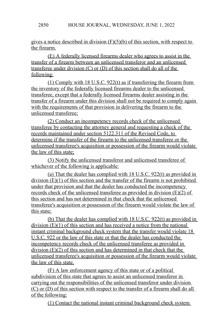gives a notice described in division (F)(5)(b) of this section, with respect to the firearm.

(E) A federally licensed firearms dealer who agrees to assist in the transfer of a firearm between an unlicensed transferor and an unlicensed transferee under division (C) or (D) of this section shall do all of the following:

(1) Comply with 18 U.S.C. 922(t) as if transferring the firearm from the inventory of the federally licensed firearms dealer to the unlicensed transferee, except that a federally licensed firearms dealer assisting in the transfer of a firearm under this division shall not be required to comply again with the requirements of that provision in delivering the firearm to the unlicensed transferee;

(2) Conduct an incompetency records check of the unlicensed transferee by contacting the attorney general and requesting a check of the records maintained under section 5122.311 of the Revised Code, to determine if the transfer of the firearm to the unlicensed transferee or the unlicensed transferee's acquisition or possession of the firearm would violate the law of this state;

(3) Notify the unlicensed transferor and unlicensed transferee of whichever of the following is applicable:

(a) That the dealer has complied with 18 U.S.C. 922(t) as provided in division  $(E)(1)$  of this section and the transfer of the firearm is not prohibited under that provision and that the dealer has conducted the incompetency records check of the unlicensed transferee as provided in division (E)(2) of this section and has not determined in that check that the unlicensed transferee's acquisition or possession of the firearm would violate the law of this state;

(b) That the dealer has complied with 18 U.S.C. 922(t) as provided in division (E)(1) of this section and has received a notice from the national instant criminal background check system that the transfer would violate 18 U.S.C. 922 or the law of this state or that the dealer has conducted the incompetency records check of the unlicensed transferee as provided in division (E)(2) of this section and has determined in that check that the unlicensed transferee's acquisition or possession of the firearm would violate the law of this state.

(F) A law enforcement agency of this state or of a political subdivision of this state that agrees to assist an unlicensed transferor in carrying out the responsibilities of the unlicensed transferor under division (C) or (D) of this section with respect to the transfer of a firearm shall do all of the following:

(1) Contact the national instant criminal background check system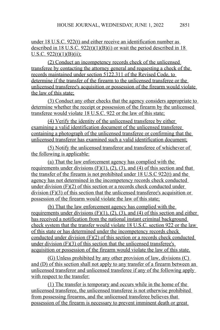under 18 U.S.C. 922(t) and either receive an identification number as described in 18 U.S.C.  $922(t)(1)(B)(i)$  or wait the period described in 18 U.S.C. 922(t)(1)(B)(ii);

(2) Conduct an incompetency records check of the unlicensed transferee by contacting the attorney general and requesting a check of the records maintained under section 5122.311 of the Revised Code, to determine if the transfer of the firearm to the unlicensed transferee or the unlicensed transferee's acquisition or possession of the firearm would violate the law of this state;

(3) Conduct any other checks that the agency considers appropriate to determine whether the receipt or possession of the firearm by the unlicensed transferee would violate 18 U.S.C. 922 or the law of this state;

(4) Verify the identity of the unlicensed transferee by either examining a valid identification document of the unlicensed transferee containing a photograph of the unlicensed transferee or confirming that the unlicensed transferor has examined such a valid identification document;

(5) Notify the unlicensed transferor and transferee of whichever of the following is applicable:

(a) That the law enforcement agency has complied with the requirements under divisions  $(F)(1)$ ,  $(2)$ ,  $(3)$ , and  $(4)$  of this section and that the transfer of the firearm is not prohibited under 18 U.S.C 922(t) and the agency has not determined in the incompetency records check conducted under division (F)(2) of this section or a records check conducted under division (F)(3) of this section that the unlicensed transferee's acquisition or possession of the firearm would violate the law of this state;

(b) That the law enforcement agency has complied with the requirements under divisions  $(F)(1)$ ,  $(2)$ ,  $(3)$ , and  $(4)$  of this section and either has received a notification from the national instant criminal background check system that the transfer would violate 18 U.S.C. section 922 or the law of this state or has determined under the incompetency records check conducted under division (F)(2) of this section or a records check conducted under division  $(F)(3)$  of this section that the unlicensed transferee's acquisition or possession of the firearm would violate the law of this state.

(G) Unless prohibited by any other provision of law, divisions (C) and (D) of this section shall not apply to any transfer of a firearm between an unlicensed transferor and unlicensed transferee if any of the following apply with respect to the transfer:

(1) The transfer is temporary and occurs while in the home of the unlicensed transferee, the unlicensed transferee is not otherwise prohibited from possessing firearms, and the unlicensed transferee believes that possession of the firearm is necessary to prevent imminent death or great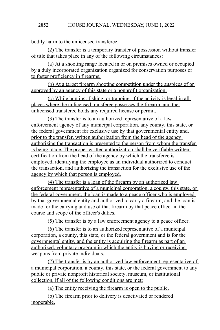bodily harm to the unlicensed transferee.

(2) The transfer is a temporary transfer of possession without transfer of title that takes place in any of the following circumstances:

(a) At a shooting range located in or on premises owned or occupied by a duly incorporated organization organized for conservation purposes or to foster proficiency in firearms;

(b) At a target firearm shooting competition under the auspices of or approved by an agency of this state or a nonprofit organization;

(c) While hunting, fishing, or trapping, if the activity is legal in all places where the unlicensed transferee possesses the firearm, and the unlicensed transferee holds any required license or permit.

(3) The transfer is to an authorized representative of a law enforcement agency of any municipal corporation, any county, this state, or the federal government for exclusive use by that governmental entity and, prior to the transfer, written authorization from the head of the agency authorizing the transaction is presented to the person from whom the transfer is being made. The proper written authorization shall be verifiable written certification from the head of the agency by which the transferee is employed, identifying the employee as an individual authorized to conduct the transaction, and authorizing the transaction for the exclusive use of the agency by which that person is employed.

(4) The transfer is a loan of the firearm by an authorized law enforcement representative of a municipal corporation, a county, this state, or the federal government, the loan is made to a peace officer who is employed by that governmental entity and authorized to carry a firearm, and the loan is made for the carrying and use of that firearm by that peace officer in the course and scope of the officer's duties.

(5) The transfer is by a law enforcement agency to a peace officer.

(6) The transfer is to an authorized representative of a municipal corporation, a county, this state, or the federal government and is for the governmental entity, and the entity is acquiring the firearm as part of an authorized, voluntary program in which the entity is buying or receiving weapons from private individuals.

(7) The transfer is by an authorized law enforcement representative of a municipal corporation, a county, this state, or the federal government to any public or private nonprofit historical society, museum, or institutional collection, if all of the following conditions are met:

(a) The entity receiving the firearm is open to the public.

(b) The firearm prior to delivery is deactivated or rendered inoperable.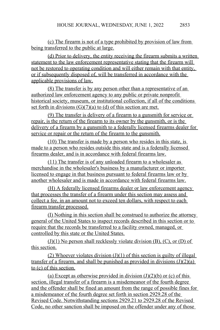(c) The firearm is not of a type prohibited by provision of law from being transferred to the public at large.

(d) Prior to delivery, the entity receiving the firearm submits a written statement to the law enforcement representative stating that the firearm will not be restored to operating condition and will either remain with that entity, or if subsequently disposed of, will be transferred in accordance with the applicable provisions of law.

(8) The transfer is by any person other than a representative of an authorized law enforcement agency to any public or private nonprofit historical society, museum, or institutional collection, if all of the conditions set forth in divisions (G)(7)(a) to (d) of this section are met.

(9) The transfer is delivery of a firearm to a gunsmith for service or repair, is the return of the firearm to its owner by the gunsmith, or is the delivery of a firearm by a gunsmith to a federally licensed firearms dealer for service or repair or the return of the firearm to the gunsmith.

(10) The transfer is made by a person who resides in this state, is made to a person who resides outside this state and is a federally licensed firearms dealer, and is in accordance with federal firearms law.

(11) The transfer is of any unloaded firearm to a wholesaler as merchandise in the wholesaler's business by a manufacturer or importer licensed to engage in that business pursuant to federal firearms law or by another wholesaler and is made in accordance with federal firearms law.

(H) A federally licensed firearms dealer or law enforcement agency that processes the transfer of a firearm under this section may assess and collect a fee, in an amount not to exceed ten dollars, with respect to each firearm transfer processed.

(I) Nothing in this section shall be construed to authorize the attorney general of the United States to inspect records described in this section or to require that the records be transferred to a facility owned, managed, or controlled by this state or the United States.

 $(J)(1)$  No person shall recklessly violate division  $(B)$ ,  $(C)$ , or  $(D)$  of this section.

(2) Whoever violates division  $(J)(1)$  of this section is guilty of illegal transfer of a firearm, and shall be punished as provided in divisions  $(J)(2)(a)$ to (c) of this section.

(a) Except as otherwise provided in division  $(J)(2)(b)$  or (c) of this section, illegal transfer of a firearm is a misdemeanor of the fourth degree and the offender shall be fined an amount from the range of possible fines for a misdemeanor of the fourth degree set forth in section 2929.28 of the Revised Code. Notwithstanding sections 2929.21 to 2929.28 of the Revised Code, no other sanction shall be imposed on the offender under any of those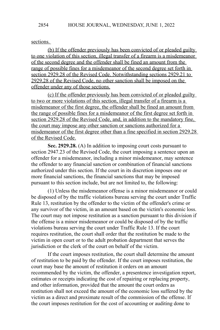#### sections.

(b) If the offender previously has been convicted of or pleaded guilty to one violation of this section, illegal transfer of a firearm is a misdemeanor of the second degree and the offender shall be fined an amount from the range of possible fines for a misdemeanor of the second degree set forth in section 2929.28 of the Revised Code. Notwithstanding sections 2929.21 to 2929.28 of the Revised Code, no other sanction shall be imposed on the offender under any of those sections.

(c) If the offender previously has been convicted of or pleaded guilty to two or more violations of this section, illegal transfer of a firearm is a misdemeanor of the first degree, the offender shall be fined an amount from the range of possible fines for a misdemeanor of the first degree set forth in section 2929.28 of the Revised Code, and, in addition to the mandatory fine, the court may impose any other sanction or sanctions authorized for a misdemeanor of the first degree other than a fine specified in section 2929.28 of the Revised Code.

**Sec. 2929.28.** (A) In addition to imposing court costs pursuant to section 2947.23 of the Revised Code, the court imposing a sentence upon an offender for a misdemeanor, including a minor misdemeanor, may sentence the offender to any financial sanction or combination of financial sanctions authorized under this section. If the court in its discretion imposes one or more financial sanctions, the financial sanctions that may be imposed pursuant to this section include, but are not limited to, the following:

(1) Unless the misdemeanor offense is a minor misdemeanor or could be disposed of by the traffic violations bureau serving the court under Traffic Rule 13, restitution by the offender to the victim of the offender's crime or any survivor of the victim, in an amount based on the victim's economic loss. The court may not impose restitution as a sanction pursuant to this division if the offense is a minor misdemeanor or could be disposed of by the traffic violations bureau serving the court under Traffic Rule 13. If the court requires restitution, the court shall order that the restitution be made to the victim in open court or to the adult probation department that serves the jurisdiction or the clerk of the court on behalf of the victim.

If the court imposes restitution, the court shall determine the amount of restitution to be paid by the offender. If the court imposes restitution, the court may base the amount of restitution it orders on an amount recommended by the victim, the offender, a presentence investigation report, estimates or receipts indicating the cost of repairing or replacing property, and other information, provided that the amount the court orders as restitution shall not exceed the amount of the economic loss suffered by the victim as a direct and proximate result of the commission of the offense. If the court imposes restitution for the cost of accounting or auditing done to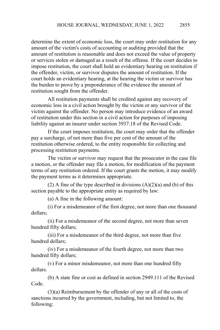determine the extent of economic loss, the court may order restitution for any amount of the victim's costs of accounting or auditing provided that the amount of restitution is reasonable and does not exceed the value of property or services stolen or damaged as a result of the offense. If the court decides to impose restitution, the court shall hold an evidentiary hearing on restitution if the offender, victim, or survivor disputes the amount of restitution. If the court holds an evidentiary hearing, at the hearing the victim or survivor has the burden to prove by a preponderance of the evidence the amount of restitution sought from the offender.

All restitution payments shall be credited against any recovery of economic loss in a civil action brought by the victim or any survivor of the victim against the offender. No person may introduce evidence of an award of restitution under this section in a civil action for purposes of imposing liability against an insurer under section 3937.18 of the Revised Code.

If the court imposes restitution, the court may order that the offender pay a surcharge, of not more than five per cent of the amount of the restitution otherwise ordered, to the entity responsible for collecting and processing restitution payments.

The victim or survivor may request that the prosecutor in the case file a motion, or the offender may file a motion, for modification of the payment terms of any restitution ordered. If the court grants the motion, it may modify the payment terms as it determines appropriate.

(2) A fine of the type described in divisions  $(A)(2)(a)$  and (b) of this section payable to the appropriate entity as required by law:

(a) A fine in the following amount:

(i) For a misdemeanor of the first degree, not more than one thousand dollars;

(ii) For a misdemeanor of the second degree, not more than seven hundred fifty dollars;

(iii) For a misdemeanor of the third degree, not more than five hundred dollars;

(iv) For a misdemeanor of the fourth degree, not more than two hundred fifty dollars;

(v) For a minor misdemeanor, not more than one hundred fifty dollars.

(b) A state fine or cost as defined in section 2949.111 of the Revised Code.

(3)(a) Reimbursement by the offender of any or all of the costs of sanctions incurred by the government, including, but not limited to, the following: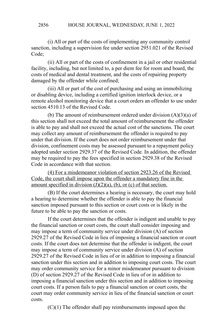(i) All or part of the costs of implementing any community control sanction, including a supervision fee under section 2951.021 of the Revised Code;

(ii) All or part of the costs of confinement in a jail or other residential facility, including, but not limited to, a per diem fee for room and board, the costs of medical and dental treatment, and the costs of repairing property damaged by the offender while confined;

(iii) All or part of the cost of purchasing and using an immobilizing or disabling device, including a certified ignition interlock device, or a remote alcohol monitoring device that a court orders an offender to use under section 4510.13 of the Revised Code.

(b) The amount of reimbursement ordered under division  $(A)(3)(a)$  of this section shall not exceed the total amount of reimbursement the offender is able to pay and shall not exceed the actual cost of the sanctions. The court may collect any amount of reimbursement the offender is required to pay under that division. If the court does not order reimbursement under that division, confinement costs may be assessed pursuant to a repayment policy adopted under section 2929.37 of the Revised Code. In addition, the offender may be required to pay the fees specified in section 2929.38 of the Revised Code in accordance with that section.

(4) For a misdemeanor violation of section 2923.26 of the Revised Code, the court shall impose upon the offender a mandatory fine in the amount specified in division  $(J)(2)(a)$ ,  $(b)$ , or  $(c)$  of that section.

(B) If the court determines a hearing is necessary, the court may hold a hearing to determine whether the offender is able to pay the financial sanction imposed pursuant to this section or court costs or is likely in the future to be able to pay the sanction or costs.

If the court determines that the offender is indigent and unable to pay the financial sanction or court costs, the court shall consider imposing and may impose a term of community service under division (A) of section 2929.27 of the Revised Code in lieu of imposing a financial sanction or court costs. If the court does not determine that the offender is indigent, the court may impose a term of community service under division (A) of section 2929.27 of the Revised Code in lieu of or in addition to imposing a financial sanction under this section and in addition to imposing court costs. The court may order community service for a minor misdemeanor pursuant to division (D) of section 2929.27 of the Revised Code in lieu of or in addition to imposing a financial sanction under this section and in addition to imposing court costs. If a person fails to pay a financial sanction or court costs, the court may order community service in lieu of the financial sanction or court costs.

 $(C)(1)$  The offender shall pay reimbursements imposed upon the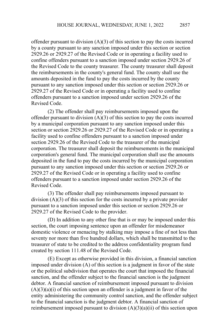offender pursuant to division  $(A)(3)$  of this section to pay the costs incurred by a county pursuant to any sanction imposed under this section or section 2929.26 or 2929.27 of the Revised Code or in operating a facility used to confine offenders pursuant to a sanction imposed under section 2929.26 of the Revised Code to the county treasurer. The county treasurer shall deposit the reimbursements in the county's general fund. The county shall use the amounts deposited in the fund to pay the costs incurred by the county pursuant to any sanction imposed under this section or section 2929.26 or 2929.27 of the Revised Code or in operating a facility used to confine offenders pursuant to a sanction imposed under section 2929.26 of the Revised Code.

(2) The offender shall pay reimbursements imposed upon the offender pursuant to division (A)(3) of this section to pay the costs incurred by a municipal corporation pursuant to any sanction imposed under this section or section 2929.26 or 2929.27 of the Revised Code or in operating a facility used to confine offenders pursuant to a sanction imposed under section 2929.26 of the Revised Code to the treasurer of the municipal corporation. The treasurer shall deposit the reimbursements in the municipal corporation's general fund. The municipal corporation shall use the amounts deposited in the fund to pay the costs incurred by the municipal corporation pursuant to any sanction imposed under this section or section 2929.26 or 2929.27 of the Revised Code or in operating a facility used to confine offenders pursuant to a sanction imposed under section 2929.26 of the Revised Code.

(3) The offender shall pay reimbursements imposed pursuant to division (A)(3) of this section for the costs incurred by a private provider pursuant to a sanction imposed under this section or section 2929.26 or 2929.27 of the Revised Code to the provider.

(D) In addition to any other fine that is or may be imposed under this section, the court imposing sentence upon an offender for misdemeanor domestic violence or menacing by stalking may impose a fine of not less than seventy nor more than five hundred dollars, which shall be transmitted to the treasurer of state to be credited to the address confidentiality program fund created by section 111.48 of the Revised Code.

(E) Except as otherwise provided in this division, a financial sanction imposed under division (A) of this section is a judgment in favor of the state or the political subdivision that operates the court that imposed the financial sanction, and the offender subject to the financial sanction is the judgment debtor. A financial sanction of reimbursement imposed pursuant to division  $(A)(3)(a)(i)$  of this section upon an offender is a judgment in favor of the entity administering the community control sanction, and the offender subject to the financial sanction is the judgment debtor. A financial sanction of reimbursement imposed pursuant to division (A)(3)(a)(ii) of this section upon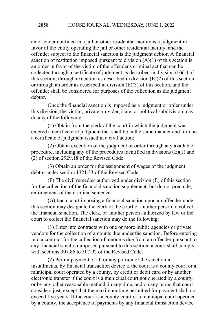an offender confined in a jail or other residential facility is a judgment in favor of the entity operating the jail or other residential facility, and the offender subject to the financial sanction is the judgment debtor. A financial sanction of restitution imposed pursuant to division (A)(1) of this section is an order in favor of the victim of the offender's criminal act that can be collected through a certificate of judgment as described in division  $(E)(1)$  of this section, through execution as described in division  $(E)(2)$  of this section, or through an order as described in division (E)(3) of this section, and the offender shall be considered for purposes of the collection as the judgment debtor.

Once the financial sanction is imposed as a judgment or order under this division, the victim, private provider, state, or political subdivision may do any of the following:

(1) Obtain from the clerk of the court in which the judgment was entered a certificate of judgment that shall be in the same manner and form as a certificate of judgment issued in a civil action;

(2) Obtain execution of the judgment or order through any available procedure, including any of the procedures identified in divisions (E)(1) and (2) of section 2929.18 of the Revised Code.

(3) Obtain an order for the assignment of wages of the judgment debtor under section 1321.33 of the Revised Code.

(F) The civil remedies authorized under division (E) of this section for the collection of the financial sanction supplement, but do not preclude, enforcement of the criminal sentence.

(G) Each court imposing a financial sanction upon an offender under this section may designate the clerk of the court or another person to collect the financial sanction. The clerk, or another person authorized by law or the court to collect the financial sanction may do the following:

(1) Enter into contracts with one or more public agencies or private vendors for the collection of amounts due under the sanction. Before entering into a contract for the collection of amounts due from an offender pursuant to any financial sanction imposed pursuant to this section, a court shall comply with sections 307.86 to 307.92 of the Revised Code.

(2) Permit payment of all or any portion of the sanction in installments, by financial transaction device if the court is a county court or a municipal court operated by a county, by credit or debit card or by another electronic transfer if the court is a municipal court not operated by a county, or by any other reasonable method, in any time, and on any terms that court considers just, except that the maximum time permitted for payment shall not exceed five years. If the court is a county court or a municipal court operated by a county, the acceptance of payments by any financial transaction device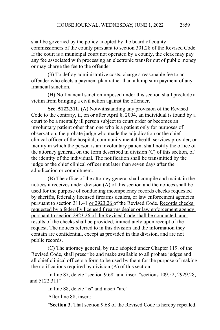shall be governed by the policy adopted by the board of county commissioners of the county pursuant to section 301.28 of the Revised Code. If the court is a municipal court not operated by a county, the clerk may pay any fee associated with processing an electronic transfer out of public money or may charge the fee to the offender.

(3) To defray administrative costs, charge a reasonable fee to an offender who elects a payment plan rather than a lump sum payment of any financial sanction.

(H) No financial sanction imposed under this section shall preclude a victim from bringing a civil action against the offender.

**Sec. 5122.311.** (A) Notwithstanding any provision of the Revised Code to the contrary, if, on or after April 8, 2004, an individual is found by a court to be a mentally ill person subject to court order or becomes an involuntary patient other than one who is a patient only for purposes of observation, the probate judge who made the adjudication or the chief clinical officer of the hospital, community mental health services provider, or facility in which the person is an involuntary patient shall notify the office of the attorney general, on the form described in division (C) of this section, of the identity of the individual. The notification shall be transmitted by the judge or the chief clinical officer not later than seven days after the adjudication or commitment.

(B) The office of the attorney general shall compile and maintain the notices it receives under division (A) of this section and the notices shall be used for the purpose of conducting incompetency records checks requested by sheriffs, federally licensed firearms dealers, or law enforcement agencies pursuant to section 311.41 or 2923.26 of the Revised Code. Records checks requested by a federally licensed firearms dealer or law enforcement agency pursuant to section 2923.26 of the Revised Code shall be conducted, and results of the checks shall be provided, immediately upon receipt of the request. The notices referred to in this division and the information they contain are confidential, except as provided in this division, and are not public records.

(C) The attorney general, by rule adopted under Chapter 119. of the Revised Code, shall prescribe and make available to all probate judges and all chief clinical officers a form to be used by them for the purpose of making the notifications required by division (A) of this section."

In line 87, delete "section 9.68" and insert "sections 109.52, 2929.28, and 5122.311"

> In line 88, delete "is" and insert "are" After line 88, insert:

"**Section 3.** That section 9.68 of the Revised Code is hereby repealed.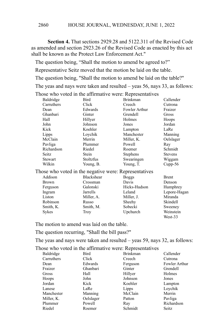**Section 4.** That sections 2929.28 and 5122.311 of the Revised Code as amended and section 2923.26 of the Revised Code as enacted by this act shall be known as the Protect Law Enforcement Act."

The question being, "Shall the motion to amend be agreed to?"

Representative Seitz moved that the motion be laid on the table.

The question being, "Shall the motion to amend be laid on the table?"

The yeas and nays were taken and resulted – yeas 56, nays 33, as follows:

Those who voted in the affirmative were: Representatives

| Baldridge                                             | Bird      | <b>Brinkman</b> | Callender      |  |
|-------------------------------------------------------|-----------|-----------------|----------------|--|
| Carruthers                                            | Click     | Creech          | Cutrona        |  |
| Dean                                                  | Edwards   | Fowler Arthur   | Fraizer        |  |
| Ghanbari                                              | Ginter    | Grendell        | Gross          |  |
| Hall                                                  | Hillyer   | Holmes          | Hoops          |  |
| John                                                  | Johnson   | Jones           | Jordan         |  |
| Kick                                                  | Koehler   | Lampton         | LaRe           |  |
| Lipps                                                 | Loychik   | Manchester      | Manning        |  |
| McClain                                               | Merrin    | Miller, K.      | Oelslager      |  |
| Pavliga                                               | Plummer   | Powell          | Ray            |  |
| Richardson                                            | Riedel    | Roemer          | Schmidt        |  |
| Seitz                                                 | Stein     | <b>Stephens</b> | <b>Stevens</b> |  |
| Stewart                                               | Stoltzfus | Swearingen      | Wiggam         |  |
| Wilkin                                                | Young, B. | Young, T.       | $Cupp-56$      |  |
| Those who voted in the negative were: Representatives |           |                 |                |  |

Addison Blackshear Boggs Brent

|              |            | ັ            |              |
|--------------|------------|--------------|--------------|
| <b>Brown</b> | Crossman   | Davis        | Denson       |
| Ferguson     | Galonski   | Hicks-Hudson | Humphrey     |
| Ingram       | Jarrells   | Leland       | Lepore-Hagan |
| Liston       | Miller, A. | Miller, J.   | Miranda      |
| Robinson     | Russo      | Sheehy       | Skindell     |
| Smith, K.    | Smith, M.  | Sobecki      | Sweeney      |
| Sykes        | Troy       | Upchurch     | Weinstein    |
|              |            |              | West-33      |

The motion to amend was laid on the table.

The question recurring, "Shall the bill pass?"

The yeas and nays were taken and resulted – yeas 59, nays 32, as follows:

Those who voted in the affirmative were: Representatives

| Baldridge  | Bird      | <b>Brinkman</b> | Callender     |
|------------|-----------|-----------------|---------------|
| Carruthers | Click     | Creech          | Cutrona       |
| Dean       | Edwards   | Ferguson        | Fowler Arthur |
| Fraizer    | Ghanbari  | Ginter          | Grendell      |
| Gross      | Hall      | Hillyer         | Holmes        |
| Hoops      | John      | Johnson         | Jones         |
| Jordan     | Kick      | Koehler         | Lampton       |
| Lanese     | LaRe      | Lipps           | Lovchik       |
| Manchester | Manning   | McClain         | Merrin        |
| Miller, K. | Oelslager | Patton          | Pavliga       |
| Plummer    | Powell    | Ray             | Richardson    |
| Riedel     | Roemer    | Schmidt         | Seitz         |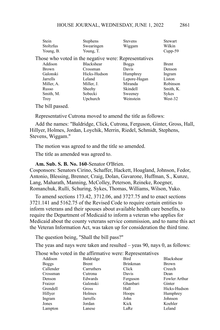| Stein<br><b>Stoltzfus</b><br>Young, B. | <b>Stephens</b><br>Swearingen<br>Young, T.            | <b>Stevens</b><br>Wiggam | <b>Stewart</b><br>Wilkin<br>$Cupp-59$ |
|----------------------------------------|-------------------------------------------------------|--------------------------|---------------------------------------|
|                                        | Those who voted in the negative were: Representatives |                          |                                       |
| Addison                                | <b>Blackshear</b>                                     | <b>Boggs</b>             | <b>Brent</b>                          |
| <b>Brown</b>                           | Crossman                                              | Davis                    | Denson                                |
| Galonski                               | Hicks-Hudson                                          | Humphrey                 | Ingram                                |
| Jarrells                               | Leland                                                | Lepore-Hagan             | Liston                                |
| Miller, A.                             | Miller, J.                                            | Miranda                  | Robinson                              |
| Russo                                  | Sheehy                                                | <b>Skindell</b>          | Smith, K.                             |
| Smith, M.                              | Sobecki                                               | Sweeney                  | <b>Sykes</b>                          |
| <b>Troy</b>                            | Upchurch                                              | Weinstein                | West-32                               |

The bill passed.

Representative Cutrona moved to amend the title as follows:

Add the names: "Baldridge, Click, Cutrona, Ferguson, Ginter, Gross, Hall, Hillyer, Holmes, Jordan, Loychik, Merrin, Riedel, Schmidt, Stephens, Stevens, Wiggam."

The motion was agreed to and the title so amended.

The title as amended was agreed to.

#### **Am. Sub. S. B. No. 160**-Senator O'Brien.

Cosponsors: Senators Cirino, Schaffer, Hackett, Hoagland, Johnson, Fedor, Antonio, Blessing, Brenner, Craig, Dolan, Gavarone, Huffman, S., Kunze, Lang, Maharath, Manning, McColley, Peterson, Reineke, Roegner, Romanchuk, Rulli, Schuring, Sykes, Thomas, Williams, Wilson, Yuko.

To amend sections 173.42, 3712.06, and 3727.75 and to enact sections 3721.141 and 5162.75 of the Revised Code to require certain entities to inform veterans and their spouses about available health care benefits, to require the Department of Medicaid to inform a veteran who applies for Medicaid about the county veterans service commission, and to name this act the Veteran Information Act, was taken up for consideration the third time.

The question being, "Shall the bill pass?"

The yeas and nays were taken and resulted – yeas 90, nays 0, as follows:

Those who voted in the affirmative were: Representatives

| Addison      | Baldridge    | Bird            | <b>Blackshear</b>    |
|--------------|--------------|-----------------|----------------------|
| <b>Boggs</b> | <b>Brent</b> | <b>Brinkman</b> | Brown                |
| Callender    | Carruthers   | Click           | Creech               |
| Crossman     | Cutrona      | Davis           | Dean                 |
| Denson       | Edwards      | Ferguson        | <b>Fowler Arthur</b> |
| Fraizer      | Galonski     | Ghanbari        | Ginter               |
| Grendell     | Gross        | Hall            | Hicks-Hudson         |
| Hillyer      | Holmes       | Hoops           | Humphrey             |
| Ingram       | Jarrells     | John            | Johnson              |
| Jones        | Jordan       | Kick            | Koehler              |
| Lampton      | Lanese       | LaRe            | Leland               |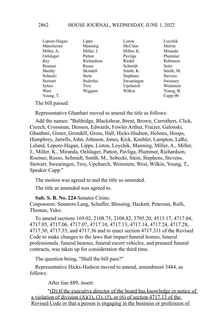| Lepore-Hagan | Lipps      | Liston          | Loychik        |
|--------------|------------|-----------------|----------------|
| Manchester   | Manning    | McClain         | Merrin         |
| Miller, A.   | Miller, J. | Miller, K.      | Miranda        |
| Oelslager    | Patton     | Pavliga         | Plummer        |
| Ray          | Richardson | Riedel          | Robinson       |
| Roemer       | Russo      | Schmidt         | Seitz          |
| Sheehy       | Skindell   | Smith, K.       | Smith, M.      |
| Sobecki      | Stein      | <b>Stephens</b> | <b>Stevens</b> |
| Stewart      | Stoltzfus  | Swearingen      | Sweeney        |
| Sykes        | Troy       | Upchurch        | Weinstein      |
| West         | Wiggam     | Wilkin          | Young, B.      |
| Young, T.    |            |                 | $C$ upp- $90$  |

The bill passed.

Representative Ghanbari moved to amend the title as follows:

Add the names: "Baldridge, Blackshear, Brent, Brown, Carruthers, Click, Creech, Crossman, Denson, Edwards, Fowler Arthur, Fraizer, Galonski, Ghanbari, Ginter, Grendell, Gross, Hall, Hicks-Hudson, Holmes, Hoops, Humphrey, Jarrells, John, Johnson, Jones, Kick, Koehler, Lampton, LaRe, Leland, Lepore-Hagan, Lipps, Liston, Loychik, Manning, Miller, A., Miller, J., Miller, K., Miranda, Oelslager, Patton, Pavliga, Plummer, Richardson, Roemer, Russo, Schmidt, Smith, M., Sobecki, Stein, Stephens, Stevens, Stewart, Swearingen, Troy, Upchurch, Weinstein, West, Wilkin, Young, T., Speaker Cupp."

The motion was agreed to and the title so amended.

The title as amended was agreed to.

**Sub. S. B. No. 224**-Senator Cirino.

Cosponsors: Senators Lang, Schaffer, Blessing, Hackett, Peterson, Rulli, Thomas, Yuko.

To amend sections 169.02, 2108.75, 2108.82, 3705.20, 4513.17, 4717.04, 4717.05, 4717.06, 4717.07, 4717.10, 4717.13, 4717.14, 4717.24, 4717.28, 4717.30, 4717.35, and 4717.36 and to enact section 4717.311 of the Revised Code to make changes to the laws that impact funeral homes, funeral professionals, funeral hearses, funeral escort vehicles, and preneed funeral contracts, was taken up for consideration the third time.

The question being, "Shall the bill pass?"

Representative Hicks-Hudson moved to amend, amendment 3484, as follows:

After line 889, insert:

"(D) If the executive director of the board has knowledge or notice of a violation of division  $(A)(1)$ ,  $(3)$ ,  $(5)$ , or  $(6)$  of section 4717.13 of the Revised Code or that a person is engaging in the business or profession of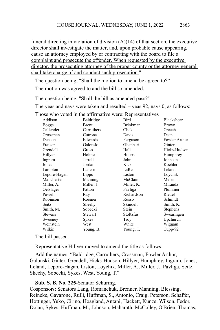funeral directing in violation of division (A)(14) of that section, the executive director shall investigate the matter, and, upon probable cause appearing, cause an attorney employed by or contracting with the board to file a complaint and prosecute the offender. When requested by the executive director, the prosecuting attorney of the proper county or the attorney general shall take charge of and conduct such prosecution."

The question being, "Shall the motion to amend be agreed to?"

The motion was agreed to and the bill so amended.

The question being, "Shall the bill as amended pass?"

The yeas and nays were taken and resulted – yeas 92, nays 0, as follows:

|                |                | $\ldots$        |                      |
|----------------|----------------|-----------------|----------------------|
| Addison        | Baldridge      | Bird            | <b>Blackshear</b>    |
| <b>Boggs</b>   | <b>Brent</b>   | <b>Brinkman</b> | Brown                |
| Callender      | Carruthers     | Click           | Creech               |
| Crossman       | Cutrona        | Davis           | Dean                 |
| Denson         | Edwards        | Ferguson        | <b>Fowler Arthur</b> |
| Fraizer        | Galonski       | Ghanbari        | Ginter               |
| Grendell       | Gross          | Hall            | Hicks-Hudson         |
| Hillyer        | Holmes         | Hoops           | Humphrey             |
| Ingram         | Jarrells       | John            | Johnson              |
| Jones          | Jordan         | Kick            | Koehler              |
| Lampton        | Lanese         | LaRe            | Leland               |
| Lepore-Hagan   | Lipps          | Liston          | Loychik              |
| Manchester     | Manning        | McClain         | Merrin               |
| Miller, A.     | Miller, J.     | Miller, K.      | Miranda              |
| Oelslager      | Patton         | Pavliga         | Plummer              |
| Powell         | Ray            | Richardson      | Riedel               |
| Robinson       | Roemer         | Russo           | Schmidt              |
| Seitz          | Sheehy         | Skindell        | Smith, K.            |
| Smith, M.      | Sobecki        | Stein           | Stephens             |
| <b>Stevens</b> | <b>Stewart</b> | Stoltzfus       | Swearingen           |
| Sweeney        | Sykes          | Troy            | Upchurch             |
| Weinstein      | West           | White           | Wiggam               |
| Wilkin         | Young, B.      | Young, T.       | Cupp-92              |
|                |                |                 |                      |

Those who voted in the affirmative were: Representatives

The bill passed.

Representative Hillyer moved to amend the title as follows:

Add the names: "Baldridge, Carruthers, Crossman, Fowler Arthur, Galonski, Ginter, Grendell, Hicks-Hudson, Hillyer, Humphrey, Ingram, Jones, Leland, Lepore-Hagan, Liston, Loychik, Miller, A., Miller, J., Pavliga, Seitz, Sheehy, Sobecki, Sykes, West, Young, T."

#### **Sub. S. B. No. 225**-Senator Schuring.

Cosponsors: Senators Lang, Romanchuk, Brenner, Manning, Blessing, Reineke, Gavarone, Rulli, Huffman, S., Antonio, Craig, Peterson, Schaffer, Hottinger, Yuko, Cirino, Hoagland, Antani, Hackett, Kunze, Wilson, Fedor, Dolan, Sykes, Huffman, M., Johnson, Maharath, McColley, O'Brien, Thomas,

2863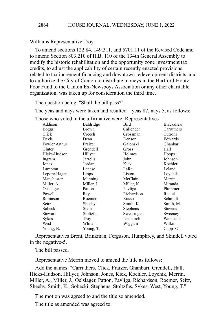Williams Representative Troy.

To amend sections 122.84, 149.311, and 5701.11 of the Revised Code and to amend Section 803.210 of H.B. 110 of the 134th General Assembly to modify the historic rehabilitation and the opportunity zone investment tax credits, to adjust the applicability of certain recently enacted provisions related to tax increment financing and downtown redevelopment districts, and to authorize the City of Canton to distribute moneys in the Hartford-Houtz Poor Fund to the Canton Ex-Newsboys Association or any other charitable organization, was taken up for consideration the third time.

The question being, "Shall the bill pass?"

The yeas and nays were taken and resulted – yeas 87, nays 5, as follows:

Those who voted in the affirmative were: Representatives

| Addison       | Baldridge    | Bird            | <b>Blackshear</b> |
|---------------|--------------|-----------------|-------------------|
| <b>Boggs</b>  | <b>Brown</b> | Callender       | Carruthers        |
| Click         | Creech       | Crossman        | Cutrona           |
| Davis         | Dean         | Denson          | Edwards           |
| Fowler Arthur | Fraizer      | Galonski        | Ghanbari          |
| Ginter        | Grendell     | Gross           | Hall              |
| Hicks-Hudson  | Hillyer      | Holmes          | Hoops             |
| Ingram        | Jarrells     | John            | Johnson           |
| Jones         | Jordan       | Kick            | Koehler           |
| Lampton       | Lanese       | LaRe            | Leland            |
| Lepore-Hagan  | Lipps        | Liston          | Loychik           |
| Manchester    | Manning      | McClain         | Merrin            |
| Miller, A.    | Miller, J.   | Miller, K.      | Miranda           |
| Oelslager     | Patton       | Pavliga         | Plummer           |
| Powell        | Ray          | Richardson      | Riedel            |
| Robinson      | Roemer       | Russo           | Schmidt           |
| Seitz         | Sheehy       | Smith, K.       | Smith, M.         |
| Sobecki       | Stein        | <b>Stephens</b> | <b>Stevens</b>    |
| Stewart       | Stoltzfus    | Swearingen      | Sweeney           |
| Sykes         | Troy         | Upchurch        | Weinstein         |
| West          | White        | Wiggam          | Wilkin            |
| Young, B.     | Young, T.    |                 | Cupp-87           |

Representatives Brent, Brinkman, Ferguson, Humphrey, and Skindell voted in the negative-5.

The bill passed.

Representative Merrin moved to amend the title as follows:

Add the names: "Carruthers, Click, Fraizer, Ghanbari, Grendell, Hall, Hicks-Hudson, Hillyer, Johnson, Jones, Kick, Koehler, Loychik, Merrin, Miller, A., Miller, J., Oelslager, Patton, Pavliga, Richardson, Roemer, Seitz, Sheehy, Smith, K., Sobecki, Stephens, Stoltzfus, Sykes, West, Young, T."

The motion was agreed to and the title so amended.

The title as amended was agreed to.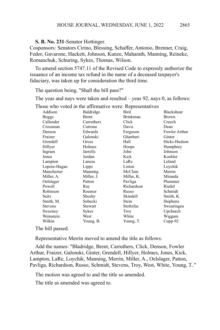2865

**S. B. No. 231**-Senator Hottinger.

Cosponsors: Senators Cirino, Blessing, Schaffer, Antonio, Brenner, Craig, Fedor, Gavarone, Hackett, Johnson, Kunze, Maharath, Manning, Reineke, Romanchuk, Schuring, Sykes, Thomas, Wilson.

To amend section 5747.11 of the Revised Code to expressly authorize the issuance of an income tax refund in the name of a deceased taxpayer's fiduciary, was taken up for consideration the third time.

The question being, "Shall the bill pass?"

The yeas and nays were taken and resulted – yeas 92, nays 0, as follows:

| Addison        | Baldridge       | Bird            | Blackshear    |
|----------------|-----------------|-----------------|---------------|
| <b>Boggs</b>   | Brent           | <b>Brinkman</b> | <b>Brown</b>  |
| Callender      | Carruthers      | Click           | Creech        |
| Crossman       | Cutrona         | Davis           | Dean          |
| Denson         | Edwards         | Ferguson        | Fowler Arthur |
| Fraizer        | Galonski        | Ghanbari        | Ginter        |
| Grendell       | Gross           | Hall            | Hicks-Hudson  |
| Hillyer        | Holmes          | Hoops           | Humphrey      |
| Ingram         | <b>Jarrells</b> | John            | Johnson       |
| Jones          | Jordan          | Kick            | Koehler       |
| Lampton        | Lanese          | LaRe            | Leland        |
| Lepore-Hagan   | Lipps           | Liston          | Loychik       |
| Manchester     | Manning         | McClain         | Merrin        |
| Miller, A.     | Miller, J.      | Miller, K.      | Miranda       |
| Oelslager      | Patton          | Pavliga         | Plummer       |
| Powell         | Ray             | Richardson      | Riedel        |
| Robinson       | Roemer          | Russo           | Schmidt       |
| Seitz          | Sheehy          | Skindell        | Smith, K.     |
| Smith, M.      | Sobecki         | Stein           | Stephens      |
| <b>Stevens</b> | Stewart         | Stoltzfus       | Swearingen    |
| Sweeney        | Sykes           | Troy            | Upchurch      |
| Weinstein      | West            | White           | Wiggam        |
| Wilkin         | Young, B.       | Young, T.       | $Cupp-92$     |
|                |                 |                 |               |

The bill passed.

Representative Merrin moved to amend the title as follows:

Add the names: "Bladridge, Brent, Carruthers, Click, Denson, Fowler Arthur, Fraizer, Galonski, Ginter, Grendell, Hillyer, Holmes, Jones, Kick, Lampton, LaRe, Loychik, Manning, Merrin, Miller, A., Oelslager, Patton, Pavliga, Richardson, Russo, Schmidt, Stevens, Troy, West, White, Young, T.."

The motion was agreed to and the title so amended.

The title as amended was agreed to.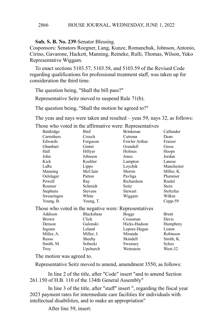**Sub. S. B. No. 239**-Senator Blessing.

Cosponsors: Senators Roegner, Lang, Kunze, Romanchuk, Johnson, Antonio, Cirino, Gavarone, Hackett, Manning, Reineke, Rulli, Thomas, Wilson, Yuko Representative Wiggam.

To enact sections 5103.57, 5103.58, and 5103.59 of the Revised Code regarding qualifications for professional treatment staff, was taken up for consideration the third time.

The question being, "Shall the bill pass?"

Representative Seitz moved to suspend Rule 71(b).

The question being, "Shall the motion be agreed to?"

The yeas and nays were taken and resulted – yeas 59, nays 32, as follows:

Those who voted in the affirmative were: Representatives

| Baldridge                                             | Bird           | <b>Brinkman</b> | Callender        |
|-------------------------------------------------------|----------------|-----------------|------------------|
| Carruthers                                            | Creech         | Cutrona         | Dean             |
| Edwards                                               | Ferguson       | Fowler Arthur   | Fraizer          |
| Ghanbari                                              | Ginter         | Grendell        | Gross            |
| Hall                                                  | Hillyer        | Holmes          | Hoops            |
| John                                                  | Johnson        | Jones           | Jordan           |
| Kick                                                  | Koehler        | Lampton         | Lanese           |
| LaRe                                                  | Lipps          | Loychik         | Manchester       |
| Manning                                               | McClain        | Merrin          | Miller, K.       |
| Oelslager                                             | Patton         | Pavliga         | Plummer          |
| Powell                                                | Ray            | Richardson      | Riedel           |
| Roemer                                                | Schmidt        | Seitz           | Stein            |
| Stephens                                              | <b>Stevens</b> | <b>Stewart</b>  | <b>Stoltzfus</b> |
| Swearingen                                            | White          | Wiggam          | Wilkin           |
| Young, B.                                             | Young, T.      |                 | $Cupp-59$        |
| Those who voted in the negative were: Representatives |                |                 |                  |
| Addison                                               | Blackshear     | <b>Boggs</b>    | <b>Brent</b>     |
| <b>Brown</b>                                          | Click          | Crossman        | Davis            |
| Denson                                                | Galonski       | Hicks-Hudson    | Humphrey         |
| Ingram                                                | Leland         | Lepore-Hagan    | Liston           |
| Miller, A.                                            | Miller, J.     | Miranda         | Robinson         |
| Russo                                                 | Sheehv         | <b>Skindell</b> | Smith. K         |

The motion was agreed to.

Representative Seitz moved to amend, amendment 3550, as follows:

Smith, M. Sobecki Sweeney Sykes Troy Upchurch Weinstein West-32

In line 2 of the title, after "Code" insert "and to amend Section 261.150 of H.B. 110 of the 134th General Assembly"

In line 3 of the title, after "staff" insert ", regarding the fiscal year 2023 payment rates for intermediate care facilities for individuals with intellectual disabilities, and to make an appropriation"

After line 59, insert: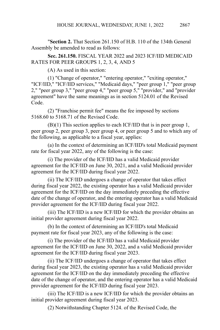"**Section 2.** That Section 261.150 of H.B. 110 of the 134th General Assembly be amended to read as follows:

**Sec. 261.150.** FISCAL YEAR 2022 and 2023 ICF/IID MEDICAID RATES FOR PEER GROUPS 1, 2, 3, 4, AND 5

(A) As used in this section:

(1) "Change of operator," "entering operator," "exiting operator," "ICF/IID," "ICF/IID services," "Medicaid days," "peer group 1," "peer group 2," "peer group 3," "peer group 4," "peer group 5," "provider," and "provider agreement" have the same meanings as in section 5124.01 of the Revised Code.

(2) "Franchise permit fee" means the fee imposed by sections 5168.60 to 5168.71 of the Revised Code.

(B)(1) This section applies to each ICF/IID that is in peer group 1, peer group 2, peer group 3, peer group 4, or peer group 5 and to which any of the following, as applicable to a fiscal year, applies:

(a) In the context of determining an ICF/IID's total Medicaid payment rate for fiscal year 2022, any of the following is the case:

(i) The provider of the ICF/IID has a valid Medicaid provider agreement for the ICF/IID on June 30, 2021, and a valid Medicaid provider agreement for the ICF/IID during fiscal year 2022.

(ii) The ICF/IID undergoes a change of operator that takes effect during fiscal year 2022, the existing operator has a valid Medicaid provider agreement for the ICF/IID on the day immediately preceding the effective date of the change of operator, and the entering operator has a valid Medicaid provider agreement for the ICF/IID during fiscal year 2022.

(iii) The ICF/IID is a new ICF/IID for which the provider obtains an initial provider agreement during fiscal year 2022.

(b) In the context of determining an ICF/IID's total Medicaid payment rate for fiscal year 2023, any of the following is the case:

(i) The provider of the ICF/IID has a valid Medicaid provider agreement for the ICF/IID on June 30, 2022, and a valid Medicaid provider agreement for the ICF/IID during fiscal year 2023.

(ii) The ICF/IID undergoes a change of operator that takes effect during fiscal year 2023, the existing operator has a valid Medicaid provider agreement for the ICF/IID on the day immediately preceding the effective date of the change of operator, and the entering operator has a valid Medicaid provider agreement for the ICF/IID during fiscal year 2023.

(iii) The ICF/IID is a new ICF/IID for which the provider obtains an initial provider agreement during fiscal year 2023.

(2) Notwithstanding Chapter 5124. of the Revised Code, the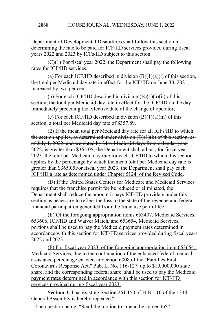Department of Developmental Disabilities shall follow this section in determining the rate to be paid for ICF/IID services provided during fiscal years 2022 and 2023 by ICFs/IID subject to this section.

(C)(1) For fiscal year 2022, the Department shall pay the following rates for ICF/IID services:

(a) For each ICF/IID described in division  $(B)(1)(a)(i)$  of this section, the total per Medicaid day rate in effect for the ICF/IID on June 30, 2021, increased by two per cent;

(b) For each ICF/IID described in division  $(B)(1)(a)(ii)$  of this section, the total per Medicaid day rate in effect for the ICF/IID on the day immediately preceding the effective date of the change of operator;

(c) For each ICF/IID described in division  $(B)(1)(a)(iii)$  of this section, a total per Medicaid day rate of \$357.89.

(2) If the mean total per Medicaid day rate for all ICFs/IID to which the section applies, as determined under division  $(B)(1)(b)$  of this section, as of July 1, 2022, and weighted by May Medicaid days from calendar year 2022, is greater than \$365.05, the Department shall adjust, for fiscal year 2023, the total per Medicaid day rate for each ICF/IID to which this section applies by the percentage by which the mean total per Medicaid day rate is greater than \$365.05For fiscal year 2023, the Department shall pay each ICF/IID a rate as determined under Chapter 5124. of the Revised Code.

(D) If the United States Centers for Medicare and Medicaid Services requires that the franchise permit fee be reduced or eliminated, the Department shall reduce the amount it pays ICF/IID providers under this section as necessary to reflect the loss to the state of the revenue and federal financial participation generated from the franchise permit fee.

(E) Of the foregoing appropriation items 653407, Medicaid Services, 653606, ICF/IID and Waiver Match, and 653654, Medicaid Services, portions shall be used to pay the Medicaid payment rates determined in accordance with this section for ICF/IID services provided during fiscal years 2022 and 2023.

(F) For fiscal year 2023, of the foregoing appropriation item 653654, Medicaid Services, due to the continuation of the enhanced federal medical assistance percentage enacted in Section 6008 of the "Families First Coronavirus Response Act," Pub. L. No. 116-127, up to \$10,000,000 state share, and the corresponding federal share, shall be used to pay the Medicaid payment rates determined in accordance with this section for ICF/IID services provided during fiscal year 2023.

**Section 3.** That existing Section 261.150 of H.B. 110 of the 134th General Assembly is hereby repealed."

The question being, "Shall the motion to amend be agreed to?"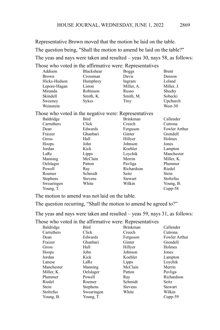Representative Brown moved that the motion be laid on the table.

The question being, "Shall the motion to amend be laid on the table?"

The yeas and nays were taken and resulted – yeas 30, nays 58, as follows:

Those who voted in the affirmative were: Representatives

| Addison         | Blackshear                                            | <b>Boggs</b>    | <b>Brent</b>  |
|-----------------|-------------------------------------------------------|-----------------|---------------|
| <b>Brown</b>    | Crossman                                              | Davis           | Denson        |
| Hicks-Hudson    | Humphrey                                              | Ingram          | Leland        |
| Lepore-Hagan    | Liston                                                | Miller, A.      | Miller, J.    |
| Miranda         | Robinson                                              | Russo           | Sheehy        |
| Skindell        | Smith, K.                                             | Smith, M.       | Sobecki       |
| Sweeney         | Sykes                                                 | Troy            | Upchurch      |
| Weinstein       |                                                       |                 | West-30       |
|                 | Those who voted in the negative were: Representatives |                 |               |
| Baldridge       | Bird                                                  | <b>Brinkman</b> | Callender     |
| Carruthers      | Click                                                 | Creech          | Cutrona       |
| Dean            | Edwards                                               | Ferguson        | Fowler Arthur |
| Fraizer         | Ghanbari                                              | Ginter          | Grendell      |
| Gross           | Hall                                                  | Hillyer         | Holmes        |
| Hoops           | John                                                  | Johnson         | Jones         |
| Jordan          | Kick                                                  | Koehler         | Lampton       |
| LaRe            | Lipps                                                 | Lovchik         | Manchester    |
| Manning         | McClain                                               | Merrin          | Miller, K.    |
| Oelslager       | Patton                                                | Pavliga         | Plummer       |
| Powell          | Ray                                                   | Richardson      | Riedel        |
| Roemer          | Schmidt                                               | Seitz           | Stein         |
| <b>Stephens</b> | <b>Stevens</b>                                        | Stewart         | Stoltzfus     |
| Swearingen      | White                                                 | Wilkin          | Young B       |

The motion to amend was not laid on the table.

The question recurring, "Shall the motion to amend be agreed to?"

The yeas and nays were taken and resulted – yeas 59, nays 31, as follows:

Swearingen White Wilkin Young, B. Young, T. Cupp-58

Those who voted in the affirmative were: Representatives

| Baldridge        | <b>Bird</b>     | <b>Brinkman</b> | Callender      |
|------------------|-----------------|-----------------|----------------|
| Carruthers       | Click           | Creech          | Cutrona        |
| Dean             | Edwards         | Ferguson        | Fowler Arthur  |
| Fraizer          | Ghanbari        | Ginter          | Grendell       |
| Gross            | Hall            | Hillyer         | Holmes         |
| Hoops            | John            | Johnson         | Jones          |
| Jordan           | Kick            | Koehler         | Lampton        |
| Lanese           | LaRe            | Lipps           | Loychik        |
| Manchester       | Manning         | McClain         | Merrin         |
| Miller, K.       | Oelslager       | Patton          | Pavliga        |
| Plummer          | Powell          | Ray             | Richardson     |
| Riedel           | Roemer          | Schmidt         | Seitz          |
| Stein            | <b>Stephens</b> | <b>Stevens</b>  | <b>Stewart</b> |
| <b>Stoltzfus</b> | Swearingen      | White           | Wilkin         |
| Young, B.        | Young, T.       |                 | $Cupp-59$      |
|                  |                 |                 |                |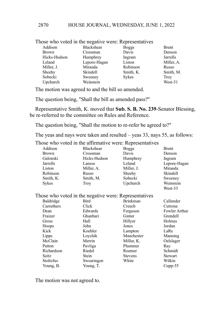|              | lose who voicu in the hegative were. Representatives |              |              |
|--------------|------------------------------------------------------|--------------|--------------|
| Addison      | Blackshear                                           | <b>Boggs</b> | <b>Brent</b> |
| <b>Brown</b> | Crossman                                             | Davis        | Denson       |
| Hicks-Hudson | Humphrey                                             | Ingram       | Jarrells     |
| Leland       | Lepore-Hagan                                         | Liston       | Miller, A.   |
| Miller, J.   | Miranda                                              | Robinson     | Russo        |
| Sheehy       | Skindell                                             | Smith, K.    | Smith, M.    |
| Sobecki      | Sweeney                                              | Sykes        | <b>Troy</b>  |
| Upchurch     | Weinstein                                            |              | West-31      |
|              |                                                      |              |              |

Those who voted in the negative were: Representatives

The motion was agreed to and the bill so amended.

The question being, "Shall the bill as amended pass?"

Representative Smith, K. moved that **Sub. S. B. No. 239**-Senator Blessing, be re-referred to the committee on Rules and Reference.

The question being, "Shall the motion to re-refer be agreed to?"

The yeas and nays were taken and resulted – yeas 33, nays 55, as follows:

Those who voted in the affirmative were: Representatives

| Addison      | Blackshear   | <b>Boggs</b> | <b>Brent</b> |
|--------------|--------------|--------------|--------------|
| <b>Brown</b> | Crossman     | Davis        | Denson       |
| Galonski     | Hicks-Hudson | Humphrey     | Ingram       |
| Jarrells     | Lanese       | Leland       | Lepore-Hagan |
| Liston       | Miller, A.   | Miller, J.   | Miranda      |
| Robinson     | Russo        | Sheehy       | Skindell     |
| Smith, K.    | Smith, M.    | Sobecki      | Sweeney      |
| <b>Sykes</b> | Troy         | Upchurch     | Weinstein    |
|              |              |              | West-33      |

Those who voted in the negative were: Representatives

| Baldridge  | Bird       | <b>Brinkman</b> | Callender      |
|------------|------------|-----------------|----------------|
| Carruthers | Click      | Creech          | Cutrona        |
| Dean       | Edwards    | Ferguson        | Fowler Arthur  |
| Fraizer    | Ghanbari   | Ginter          | Grendell       |
| Gross      | Hall       | Hillyer         | Holmes         |
| Hoops      | John       | Jones           | Jordan         |
| Kick       | Koehler    | Lampton         | LaRe           |
| Lipps      | Loychik    | Manchester      | Manning        |
| McClain    | Merrin     | Miller, K.      | Oelslager      |
| Patton     | Pavliga    | Plummer         | Ray            |
| Richardson | Riedel     | Roemer          | Schmidt        |
| Seitz      | Stein      | <b>Stevens</b>  | <b>Stewart</b> |
| Stoltzfus  | Swearingen | White           | Wilkin         |
| Young, B.  | Young, T.  |                 | $Cupp-55$      |
|            |            |                 |                |

The motion was not agreed to.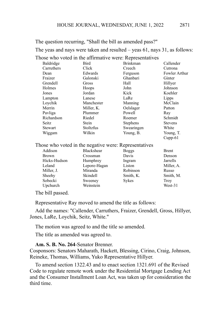The question recurring, "Shall the bill as amended pass?"

The yeas and nays were taken and resulted – yeas 61, nays 31, as follows:

Those who voted in the affirmative were: Representatives

| Baldridge    | Bird                                                  | <b>Brinkman</b> | Callender      |
|--------------|-------------------------------------------------------|-----------------|----------------|
| Carruthers   | Click                                                 | Creech          | Cutrona        |
| Dean         | Edwards                                               | Ferguson        | Fowler Arthur  |
| Fraizer      | Galonski                                              | Ghanbari        | Ginter         |
| Grendell     | Gross                                                 | Hall            | Hillyer        |
| Holmes       | Hoops                                                 | John            | Johnson        |
| Jones        | Jordan                                                | Kick            | Koehler        |
| Lampton      | Lanese                                                | LaRe            | Lipps          |
| Loychik      | Manchester                                            | Manning         | McClain        |
| Merrin       | Miller, K.                                            | Oelslager       | Patton         |
| Pavliga      | Plummer                                               | Powell          | Ray            |
| Richardson   | Riedel                                                | Roemer          | Schmidt        |
| Seitz        | Stein                                                 | Stephens        | <b>Stevens</b> |
| Stewart      | Stoltzfus                                             | Swearingen      | White          |
| Wiggam       | Wilkin                                                | Young, B.       | Young, T.      |
|              |                                                       |                 | $Cupp-61$      |
|              | Those who voted in the negative were: Representatives |                 |                |
| Addison      | Blackshear                                            | <b>Boggs</b>    | <b>Brent</b>   |
| <b>Brown</b> | Crossman                                              | Davis           | Denson         |
| Hicks-Hudson | Humphrey                                              | Ingram          | Jarrells       |
| Leland       | Lepore-Hagan                                          | Liston          | Miller, A.     |
| Miller, J.   | Miranda                                               | Robinson        | Russo          |
| Sheehy       | Skindell                                              | Smith, K.       | Smith, M.      |
| Sobecki      | Sweeney                                               | Sykes           | Troy           |
| Upchurch     | Weinstein                                             |                 | West-31        |

The bill passed.

Representative Ray moved to amend the title as follows:

Add the names: "Callender, Carruthers, Fraizer, Grendell, Gross, Hillyer, Jones, LaRe, Loychik, Seitz, White."

The motion was agreed to and the title so amended.

The title as amended was agreed to.

#### **Am. S. B. No. 264**-Senator Brenner.

Cosponsors: Senators Maharath, Hackett, Blessing, Cirino, Craig, Johnson, Reineke, Thomas, Williams, Yuko Representative Hillyer.

To amend section 1322.43 and to enact section 1321.691 of the Revised Code to regulate remote work under the Residential Mortgage Lending Act and the Consumer Installment Loan Act, was taken up for consideration the third time.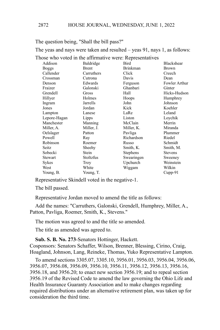The question being, "Shall the bill pass?"

The yeas and nays were taken and resulted – yeas 91, nays 1, as follows:

Those who voted in the affirmative were: Representatives

| Addison      | Baldridge    | Bird            | Blackshear     |
|--------------|--------------|-----------------|----------------|
| Boggs        | <b>Brent</b> | <b>Brinkman</b> | Brown          |
| Callender    | Carruthers   | Click           | Creech         |
| Crossman     | Cutrona      | Davis           | Dean           |
| Denson       | Edwards      | Ferguson        | Fowler Arthur  |
| Fraizer      | Galonski     | Ghanbari        | Ginter         |
| Grendell     | Gross        | Hall            | Hicks-Hudson   |
| Hillyer      | Holmes       | Hoops           | Humphrey       |
| Ingram       | Jarrells     | John            | Johnson        |
| Jones        | Jordan       | Kick            | Koehler        |
| Lampton      | Lanese       | LaRe            | Leland         |
| Lepore-Hagan | Lipps        | Liston          | Loychik        |
| Manchester   | Manning      | McClain         | Merrin         |
| Miller, A.   | Miller, J.   | Miller, K.      | Miranda        |
| Oelslager    | Patton       | Pavliga         | Plummer        |
| Powell       | Ray          | Richardson      | Riedel         |
| Robinson     | Roemer       | Russo           | Schmidt        |
| Seitz        | Sheehy       | Smith, K.       | Smith, M.      |
| Sobecki      | Stein        | Stephens        | <b>Stevens</b> |
| Stewart      | Stoltzfus    | Swearingen      | Sweeney        |
| Sykes        | Troy         | Upchurch        | Weinstein      |
| West         | White        | Wiggam          | Wilkin         |
| Young, B.    | Young, T.    |                 | Cupp-91        |

Representative Skindell voted in the negative-1.

The bill passed.

Representative Jordan moved to amend the title as follows:

Add the names: "Carruthers, Galonski, Grendell, Humphrey, Miller, A., Patton, Pavliga, Roemer, Smith, K., Stevens."

The motion was agreed to and the title so amended.

The title as amended was agreed to.

**Sub. S. B. No. 273**-Senators Hottinger, Hackett.

Cosponsors: Senators Schaffer, Wilson, Brenner, Blessing, Cirino, Craig, Hoagland, Johnson, Lang, Reineke, Thomas, Yuko Representative Lampton.

To amend sections 3305.07, 3305.10, 3956.01, 3956.03, 3956.04, 3956.06, 3956.07, 3956.08, 3956.09, 3956.10, 3956.11, 3956.12, 3956.13, 3956.16, 3956.18, and 3956.20; to enact new section 3956.19; and to repeal section 3956.19 of the Revised Code to amend the law governing the Ohio Life and Health Insurance Guaranty Association and to make changes regarding required distributions under an alternative retirement plan, was taken up for consideration the third time.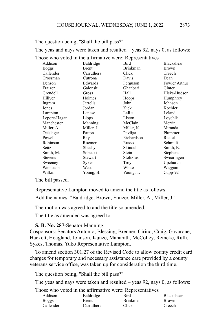The question being, "Shall the bill pass?"

The yeas and nays were taken and resulted – yeas 92, nays 0, as follows:

Those who voted in the affirmative were: Representatives

| Addison      | Baldridge    | Bird            | Blackshear      |
|--------------|--------------|-----------------|-----------------|
| Boggs        | <b>Brent</b> | <b>Brinkman</b> | Brown           |
| Callender    | Carruthers   | Click           | Creech          |
| Crossman     | Cutrona      | Davis           | Dean            |
| Denson       | Edwards      | Ferguson        | Fowler Arthur   |
| Fraizer      | Galonski     | Ghanbari        | Ginter          |
| Grendell     | Gross        | Hall            | Hicks-Hudson    |
| Hillyer      | Holmes       | Hoops           | Humphrey        |
| Ingram       | Jarrells     | John            | Johnson         |
| Jones        | Jordan       | Kick            | Koehler         |
| Lampton      | Lanese       | LaRe            | Leland          |
| Lepore-Hagan | Lipps        | Liston          | Loychik         |
| Manchester   | Manning      | McClain         | Merrin          |
| Miller, A.   | Miller, J.   | Miller, K.      | Miranda         |
| Oelslager    | Patton       | Pavliga         | Plummer         |
| Powell       | Ray          | Richardson      | Riedel          |
| Robinson     | Roemer       | Russo           | Schmidt         |
| Seitz        | Sheehy       | Skindell        | Smith, K.       |
| Smith, M.    | Sobecki      | Stein           | <b>Stephens</b> |
| Stevens      | Stewart      | Stoltzfus       | Swearingen      |
| Sweeney      | Sykes        | Troy            | Upchurch        |
| Weinstein    | West         | White           | Wiggam          |
| Wilkin       | Young, B.    | Young, T.       | $Cupp-92$       |
|              |              |                 |                 |

The bill passed.

Representative Lampton moved to amend the title as follows:

Add the names: "Baldridge, Brown, Fraizer, Miller, A., Miller, J."

The motion was agreed to and the title so amended.

The title as amended was agreed to.

#### **S. B. No. 287**-Senator Manning.

Cosponsors: Senators Antonio, Blessing, Brenner, Cirino, Craig, Gavarone, Hackett, Hoagland, Johnson, Kunze, Maharath, McColley, Reineke, Rulli, Sykes, Thomas, Yuko Representative Lampton.

To amend section 301.27 of the Revised Code to allow county credit card charges for temporary and necessary assistance care provided by a county veterans service office, was taken up for consideration the third time.

The question being, "Shall the bill pass?"

The yeas and nays were taken and resulted – yeas 92, nays 0, as follows:

Those who voted in the affirmative were: Representatives

| Addison   | Baldridge    | <b>Bird</b>     | <b>Blackshear</b> |
|-----------|--------------|-----------------|-------------------|
| Boggs     | <b>Brent</b> | <b>Brinkman</b> | <b>Brown</b>      |
| Callender | Carruthers   | Click           | Creech            |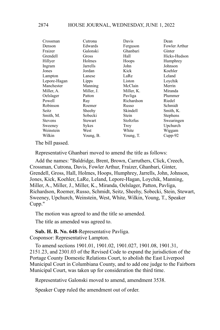| Crossman       | Cutrona    | Davis      | Dean            |
|----------------|------------|------------|-----------------|
| Denson         | Edwards    | Ferguson   | Fowler Arthur   |
| Fraizer        | Galonski   | Ghanbari   | Ginter          |
| Grendell       | Gross      | Hall       | Hicks-Hudson    |
| Hillyer        | Holmes     | Hoops      | Humphrey        |
| Ingram         | Jarrells   | John       | Johnson         |
| Jones          | Jordan     | Kick       | Koehler         |
| Lampton        | Lanese     | LaRe       | Leland          |
| Lepore-Hagan   | Lipps      | Liston     | Loychik         |
| Manchester     | Manning    | McClain    | Merrin          |
| Miller, A.     | Miller, J. | Miller, K. | Miranda         |
| Oelslager      | Patton     | Pavliga    | Plummer         |
| Powell         | Ray        | Richardson | Riedel          |
| Robinson       | Roemer     | Russo      | Schmidt         |
| Seitz          | Sheehy     | Skindell   | Smith, K.       |
| Smith, M.      | Sobecki    | Stein      | <b>Stephens</b> |
| <b>Stevens</b> | Stewart    | Stoltzfus  | Swearingen      |
| Sweeney        | Sykes      | Troy       | Upchurch        |
| Weinstein      | West       | White      | Wiggam          |
| Wilkin         | Young, B.  | Young, T.  | $Cupp-92$       |

The bill passed.

Representative Ghanbari moved to amend the title as follows:

Add the names: "Baldridge, Brent, Brown, Carruthers, Click, Creech, Crossman, Cutrona, Davis, Fowler Arthur, Fraizer, Ghanbari, Ginter, Grendell, Gross, Hall, Holmes, Hoops, Humphrey, Jarrells, John, Johnson, Jones, Kick, Koehler, LaRe, Leland, Lepore-Hagan, Loychik, Manning, Miller, A., Miller, J., Miller, K., Miranda, Oelslager, Patton, Pavliga, Richardson, Roemer, Russo, Schmidt, Seitz, Sheehy, Sobecki, Stein, Stewart, Sweeney, Upchurch, Weinstein, West, White, Wilkin, Young, T., Speaker Cupp."

The motion was agreed to and the title so amended.

The title as amended was agreed to.

# **Sub. H. B. No. 648**-Representative Pavliga.

Cosponsor: Representative Lampton.

To amend sections 1901.01, 1901.02, 1901.027, 1901.08, 1901.31, 2151.23, and 2301.03 of the Revised Code to expand the jurisdiction of the Portage County Domestic Relations Court, to abolish the East Liverpool Municipal Court in Columbiana County, and to add one judge to the Fairborn Municipal Court, was taken up for consideration the third time.

Representative Galonski moved to amend, amendment 3538.

Speaker Cupp ruled the amendment out of order.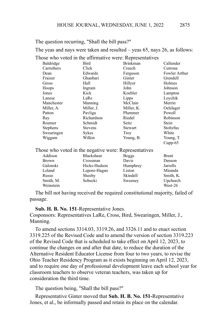The question recurring, "Shall the bill pass?"

The yeas and nays were taken and resulted – yeas 65, nays 26, as follows:

Those who voted in the affirmative were: Representatives

| Baldridge       | Bird                                                  | <b>Brinkman</b> | Callender        |
|-----------------|-------------------------------------------------------|-----------------|------------------|
| Carruthers      | Click                                                 | Creech          | Cutrona          |
| Dean            | Edwards                                               | Ferguson        | Fowler Arthur    |
| Fraizer         | Ghanbari                                              | Ginter          | Grendell         |
| Gross           | Hall                                                  | Hillyer         | Holmes           |
| Hoops           | Ingram                                                | John            | Johnson          |
| Jones           | Kick                                                  | Koehler         | Lampton          |
| Lanese          | LaRe                                                  | Lipps           | Loychik          |
| Manchester      | Manning                                               | McClain         | Merrin           |
| Miller, A.      | Miller, J.                                            | Miller, K.      | Oelslager        |
| Patton          | Pavliga                                               | Plummer         | Powell           |
| Ray             | Richardson                                            | Riedel          | Robinson         |
| Roemer          | Schmidt                                               | <b>Seitz</b>    | Stein            |
| <b>Stephens</b> | <b>Stevens</b>                                        | Stewart         | <b>Stoltzfus</b> |
| Swearingen      | Sykes                                                 | Troy            | White            |
| Wiggam          | Wilkin                                                | Young, B.       | Young, T.        |
|                 |                                                       |                 | $Cupp-65$        |
|                 | Those who voted in the negative were: Representatives |                 |                  |
| Addison         | <b>Blackshear</b>                                     | <b>Boggs</b>    | <b>Brent</b>     |
| <b>Brown</b>    | Crossman                                              | Davis           | Denson           |
| Galonski        | Hicks-Hudson                                          | Humphrey        | Jarrells         |
| Leland          | Lepore-Hagan                                          | Liston          | Miranda          |
| Russo           | Sheehy                                                | Skindell        | Smith, K.        |
| Smith, M.       | Sobecki                                               | Sweeney         | Upchurch         |
| Weinstein       |                                                       |                 | West-26          |

The bill not having received the required constitutional majority, failed of passage.

**Sub. H. B. No. 151**-Representative Jones.

Cosponsors: Representatives LaRe, Cross, Bird, Swearingen, Miller, J., Manning.

To amend sections 3314.03, 3319.26, and 3326.11 and to enact section 3319.225 of the Revised Code and to amend the version of section 3319.223 of the Revised Code that is scheduled to take effect on April 12, 2023, to continue the changes on and after that date, to reduce the duration of the Alternative Resident Educator License from four to two years, to revise the Ohio Teacher Residency Program as it exists beginning on April 12, 2023, and to require one day of professional development leave each school year for classroom teachers to observe veteran teachers, was taken up for consideration the third time.

The question being, "Shall the bill pass?"

Representative Ginter moved that **Sub. H. B. No. 151-**Representative Jones, et al., be informally passed and retain its place on the calendar.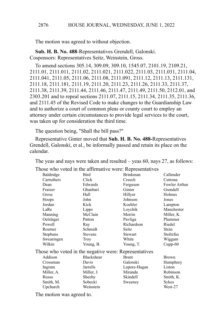The motion was agreed to without objection.

**Sub. H. B. No. 488**-Representatives Grendell, Galonski. Cosponsors: Representatives Seitz, Weinstein, Gross.

To amend sections 305.14, 309.09, 309.10, 1545.07, 2101.19, 2109.21, 2111.01, 2111.011, 2111.02, 2111.021, 2111.022, 2111.03, 2111.031, 2111.04, 2111.041, 2111.05, 2111.06, 2111.08, 2111.091, 2111.12, 2111.13, 2111.131, 2111.18, 2111.181, 2111.19, 2111.20, 2111.23, 2111.26, 2111.33, 2111.37, 2111.38, 2111.39, 2111.44, 2111.46, 2111.47, 2111.49, 2111.50, 2112.01, and 2303.201 and to repeal sections 2111.07, 2111.15, 2111.34, 2111.35, 2111.36, and 2111.45 of the Revised Code to make changes to the Guardianship Law and to authorize a court of common pleas or county court to employ an attorney under certain circumstances to provide legal services to the court, was taken up for consideration the third time.

The question being, "Shall the bill pass?"

Representative Ginter moved that **Sub. H. B. No. 488-**Representatives Grendell, Galonski, et al., be informally passed and retain its place on the calendar.

The yeas and nays were taken and resulted – yeas 60, nays 27, as follows:

| THUS WHO YOUGHT THE THEIR THE WOLD. IMPLESSINGLY VS   |                   |                 |               |
|-------------------------------------------------------|-------------------|-----------------|---------------|
| Baldridge                                             | Bird              | <b>Brinkman</b> | Callender     |
| Carruthers                                            | Click             | Creech          | Cutrona       |
| Dean                                                  | Edwards           | Ferguson        | Fowler Arthur |
| Fraizer                                               | Ghanbari          | Ginter          | Grendell      |
| Gross                                                 | Hall              | Hillyer         | Holmes        |
| Hoops                                                 | John              | Johnson         | Jones         |
| Jordan                                                | Kick              | Koehler         | Lampton       |
| LaRe                                                  | Lipps             | Loychik         | Manchester    |
| Manning                                               | McClain           | Merrin          | Miller, K.    |
| Oelslager                                             | Patton            | Pavliga         | Plummer       |
| Powell                                                | Ray               | Richardson      | Riedel        |
| Roemer                                                | Schmidt           | Seitz           | Stein         |
| <b>Stephens</b>                                       | <b>Stevens</b>    | Stewart         | Stoltzfus     |
| Swearingen                                            | Troy              | White           | Wiggam        |
| Wilkin                                                | Young, B.         | Young, T.       | $Cupp-60$     |
| Those who voted in the negative were: Representatives |                   |                 |               |
| Addison                                               | <b>Blackshear</b> | <b>Brent</b>    | <b>Brown</b>  |
| Crossman                                              | Davis             | Galonski        | Humphrey      |
| Ingram                                                | Jarrells          | Lepore-Hagan    | Liston        |
| Miller, A.                                            | Miller, J.        | Miranda         | Robinson      |
| Russo                                                 | Sheehy            | Skindell        | Smith, K.     |
| Smith, M.                                             | Sobecki           | Sweeney         | Sykes         |
| Upchurch                                              | Weinstein         |                 | West-27       |
|                                                       |                   |                 |               |

Those who voted in the affirmative were: Representatives

The motion was agreed to.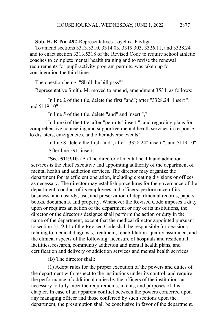**Sub. H. B. No. 492**-Representatives Loychik, Pavliga.

To amend sections 3313.5310, 3314.03, 3319.303, 3326.11, and 3328.24 and to enact section 3313.5318 of the Revised Code to require school athletic coaches to complete mental health training and to revise the renewal requirements for pupil-activity program permits, was taken up for consideration the third time.

The question being, "Shall the bill pass?"

Representative Smith, M. moved to amend, amendment 3534, as follows:

In line 2 of the title, delete the first "and"; after "3328.24" insert ", and 5119.10"

In line 5 of the title, delete "and" and insert ","

In line 6 of the title, after "permits" insert ", and regarding plans for comprehensive counseling and supportive mental health services in response to disasters, emergencies, and other adverse events"

In line 8, delete the first "and"; after "3328.24" insert ", and 5119.10"

After line 591, insert:

"**Sec. 5119.10.** (A) The director of mental health and addiction services is the chief executive and appointing authority of the department of mental health and addiction services. The director may organize the department for its efficient operation, including creating divisions or offices as necessary. The director may establish procedures for the governance of the department, conduct of its employees and officers, performance of its business, and custody, use, and preservation of departmental records, papers, books, documents, and property. Whenever the Revised Code imposes a duty upon or requires an action of the department or any of its institutions, the director or the director's designee shall perform the action or duty in the name of the department, except that the medical director appointed pursuant to section 5119.11 of the Revised Code shall be responsible for decisions relating to medical diagnosis, treatment, rehabilitation, quality assurance, and the clinical aspects of the following: licensure of hospitals and residential facilities, research, community addiction and mental health plans, and certification and delivery of addiction services and mental health services.

(B) The director shall:

(1) Adopt rules for the proper execution of the powers and duties of the department with respect to the institutions under its control, and require the performance of additional duties by the officers of the institutions as necessary to fully meet the requirements, intents, and purposes of this chapter. In case of an apparent conflict between the powers conferred upon any managing officer and those conferred by such sections upon the department, the presumption shall be conclusive in favor of the department.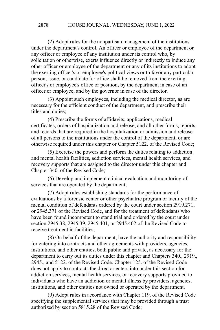(2) Adopt rules for the nonpartisan management of the institutions under the department's control. An officer or employee of the department or any officer or employee of any institution under its control who, by solicitation or otherwise, exerts influence directly or indirectly to induce any other officer or employee of the department or any of its institutions to adopt the exerting officer's or employee's political views or to favor any particular person, issue, or candidate for office shall be removed from the exerting officer's or employee's office or position, by the department in case of an officer or employee, and by the governor in case of the director.

(3) Appoint such employees, including the medical director, as are necessary for the efficient conduct of the department, and prescribe their titles and duties;

(4) Prescribe the forms of affidavits, applications, medical certificates, orders of hospitalization and release, and all other forms, reports, and records that are required in the hospitalization or admission and release of all persons to the institutions under the control of the department, or are otherwise required under this chapter or Chapter 5122. of the Revised Code;

(5) Exercise the powers and perform the duties relating to addiction and mental health facilities, addiction services, mental health services, and recovery supports that are assigned to the director under this chapter and Chapter 340. of the Revised Code;

(6) Develop and implement clinical evaluation and monitoring of services that are operated by the department;

(7) Adopt rules establishing standards for the performance of evaluations by a forensic center or other psychiatric program or facility of the mental condition of defendants ordered by the court under section 2919.271, or 2945.371 of the Revised Code, and for the treatment of defendants who have been found incompetent to stand trial and ordered by the court under section 2945.38, 2945.39, 2945.401, or 2945.402 of the Revised Code to receive treatment in facilities;

(8) On behalf of the department, have the authority and responsibility for entering into contracts and other agreements with providers, agencies, institutions, and other entities, both public and private, as necessary for the department to carry out its duties under this chapter and Chapters 340., 2919., 2945., and 5122. of the Revised Code. Chapter 125. of the Revised Code does not apply to contracts the director enters into under this section for addiction services, mental health services, or recovery supports provided to individuals who have an addiction or mental illness by providers, agencies, institutions, and other entities not owned or operated by the department.

(9) Adopt rules in accordance with Chapter 119. of the Revised Code specifying the supplemental services that may be provided through a trust authorized by section 5815.28 of the Revised Code;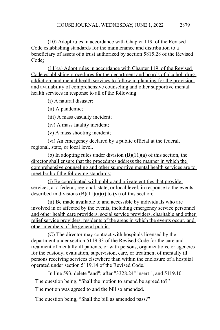(10) Adopt rules in accordance with Chapter 119. of the Revised Code establishing standards for the maintenance and distribution to a beneficiary of assets of a trust authorized by section 5815.28 of the Revised Code;

(11)(a) Adopt rules in accordance with Chapter 119. of the Revised Code establishing procedures for the department and boards of alcohol, drug addiction, and mental health services to follow in planning for the provision and availability of comprehensive counseling and other supportive mental health services in response to all of the following:

(i) A natural disaster;

(ii) A pandemic;

(iii) A mass casualty incident;

(iv) A mass fatality incident;

(v) A mass shooting incident;

(vi) An emergency declared by a public official at the federal, regional, state, or local level.

(b) In adopting rules under division  $(B)(11)(a)$  of this section, the director shall ensure that the procedures address the manner in which the comprehensive counseling and other supportive mental health services are to meet both of the following standards:

(i) Be coordinated with public and private entities that provide services, at a federal, regional, state, or local level, in response to the events described in divisions  $(B)(11)(a)(i)$  to (vi) of this section;

(ii) Be made available to and accessible by individuals who are involved in or affected by the events, including emergency service personnel and other health care providers, social service providers, charitable and other relief service providers, residents of the areas in which the events occur, and other members of the general public.

(C) The director may contract with hospitals licensed by the department under section 5119.33 of the Revised Code for the care and treatment of mentally ill patients, or with persons, organizations, or agencies for the custody, evaluation, supervision, care, or treatment of mentally ill persons receiving services elsewhere than within the enclosure of a hospital operated under section 5119.14 of the Revised Code."

In line 593, delete "and"; after "3328.24" insert ", and 5119.10"

The question being, "Shall the motion to amend be agreed to?"

The motion was agreed to and the bill so amended.

The question being, "Shall the bill as amended pass?"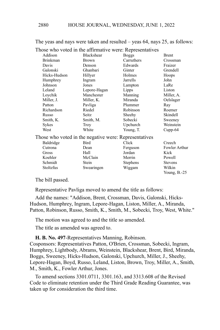| Those who voted in the affirmative were: Representatives |                   |              |                |
|----------------------------------------------------------|-------------------|--------------|----------------|
| Addison                                                  | <b>Blackshear</b> | <b>Boggs</b> | <b>Brent</b>   |
| <b>Brinkman</b>                                          | <b>Brown</b>      | Carruthers   | Crossman       |
| Davis                                                    | Denson            | Edwards      | Fraizer        |
| Galonski                                                 | Ghanbari          | Ginter       | Grendell       |
| Hicks-Hudson                                             | Hillyer           | Holmes       | Hoops          |
| Humphrey                                                 | Ingram            | Jarrells     | John           |
| Johnson                                                  | Jones             | Lampton      | LaRe           |
| Leland                                                   | Lepore-Hagan      | Lipps        | Liston         |
| Loychik                                                  | Manchester        | Manning      | Miller, A.     |
| Miller, J.                                               | Miller, K.        | Miranda      | Oelslager      |
| Patton                                                   | Pavliga           | Plummer      | Ray            |
| Richardson                                               | Riedel            | Robinson     | Roemer         |
| Russo                                                    | Seitz             | Sheehy       | Skindell       |
| Smith, K.                                                | Smith, M.         | Sobecki      | Sweeney        |
| Sykes                                                    | Troy              | Upchurch     | Weinstein      |
| West                                                     | White             | Young, T.    | $Cupp-64$      |
| Those who voted in the negative were: Representatives    |                   |              |                |
| Baldridge                                                | Bird              | Click        | Creech         |
| Cutrona                                                  | Dean              | Ferguson     | Fowler Arthur  |
| Gross                                                    | Hall              | Jordan       | Kick           |
| Koehler                                                  | McClain           | Merrin       | Powell         |
| Schmidt                                                  | Stein             | Stephens     | <b>Stevens</b> |
| Stoltzfus                                                | Swearingen        | Wiggam       | Wilkin         |
|                                                          |                   |              | Young, $B.-25$ |

The yeas and nays were taken and resulted – yeas 64, nays 25, as follows:

The bill passed.

Representative Pavliga moved to amend the title as follows:

Add the names: "Addison, Brent, Crossman, Davis, Galonski, Hicks-Hudson, Humphrey, Ingram, Lepore-Hagan, Liston, Miller, A., Miranda, Patton, Robinson, Russo, Smith, K., Smith, M., Sobecki, Troy, West, White."

The motion was agreed to and the title so amended.

The title as amended was agreed to.

**H. B. No. 497**-Representatives Manning, Robinson.

Cosponsors: Representatives Patton, O'Brien, Crossman, Sobecki, Ingram, Humphrey, Lightbody, Abrams, Weinstein, Blackshear, Brent, Bird, Miranda, Boggs, Sweeney, Hicks-Hudson, Galonski, Upchurch, Miller, J., Sheehy, Lepore-Hagan, Boyd, Russo, Leland, Liston, Brown, Troy, Miller, A., Smith, M., Smith, K., Fowler Arthur, Jones.

To amend sections 3301.0711, 3301.163, and 3313.608 of the Revised Code to eliminate retention under the Third Grade Reading Guarantee, was taken up for consideration the third time.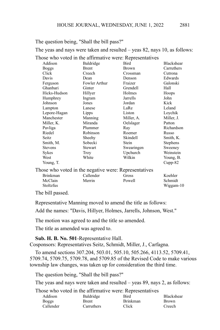The question being, "Shall the bill pass?"

The yeas and nays were taken and resulted – yeas 82, nays 10, as follows:

Those who voted in the affirmative were: Representatives

| Addison                                               | Baldridge     | Bird       | <b>Blackshear</b> |
|-------------------------------------------------------|---------------|------------|-------------------|
| <b>Boggs</b>                                          | Brent         | Brown      | Carruthers        |
| Click                                                 | Creech        | Crossman   | Cutrona           |
| Davis                                                 | Dean          | Denson     | Edwards           |
| Ferguson                                              | Fowler Arthur | Fraizer    | Galonski          |
| Ghanbari                                              | Ginter        | Grendell   | Hall              |
| Hicks-Hudson                                          | Hillyer       | Holmes     | Hoops             |
| Humphrey                                              | Ingram        | Jarrells   | John              |
| Johnson                                               | Jones         | Jordan     | Kick              |
| Lampton                                               | Lanese        | LaRe       | Leland            |
| Lepore-Hagan                                          | Lipps         | Liston     | Loychik           |
| Manchester                                            | Manning       | Miller, A. | Miller, J.        |
| Miller, K.                                            | Miranda       | Oelslager  | Patton            |
| Pavliga                                               | Plummer       | Ray        | Richardson        |
| Riedel                                                | Robinson      | Roemer     | Russo             |
| Seitz                                                 | Sheehy        | Skindell   | Smith, K.         |
| Smith, M.                                             | Sobecki       | Stein      | <b>Stephens</b>   |
| <b>Stevens</b>                                        | Stewart       | Swearingen | Sweeney           |
| Sykes                                                 | Troy          | Upchurch   | Weinstein         |
| West                                                  | White         | Wilkin     | Young, B.         |
| Young, T.                                             |               |            | $Cupp-82$         |
| Those who voted in the negative were: Representatives |               |            |                   |
| <b>Brinkman</b>                                       | Callender     | Gross      | Koehler           |
| McClain                                               | Merrin        | Powell     | Schmidt           |
| Stoltzfus                                             |               |            | Wiggam-10         |

The bill passed.

Representative Manning moved to amend the title as follows:

Add the names: "Davis, Hillyer, Holmes, Jarrells, Johnson, West."

The motion was agreed to and the title so amended.

The title as amended was agreed to.

**Sub. H. B. No. 501**-Representative Hall.

Cosponsors: Representatives Seitz, Schmidt, Miller, J., Carfagna.

To amend sections 307.204, 503.01, 505.10, 505.266, 4113.52, 5709.41, 5709.74, 5709.75, 5709.78, and 5709.85 of the Revised Code to make various township law changes, was taken up for consideration the third time.

The question being, "Shall the bill pass?"

The yeas and nays were taken and resulted – yeas 89, nays 2, as follows:

Those who voted in the affirmative were: Representatives

| Addison   | Baldridge    | Bird            | <b>Blackshear</b> |
|-----------|--------------|-----------------|-------------------|
| Boggs     | <b>Brent</b> | <b>Brinkman</b> | <b>Brown</b>      |
| Callender | Carruthers   | Click           | Creech            |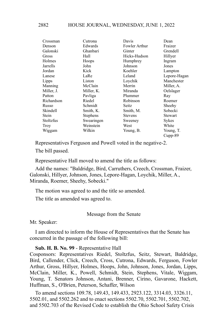| Crossman   | Cutrona         | Davis          | Dean         |
|------------|-----------------|----------------|--------------|
| Denson     | Edwards         | Fowler Arthur  | Fraizer      |
| Galonski   | Ghanbari        | Ginter         | Grendell     |
| Gross      | Hall            | Hicks-Hudson   | Hillyer      |
| Holmes     | Hoops           | Humphrey       | Ingram       |
| Jarrells   | John            | Johnson        | Jones        |
| Jordan     | Kick            | Koehler        | Lampton      |
| Lanese     | LaRe            | Leland         | Lepore-Hagan |
| Lipps      | Liston          | Loychik        | Manchester   |
| Manning    | McClain         | Merrin         | Miller, A.   |
| Miller, J. | Miller, K.      | Miranda        | Oelslager    |
| Patton     | Pavliga         | Plummer        | Ray          |
| Richardson | Riedel          | Robinson       | Roemer       |
| Russo      | Schmidt         | Seitz          | Sheehy       |
| Skindell   | Smith, K.       | Smith, M.      | Sobecki      |
| Stein      | <b>Stephens</b> | <b>Stevens</b> | Stewart      |
| Stoltzfus  | Swearingen      | Sweeney        | Sykes        |
| Troy       | Weinstein       | West           | White        |
| Wiggam     | Wilkin          | Young, B.      | Young, T.    |
|            |                 |                | Cupp-89      |

Representatives Ferguson and Powell voted in the negative-2.

The bill passed.

Representative Hall moved to amend the title as follows:

Add the names: "Baldridge, Bird, Carruthers, Creech, Crossman, Fraizer, Galonski, Hillyer, Johnson, Jones, Lepore-Hagan, Loychik, Miller, A., Miranda, Roemer, Sheehy, Sobecki."

The motion was agreed to and the title so amended.

The title as amended was agreed to.

Message from the Senate

Mr. Speaker:

I am directed to inform the House of Representatives that the Senate has concurred in the passage of the following bill:

**Sub. H. B. No. 99** - Representative Hall

Cosponsors: Representatives Riedel, Stoltzfus, Seitz, Stewart, Baldridge, Bird, Callender, Click, Creech, Cross, Cutrona, Edwards, Ferguson, Fowler Arthur, Gross, Hillyer, Holmes, Hoops, John, Johnson, Jones, Jordan, Lipps, McClain, Miller, K., Powell, Schmidt, Stein, Stephens, Vitale, Wiggam, Young, T. Senators Johnson, Antani, Brenner, Cirino, Gavarone, Hackett, Huffman, S., O'Brien, Peterson, Schaffer, Wilson

To amend sections 109.78, 149.43, 149.433, 2923.122, 3314.03, 3326.11, 5502.01, and 5502.262 and to enact sections 5502.70, 5502.701, 5502.702, and 5502.703 of the Revised Code to establish the Ohio School Safety Crisis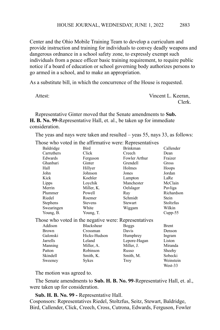Center and the Ohio Mobile Training Team to develop a curriculum and provide instruction and training for individuals to convey deadly weapons and dangerous ordnance in a school safety zone, to expressly exempt such individuals from a peace officer basic training requirement, to require public notice if a board of education or school governing body authorizes persons to go armed in a school, and to make an appropriation.

As a substitute bill, in which the concurrence of the House is requested.

Attest: Vincent L. Keeran, Clerk.

Representative Ginter moved that the Senate amendments to **Sub. H. B. No. 99-**Representative Hall, et. al., be taken up for immediate consideration.

The yeas and nays were taken and resulted – yeas 55, nays 33, as follows:

| Those who voted in the affirmative were: Representatives |
|----------------------------------------------------------|
|----------------------------------------------------------|

| Baldridge                                             | Bird           | <b>Brinkman</b> | Callender    |
|-------------------------------------------------------|----------------|-----------------|--------------|
| Carruthers                                            | Click          | Creech          | Dean         |
| Edwards                                               | Ferguson       | Fowler Arthur   | Fraizer      |
| Ghanbari                                              | Ginter         | Grendell        | Gross        |
|                                                       |                |                 |              |
| Hall                                                  | Hillyer        | Holmes          | Hoops        |
| John                                                  | Johnson        | Jones           | Jordan       |
| Kick                                                  | Koehler        | Lampton         | LaRe         |
| Lipps                                                 | Loychik        | Manchester      | McClain      |
| Merrin                                                | Miller, K.     | Oelslager       | Pavliga      |
| Plummer                                               | Powell         | Ray             | Richardson   |
| Riedel                                                | Roemer         | Schmidt         | Stein        |
| <b>Stephens</b>                                       | <b>Stevens</b> | Stewart         | Stoltzfus    |
| Swearingen                                            | White          | Wiggam          | Wilkin       |
| Young, B.                                             | Young, T.      |                 | $Cupp-55$    |
| Those who voted in the negative were: Representatives |                |                 |              |
| Addison                                               | Blackshear     | <b>Boggs</b>    | <b>Brent</b> |
| Brown                                                 | Crossman       | Davis           | Denson       |
| Galonski                                              | Hicks-Hudson   | Humphrey        | Ingram       |
| Jarrells                                              | Leland         | Lepore-Hagan    | Liston       |
| Manning                                               | Miller, A.     | Miller, J.      | Miranda      |
| Patton                                                | Robinson       | Russo           | Sheehy       |
| Skindell                                              | Smith, K.      | Smith, M.       | Sobecki      |
| Sweeney                                               | Sykes          | Troy            | Weinstein    |
|                                                       |                |                 | West-33      |

The motion was agreed to.

The Senate amendments to **Sub. H. B. No. 99**-Representative Hall, et. al., were taken up for consideration.

**Sub. H. B. No. 99 -** Representative Hall.

Cosponsors: Representatives Riedel, Stoltzfus, Seitz, Stewart, Baldridge, Bird, Callender, Click, Creech, Cross, Cutrona, Edwards, Ferguson, Fowler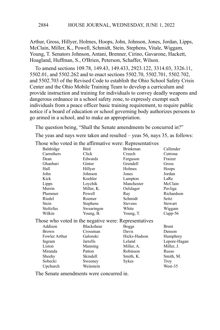Arthur, Gross, Hillyer, Holmes, Hoops, John, Johnson, Jones, Jordan, Lipps, McClain, Miller, K., Powell, Schmidt, Stein, Stephens, Vitale, Wiggam, Young, T. Senators Johnson, Antani, Brenner, Cirino, Gavarone, Hackett, Hoagland, Huffman, S., O'Brien, Peterson, Schaffer, Wilson.

To amend sections 109.78, 149.43, 149.433, 2923.122, 3314.03, 3326.11, 5502.01, and 5502.262 and to enact sections 5502.70, 5502.701, 5502.702, and 5502.703 of the Revised Code to establish the Ohio School Safety Crisis Center and the Ohio Mobile Training Team to develop a curriculum and provide instruction and training for individuals to convey deadly weapons and dangerous ordnance in a school safety zone, to expressly exempt such individuals from a peace officer basic training requirement, to require public notice if a board of education or school governing body authorizes persons to go armed in a school, and to make an appropriation.

The question being, "Shall the Senate amendments be concurred in?"

The yeas and nays were taken and resulted – yeas 56, nays 35, as follows:

Those who voted in the affirmative were: Representatives

| Baldridge                                             | Bird              | <b>Brinkman</b> | Callender    |
|-------------------------------------------------------|-------------------|-----------------|--------------|
| Carruthers                                            | Click             | Creech          | Cutrona      |
| Dean                                                  | Edwards           | Ferguson        | Fraizer      |
| Ghanbari                                              | Ginter            | Grendell        | Gross        |
| Hall                                                  | Hillyer           | Holmes          | Hoops        |
| John                                                  | Johnson           | Jones           | Jordan       |
| Kick                                                  | Koehler           | Lampton         | LaRe         |
| Lipps                                                 | Loychik           | Manchester      | McClain      |
| Merrin                                                | Miller, K.        | Oelslager       | Pavliga      |
| Plummer                                               | Powell            | Ray             | Richardson   |
| Riedel                                                | Roemer            | Schmidt         | Seitz        |
| Stein                                                 | <b>Stephens</b>   | <b>Stevens</b>  | Stewart      |
| Stoltzfus                                             | Swearingen        | White           | Wiggam       |
| Wilkin                                                | Young, B.         | Young, T.       | $Cupp-56$    |
| Those who voted in the negative were: Representatives |                   |                 |              |
| Addison                                               | <b>Blackshear</b> | <b>Boggs</b>    | <b>Brent</b> |
| <b>Brown</b>                                          | Crossman          | Davis           | Denson       |
| Fowler Arthur                                         | Galonski          | Hicks-Hudson    | Humphrey     |
| Ingram                                                | Jarrells          | Leland          | Lepore-Hagan |
| Liston                                                | Manning           | Miller, A.      | Miller, J.   |
| Miranda                                               | Patton            | Robinson        | Russo        |
| Sheehy                                                | Skindell          | Smith, K.       | Smith, M.    |
| Sobecki                                               | Sweeney           | Sykes           | Troy         |
| Upchurch                                              | Weinstein         |                 | West-35      |

The Senate amendments were concurred in.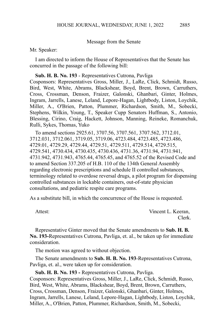## Message from the Senate

Mr. Speaker:

I am directed to inform the House of Representatives that the Senate has concurred in the passage of the following bill:

#### **Sub. H. B. No. 193** - Representatives Cutrona, Pavliga

Cosponsors: Representatives Gross, Miller, J., LaRe, Click, Schmidt, Russo, Bird, West, White, Abrams, Blackshear, Boyd, Brent, Brown, Carruthers, Cross, Crossman, Denson, Fraizer, Galonski, Ghanbari, Ginter, Holmes, Ingram, Jarrells, Lanese, Leland, Lepore-Hagan, Lightbody, Liston, Loychik, Miller, A., O'Brien, Patton, Plummer, Richardson, Smith, M., Sobecki, Stephens, Wilkin, Young, T., Speaker Cupp Senators Huffman, S., Antonio, Blessing, Cirino, Craig, Hackett, Johnson, Manning, Reineke, Romanchuk, Rulli, Sykes, Thomas, Yuko

To amend sections 2925.61, 3707.56, 3707.561, 3707.562, 3712.01, 3712.031, 3712.061, 3719.05, 3719.06, 4723.484, 4723.485, 4723.486, 4729.01, 4729.29, 4729.44, 4729.51, 4729.511, 4729.514, 4729.515, 4729.541, 4730.434, 4730.435, 4730.436, 4731.36, 4731.94, 4731.941, 4731.942, 4731.943, 4765.44, 4765.45, and 4765.52 of the Revised Code and to amend Section 337.205 of H.B. 110 of the 134th General Assembly regarding electronic prescriptions and schedule II controlled substances, terminology related to overdose reversal drugs, a pilot program for dispensing controlled substances in lockable containers, out-of-state physician consultations, and pediatric respite care programs.

As a substitute bill, in which the concurrence of the House is requested.

Attest: Vincent L. Keeran, Clerk.

Representative Ginter moved that the Senate amendments to **Sub. H. B. No. 193-**Representatives Cutrona, Pavliga, et. al., be taken up for immediate consideration.

The motion was agreed to without objection.

The Senate amendments to **Sub. H. B. No. 193**-Representatives Cutrona, Pavliga, et. al., were taken up for consideration.

**Sub. H. B. No. 193 -** Representatives Cutrona, Pavliga. Cosponsors: Representatives Gross, Miller, J., LaRe, Click, Schmidt, Russo, Bird, West, White, Abrams, Blackshear, Boyd, Brent, Brown, Carruthers, Cross, Crossman, Denson, Fraizer, Galonski, Ghanbari, Ginter, Holmes, Ingram, Jarrells, Lanese, Leland, Lepore-Hagan, Lightbody, Liston, Loychik, Miller, A., O'Brien, Patton, Plummer, Richardson, Smith, M., Sobecki,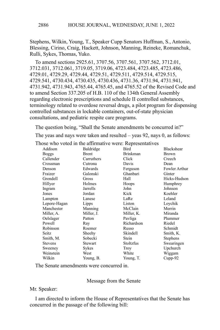Stephens, Wilkin, Young, T., Speaker Cupp Senators Huffman, S., Antonio, Blessing, Cirino, Craig, Hackett, Johnson, Manning, Reineke, Romanchuk, Rulli, Sykes, Thomas, Yuko.

To amend sections 2925.61, 3707.56, 3707.561, 3707.562, 3712.01, 3712.031, 3712.061, 3719.05, 3719.06, 4723.484, 4723.485, 4723.486, 4729.01, 4729.29, 4729.44, 4729.51, 4729.511, 4729.514, 4729.515, 4729.541, 4730.434, 4730.435, 4730.436, 4731.36, 4731.94, 4731.941, 4731.942, 4731.943, 4765.44, 4765.45, and 4765.52 of the Revised Code and to amend Section 337.205 of H.B. 110 of the 134th General Assembly regarding electronic prescriptions and schedule II controlled substances, terminology related to overdose reversal drugs, a pilot program for dispensing controlled substances in lockable containers, out-of-state physician consultations, and pediatric respite care programs.

The question being, "Shall the Senate amendments be concurred in?"

The yeas and nays were taken and resulted – yeas 92, nays 0, as follows:

Those who voted in the affirmative were: Representatives

| Addison        | Baldridge  | Bird            | Blackshear    |
|----------------|------------|-----------------|---------------|
| Boggs          | Brent      | <b>Brinkman</b> | <b>Brown</b>  |
| Callender      | Carruthers | Click           | Creech        |
| Crossman       | Cutrona    | Davis           | Dean          |
| Denson         | Edwards    | Ferguson        | Fowler Arthur |
| Fraizer        | Galonski   | Ghanbari        | Ginter        |
| Grendell       | Gross      | Hall            | Hicks-Hudson  |
| Hillyer        | Holmes     | Hoops           | Humphrey      |
| Ingram         | Jarrells   | John            | Johnson       |
| Jones          | Jordan     | Kick            | Koehler       |
| Lampton        | Lanese     | LaRe            | Leland        |
| Lepore-Hagan   | Lipps      | Liston          | Loychik       |
| Manchester     | Manning    | McClain         | Merrin        |
| Miller, A.     | Miller, J. | Miller, K.      | Miranda       |
| Oelslager      | Patton     | Pavliga         | Plummer       |
| Powell         | Ray        | Richardson      | Riedel        |
| Robinson       | Roemer     | Russo           | Schmidt       |
| Seitz          | Sheehy     | Skindell        | Smith, K.     |
| Smith, M.      | Sobecki    | Stein           | Stephens      |
| <b>Stevens</b> | Stewart    | Stoltzfus       | Swearingen    |
| Sweeney        | Sykes      | Troy            | Upchurch      |
| Weinstein      | West       | White           | Wiggam        |
| Wilkin         | Young, B.  | Young, T.       | $Cupp-92$     |

The Senate amendments were concurred in.

## Message from the Senate

# Mr. Speaker:

I am directed to inform the House of Representatives that the Senate has concurred in the passage of the following bill: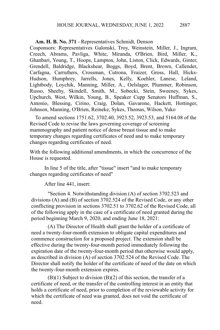## **Am. H. B. No. 371** - Representatives Schmidt, Denson

Cosponsors: Representatives Galonski, Troy, Weinstein, Miller, J., Ingram, Creech, Abrams, Pavliga, White, Miranda, O'Brien, Bird, Miller, K., Ghanbari, Young, T., Hoops, Lampton, John, Liston, Click, Edwards, Ginter, Grendell, Baldridge, Blackshear, Boggs, Boyd, Brent, Brown, Callender, Carfagna, Carruthers, Crossman, Cutrona, Fraizer, Gross, Hall, Hicks-Hudson, Humphrey, Jarrells, Jones, Kelly, Koehler, Lanese, Leland, Lightbody, Loychik, Manning, Miller, A., Oelslager, Plummer, Robinson, Russo, Sheehy, Skindell, Smith, M., Sobecki, Stein, Sweeney, Sykes, Upchurch, West, Wilkin, Young, B., Speaker Cupp Senators Huffman, S., Antonio, Blessing, Cirino, Craig, Dolan, Gavarone, Hackett, Hottinger, Johnson, Manning, O'Brien, Reineke, Sykes, Thomas, Wilson, Yuko

To amend sections 1751.62, 3702.40, 3923.52, 3923.53, and 5164.08 of the Revised Code to revise the laws governing coverage of screening mammography and patient notice of dense breast tissue and to make temporary changes regarding certificates of need and to make temporary changes regarding certificates of need.

With the following additional amendments, in which the concurrence of the House is requested.

In line 5 of the title, after "tissue" insert "and to make temporary changes regarding certificates of need"

After line 441, insert:

"Section 4. Notwithstanding division (A) of section 3702.523 and divisions (A) and (B) of section 3702.524 of the Revised Code, or any other conflicting provision in sections 3702.51 to 3702.62 of the Revised Code, all of the following apply in the case of a certificate of need granted during the period beginning March 9, 2020, and ending June 18, 2021:

(A) The Director of Health shall grant the holder of a certificate of need a twenty-four-month extension to obligate capital expenditures and commence construction for a proposed project. The extension shall be effective during the twenty-four-month period immediately following the expiration date of the twenty-four-month period that otherwise would apply, as described in division (A) of section 3702.524 of the Revised Code. The Director shall notify the holder of the certificate of need of the date on which the twenty-four-month extension expires.

 $(B)(1)$  Subject to division  $(B)(2)$  of this section, the transfer of a certificate of need, or the transfer of the controlling interest in an entity that holds a certificate of need, prior to completion of the reviewable activity for which the certificate of need was granted, does not void the certificate of need.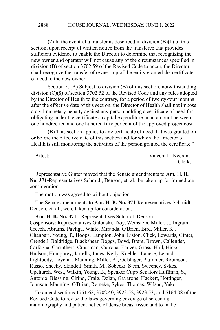(2) In the event of a transfer as described in division  $(B)(1)$  of this section, upon receipt of written notice from the transferee that provides sufficient evidence to enable the Director to determine that recognizing the new owner and operator will not cause any of the circumstances specified in division (B) of section 3702.59 of the Revised Code to occur, the Director shall recognize the transfer of ownership of the entity granted the certificate of need to the new owner.

Section 5. (A) Subject to division (B) of this section, notwithstanding division (C)(8) of section 3702.52 of the Revised Code and any rules adopted by the Director of Health to the contrary, for a period of twenty-four months after the effective date of this section, the Director of Health shall not impose a civil monetary penalty against any person holding a certificate of need for obligating under the certificate a capital expenditure in an amount between one hundred ten and one hundred fifty per cent of the approved project cost.

(B) This section applies to any certificate of need that was granted on or before the effective date of this section and for which the Director of Health is still monitoring the activities of the person granted the certificate."

Attest: Vincent L. Keeran, Clerk.

Representative Ginter moved that the Senate amendments to **Am. H. B. No. 371-**Representatives Schmidt, Denson, et. al., be taken up for immediate consideration.

The motion was agreed to without objection.

The Senate amendments to **Am. H. B. No. 371**-Representatives Schmidt, Denson, et. al., were taken up for consideration.

**Am. H. B. No. 371 -** Representatives Schmidt, Denson. Cosponsors: Representatives Galonski, Troy, Weinstein, Miller, J., Ingram, Creech, Abrams, Pavliga, White, Miranda, O'Brien, Bird, Miller, K., Ghanbari, Young, T., Hoops, Lampton, John, Liston, Click, Edwards, Ginter, Grendell, Baldridge, Blackshear, Boggs, Boyd, Brent, Brown, Callender, Carfagna, Carruthers, Crossman, Cutrona, Fraizer, Gross, Hall, Hicks-Hudson, Humphrey, Jarrells, Jones, Kelly, Koehler, Lanese, Leland, Lightbody, Loychik, Manning, Miller, A., Oelslager, Plummer, Robinson, Russo, Sheehy, Skindell, Smith, M., Sobecki, Stein, Sweeney, Sykes, Upchurch, West, Wilkin, Young, B., Speaker Cupp Senators Huffman, S., Antonio, Blessing, Cirino, Craig, Dolan, Gavarone, Hackett, Hottinger, Johnson, Manning, O'Brien, Reineke, Sykes, Thomas, Wilson, Yuko.

To amend sections 1751.62, 3702.40, 3923.52, 3923.53, and 5164.08 of the Revised Code to revise the laws governing coverage of screening mammography and patient notice of dense breast tissue and to make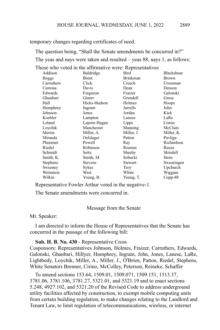temporary changes regarding certificates of need.

The question being, "Shall the Senate amendments be concurred in?" The yeas and nays were taken and resulted – yeas 88, nays 1, as follows: Those who voted in the affirmative were: Representatives

|                 | volva in the annihate were, respresentatives |                 |                   |
|-----------------|----------------------------------------------|-----------------|-------------------|
| Addison         | Baldridge                                    | Bird            | <b>Blackshear</b> |
| <b>Boggs</b>    | <b>Brent</b>                                 | <b>Brinkman</b> | <b>Brown</b>      |
| Carruthers      | Click                                        | Creech          | Crossman          |
| Cutrona         | Davis                                        | Dean            | Denson            |
| Edwards         | Ferguson                                     | Fraizer         | Galonski          |
| Ghanbari        | Ginter                                       | Grendell        | Gross             |
| Hall            | Hicks-Hudson                                 | Holmes          | Hoops             |
| Humphrey        | Ingram                                       | Jarrells        | John              |
| Johnson         | Jones                                        | Jordan          | Kick              |
| Koehler         | Lampton                                      | Lanese          | LaRe              |
| Leland          | Lepore-Hagan                                 | Lipps           | Liston            |
| Loychik         | Manchester                                   | Manning         | McClain           |
| Merrin          | Miller, A.                                   | Miller, J.      | Miller, K.        |
| Miranda         | Oelslager                                    | Patton          | Pavliga           |
| Plummer         | Powell                                       | Ray             | Richardson        |
| Riedel          | Robinson                                     | Roemer          | Russo             |
| Schmidt         | Seitz                                        | Sheehy          | Skindell          |
| Smith, K.       | Smith, M.                                    | Sobecki         | Stein             |
| <b>Stephens</b> | <b>Stevens</b>                               | Stewart         | Swearingen        |
| Sweeney         | Sykes                                        | Troy            | Upchurch          |
| Weinstein       | West                                         | White           | Wiggam            |
| Wilkin          | Young, B.                                    | Young, T.       | Cupp-88           |
|                 |                                              |                 |                   |

Representative Fowler Arthur voted in the negative-1.

The Senate amendments were concurred in.

Message from the Senate

Mr. Speaker:

I am directed to inform the House of Representatives that the Senate has concurred in the passage of the following bill:

#### **Sub. H. B. No. 430** - Representative Cross

Cosponsors: Representatives Johnson, Holmes, Fraizer, Carruthers, Edwards, Galonski, Ghanbari, Hillyer, Humphrey, Ingram, John, Jones, Lanese, LaRe, Lightbody, Loychik, Miller, A., Miller, J., O'Brien, Patton, Riedel, Stephens, White Senators Brenner, Cirino, McColley, Peterson, Reineke, Schaffer

To amend sections 153.64, 1509.01, 1509.071, 1509.151, 1513.37, 3781.06, 3781.106, 3781.27, 5321.01, and 5321.19 and to enact sections 5.248, 4927.102, and 5321.20 of the Revised Code to address underground utility facilities affected by construction, to exempt mobile computing units from certain building regulation, to make changes relating to the Landlord and Tenant Law, to limit regulation of telecommunications, wireless, or internet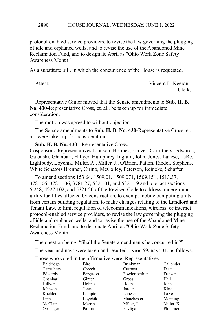protocol-enabled service providers, to revise the law governing the plugging of idle and orphaned wells, and to revise the use of the Abandoned Mine Reclamation Fund, and to designate April as "Ohio Work Zone Safety Awareness Month."

As a substitute bill, in which the concurrence of the House is requested.

Attest: Vincent L. Keeran, Clerk.

Representative Ginter moved that the Senate amendments to **Sub. H. B. No. 430-**Representative Cross, et. al., be taken up for immediate consideration.

The motion was agreed to without objection.

The Senate amendments to **Sub. H. B. No. 430**-Representative Cross, et. al., were taken up for consideration.

**Sub. H. B. No. 430 -** Representative Cross.

Cosponsors: Representatives Johnson, Holmes, Fraizer, Carruthers, Edwards, Galonski, Ghanbari, Hillyer, Humphrey, Ingram, John, Jones, Lanese, LaRe, Lightbody, Loychik, Miller, A., Miller, J., O'Brien, Patton, Riedel, Stephens, White Senators Brenner, Cirino, McColley, Peterson, Reineke, Schaffer.

To amend sections 153.64, 1509.01, 1509.071, 1509.151, 1513.37, 3781.06, 3781.106, 3781.27, 5321.01, and 5321.19 and to enact sections 5.248, 4927.102, and 5321.20 of the Revised Code to address underground utility facilities affected by construction, to exempt mobile computing units from certain building regulation, to make changes relating to the Landlord and Tenant Law, to limit regulation of telecommunications, wireless, or internet protocol-enabled service providers, to revise the law governing the plugging of idle and orphaned wells, and to revise the use of the Abandoned Mine Reclamation Fund, and to designate April as "Ohio Work Zone Safety Awareness Month."

The question being, "Shall the Senate amendments be concurred in?"

The yeas and nays were taken and resulted – yeas 59, nays 31, as follows:

Those who voted in the affirmative were: Representatives

| Baldridge  | Bird     | <b>Brinkman</b> | Callender  |
|------------|----------|-----------------|------------|
| Carruthers | Creech   | Cutrona         | Dean       |
| Edwards    | Ferguson | Fowler Arthur   | Fraizer    |
| Ghanbari   | Ginter   | Gross           | Hall       |
| Hillyer    | Holmes   | Hoops           | John       |
| Johnson    | Jones    | Jordan          | Kick       |
| Koehler    | Lampton  | Lanese          | LaRe       |
| Lipps      | Loychik  | Manchester      | Manning    |
| McClain    | Merrin   | Miller, J.      | Miller, K. |
| Oelslager  | Patton   | Pavliga         | Plummer    |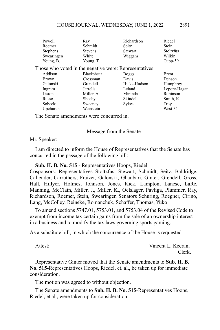| Powell                                                | Ray               | Richardson     | Riedel           |
|-------------------------------------------------------|-------------------|----------------|------------------|
| Roemer                                                | Schmidt           | <b>Seitz</b>   | <b>Stein</b>     |
| <b>Stephens</b>                                       | <b>Stevens</b>    | <b>Stewart</b> | <b>Stoltzfus</b> |
| Swearingen                                            | White             | Wiggam         | Wilkin           |
| Young, B.                                             | Young, T.         |                | $Cupp-59$        |
| Those who voted in the negative were: Representatives |                   |                |                  |
| Addison                                               | <b>Blackshear</b> | <b>Boggs</b>   | <b>Brent</b>     |
| <b>Brown</b>                                          | Crossman          | Davis          | Denson           |
| Galonski                                              | Grendell          | Hicks-Hudson   | Humphrey         |
| Ingram                                                | Jarrells          | Leland         | Lepore-Hagan     |
| Liston                                                | Miller, A.        | Miranda        | Robinson         |
| Russo                                                 | Sheehy            | Skindell       | Smith, K.        |
| Sobecki                                               | Sweeney           | <b>Sykes</b>   | Troy             |
| Upchurch                                              | Weinstein         |                | West-31          |
|                                                       |                   |                |                  |

The Senate amendments were concurred in.

#### Message from the Senate

#### Mr. Speaker:

I am directed to inform the House of Representatives that the Senate has concurred in the passage of the following bill:

**Sub. H. B. No. 515** - Representatives Hoops, Riedel

Cosponsors: Representatives Stoltzfus, Stewart, Schmidt, Seitz, Baldridge, Callender, Carruthers, Fraizer, Galonski, Ghanbari, Ginter, Grendell, Gross, Hall, Hillyer, Holmes, Johnson, Jones, Kick, Lampton, Lanese, LaRe, Manning, McClain, Miller, J., Miller, K., Oelslager, Pavliga, Plummer, Ray, Richardson, Roemer, Stein, Swearingen Senators Schuring, Roegner, Cirino, Lang, McColley, Reineke, Romanchuk, Schaffer, Thomas, Yuko

To amend sections 5747.01, 5753.01, and 5753.04 of the Revised Code to exempt from income tax certain gains from the sale of an ownership interest in a business and to modify the tax laws governing sports gaming.

As a substitute bill, in which the concurrence of the House is requested.

Attest: Vincent L. Keeran, Clerk.

Representative Ginter moved that the Senate amendments to **Sub. H. B. No. 515-**Representatives Hoops, Riedel, et. al., be taken up for immediate consideration.

The motion was agreed to without objection.

The Senate amendments to **Sub. H. B. No. 515**-Representatives Hoops, Riedel, et al., were taken up for consideration.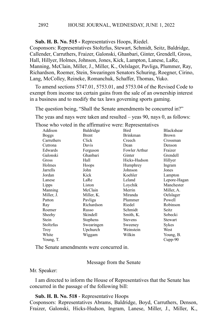**Sub. H. B. No. 515 -** Representatives Hoops, Riedel.

Cosponsors: Representatives Stoltzfus, Stewart, Schmidt, Seitz, Baldridge, Callender, Carruthers, Fraizer, Galonski, Ghanbari, Ginter, Grendell, Gross, Hall, Hillyer, Holmes, Johnson, Jones, Kick, Lampton, Lanese, LaRe, Manning, McClain, Miller, J., Miller, K., Oelslager, Pavliga, Plummer, Ray, Richardson, Roemer, Stein, Swearingen Senators Schuring, Roegner, Cirino, Lang, McColley, Reineke, Romanchuk, Schaffer, Thomas, Yuko.

To amend sections 5747.01, 5753.01, and 5753.04 of the Revised Code to exempt from income tax certain gains from the sale of an ownership interest in a business and to modify the tax laws governing sports gaming.

The question being, "Shall the Senate amendments be concurred in?"

The yeas and nays were taken and resulted – yeas 90, nays 0, as follows:

Those who voted in the affirmative were: Representatives

| Addison    | Baldridge  | Bird            | Blackshear   |
|------------|------------|-----------------|--------------|
| Boggs      | Brent      | <b>Brinkman</b> | Brown        |
| Carruthers | Click      | Creech          | Crossman     |
| Cutrona    | Davis      | Dean            | Denson       |
| Edwards    | Ferguson   | Fowler Arthur   | Fraizer      |
| Galonski   | Ghanbari   | Ginter          | Grendell     |
| Gross      | Hall       | Hicks-Hudson    | Hillyer      |
| Holmes     | Hoops      | Humphrey        | Ingram       |
| Jarrells   | John       | Johnson         | Jones        |
| Jordan     | Kick       | Koehler         | Lampton      |
| Lanese     | LaRe       | Leland          | Lepore-Hagan |
| Lipps      | Liston     | Loychik         | Manchester   |
| Manning    | McClain    | Merrin          | Miller, A.   |
| Miller, J. | Miller, K. | Miranda         | Oelslager    |
| Patton     | Pavliga    | Plummer         | Powell       |
| Ray        | Richardson | Riedel          | Robinson     |
| Roemer     | Russo      | Schmidt         | Seitz        |
| Sheehy     | Skindell   | Smith, K.       | Sobecki      |
| Stein      | Stephens   | <b>Stevens</b>  | Stewart      |
| Stoltzfus  | Swearingen | Sweeney         | Sykes        |
| Troy       | Upchurch   | Weinstein       | West         |
| White      | Wiggam     | Wilkin          | Young, B.    |
| Young, T.  |            |                 | $Cupp-90$    |

The Senate amendments were concurred in.

Message from the Senate

Mr. Speaker:

I am directed to inform the House of Representatives that the Senate has concurred in the passage of the following bill:

## **Sub. H. B. No. 518** - Representative Hoops

Cosponsors: Representatives Abrams, Baldridge, Boyd, Carruthers, Denson, Fraizer, Galonski, Hicks-Hudson, Ingram, Lanese, Miller, J., Miller, K.,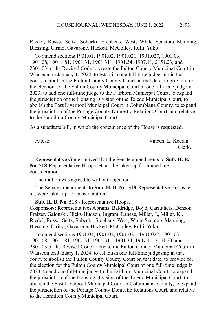Riedel, Russo, Seitz, Sobecki, Stephens, West, White Senators Manning, Blessing, Cirino, Gavarone, Hackett, McColley, Rulli, Yuko

To amend sections 1901.01, 1901.02, 1901.021, 1901.027, 1901.03, 1901.08, 1901.181, 1901.31, 1901.311, 1901.34, 1907.11, 2151.23, and 2301.03 of the Revised Code to create the Fulton County Municipal Court in Wauseon on January 1, 2024, to establish one full-time judgeship in that court, to abolish the Fulton County County Court on that date, to provide for the election for the Fulton County Municipal Court of one full-time judge in 2023, to add one full-time judge to the Fairborn Municipal Court, to expand the jurisdiction of the Housing Division of the Toledo Municipal Court, to abolish the East Liverpool Municipal Court in Columbiana County, to expand the jurisdiction of the Portage County Domestic Relations Court, and relative to the Hamilton County Municipal Court.

As a substitute bill, in which the concurrence of the House is requested.

Attest: Vincent L. Keeran, Clerk.

Representative Ginter moved that the Senate amendments to **Sub. H. B. No. 518-**Representative Hoops, et. al., be taken up for immediate consideration.

The motion was agreed to without objection.

The Senate amendments to **Sub. H. B. No. 518**-Representative Hoops, et. al., were taken up for consideration.

**Sub. H. B. No. 518 -** Representative Hoops. Cosponsors: Representatives Abrams, Baldridge, Boyd, Carruthers, Denson, Fraizer, Galonski, Hicks-Hudson, Ingram, Lanese, Miller, J., Miller, K., Riedel, Russo, Seitz, Sobecki, Stephens, West, White Senators Manning, Blessing, Cirino, Gavarone, Hackett, McColley, Rulli, Yuko.

To amend sections 1901.01, 1901.02, 1901.021, 1901.027, 1901.03, 1901.08, 1901.181, 1901.31, 1901.311, 1901.34, 1907.11, 2151.23, and 2301.03 of the Revised Code to create the Fulton County Municipal Court in Wauseon on January 1, 2024, to establish one full-time judgeship in that court, to abolish the Fulton County County Court on that date, to provide for the election for the Fulton County Municipal Court of one full-time judge in 2023, to add one full-time judge to the Fairborn Municipal Court, to expand the jurisdiction of the Housing Division of the Toledo Municipal Court, to abolish the East Liverpool Municipal Court in Columbiana County, to expand the jurisdiction of the Portage County Domestic Relations Court, and relative to the Hamilton County Municipal Court.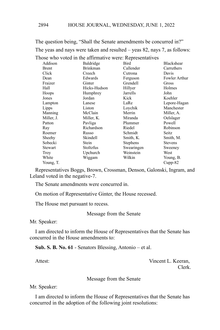The question being, "Shall the Senate amendments be concurred in?" The yeas and nays were taken and resulted – yeas 82, nays 7, as follows:

Those who voted in the affirmative were: Representatives

| Addison      | Baldridge       | Bird            | Blackshear     |
|--------------|-----------------|-----------------|----------------|
| <b>Brent</b> | <b>Brinkman</b> | Callender       | Carruthers     |
| Click        | Creech          | Cutrona         | Davis          |
| Dean         | Edwards         | Ferguson        | Fowler Arthur  |
| Fraizer      | Ginter          | Grendell        | Gross          |
| Hall         | Hicks-Hudson    | Hillyer         | Holmes         |
| Hoops        | Humphrey        | Jarrells        | John           |
| Jones        | Jordan          | Kick            | Koehler        |
| Lampton      | Lanese          | LaRe            | Lepore-Hagan   |
| Lipps        | Liston          | Loychik         | Manchester     |
| Manning      | McClain         | Merrin          | Miller, A.     |
| Miller, J.   | Miller, K.      | Miranda         | Oelslager      |
| Patton       | Pavliga         | Plummer         | Powell         |
| Ray          | Richardson      | Riedel          | Robinson       |
| Roemer       | Russo           | Schmidt         | Seitz          |
| Sheehy       | Skindell        | Smith, K.       | Smith, M.      |
| Sobecki      | Stein           | <b>Stephens</b> | <b>Stevens</b> |
| Stewart      | Stoltzfus       | Swearingen      | Sweeney        |
| Troy         | Upchurch        | Weinstein       | West           |
| White        | Wiggam          | Wilkin          | Young, B.      |
| Young, T.    |                 |                 | $Cupp-82$      |
|              |                 |                 |                |

Representatives Boggs, Brown, Crossman, Denson, Galonski, Ingram, and Leland voted in the negative-7.

The Senate amendments were concurred in.

On motion of Representative Ginter, the House recessed.

The House met pursuant to recess.

Message from the Senate

Mr. Speaker:

I am directed to inform the House of Representatives that the Senate has concurred in the House amendments to:

**Sub. S. B. No. 61** - Senators Blessing, Antonio – et al.

Attest: Vincent L. Keeran, Clerk.

Message from the Senate

Mr. Speaker:

I am directed to inform the House of Representatives that the Senate has concurred in the adoption of the following joint resolutions: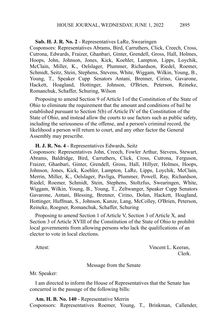## **Sub. H. J. R. No. 2** - Representatives LaRe, Swearingen

Cosponsors: Representatives Abrams, Bird, Carruthers, Click, Creech, Cross, Cutrona, Edwards, Fraizer, Ghanbari, Ginter, Grendell, Gross, Hall, Holmes, Hoops, John, Johnson, Jones, Kick, Koehler, Lampton, Lipps, Loychik, McClain, Miller, K., Oelslager, Plummer, Richardson, Riedel, Roemer, Schmidt, Seitz, Stein, Stephens, Stevens, White, Wiggam, Wilkin, Young, B., Young, T., Speaker Cupp Senators Antani, Brenner, Cirino, Gavarone, Hackett, Hoagland, Hottinger, Johnson, O'Brien, Peterson, Reineke, Romanchuk, Schaffer, Schuring, Wilson

Proposing to amend Section 9 of Article I of the Constitution of the State of Ohio to eliminate the requirement that the amount and conditions of bail be established pursuant to Section 5(b) of Article IV of the Constitution of the State of Ohio, and instead allow the courts to use factors such as public safety, including the seriousness of the offense, and a person's criminal record, the likelihood a person will return to court, and any other factor the General Assembly may prescribe.

## **H. J. R. No. 4** - Representatives Edwards, Seitz

Cosponsors: Representatives John, Creech, Fowler Arthur, Stevens, Stewart, Abrams, Baldridge, Bird, Carruthers, Click, Cross, Cutrona, Ferguson, Fraizer, Ghanbari, Ginter, Grendell, Gross, Hall, Hillyer, Holmes, Hoops, Johnson, Jones, Kick, Koehler, Lampton, LaRe, Lipps, Loychik, McClain, Merrin, Miller, K., Oelslager, Pavliga, Plummer, Powell, Ray, Richardson, Riedel, Roemer, Schmidt, Stein, Stephens, Stoltzfus, Swearingen, White, Wiggam, Wilkin, Young, B., Young, T., Zeltwanger, Speaker Cupp Senators Gavarone, Antani, Blessing, Brenner, Cirino, Dolan, Hackett, Hoagland, Hottinger, Huffman, S., Johnson, Kunze, Lang, McColley, O'Brien, Peterson, Reineke, Roegner, Romanchuk, Schaffer, Schuring

Proposing to amend Section 1 of Article V, Section 3 of Article X, and Section 3 of Article XVIII of the Constitution of the State of Ohio to prohibit local governments from allowing persons who lack the qualifications of an elector to vote in local elections.

Attest: Vincent L. Keeran, Clerk.

Message from the Senate

Mr. Speaker:

I am directed to inform the House of Representatives that the Senate has concurred in the passage of the following bills:

**Am. H. B. No. 140** - Representative Merrin Cosponsors: Representatives Roemer, Young, T., Brinkman, Callender,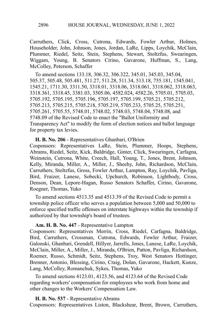Carruthers, Click, Cross, Cutrona, Edwards, Fowler Arthur, Holmes, Householder, John, Johnson, Jones, Jordan, LaRe, Lipps, Loychik, McClain, Plummer, Riedel, Seitz, Stein, Stephens, Stewart, Stoltzfus, Swearingen, Wiggam, Young, B. Senators Cirino, Gavarone, Huffman, S., Lang, McColley, Peterson, Schaffer

To amend sections 133.18, 306.32, 306.322, 345.01, 345.03, 345.04, 505.37, 505.48, 505.481, 511.27, 511.28, 511.34, 513.18, 755.181, 1545.041, 1545.21, 1711.30, 3311.50, 3318.01, 3318.06, 3318.061, 3318.062, 3318.063, 3318.361, 3318.45, 3381.03, 3505.06, 4582.024, 4582.26, 5705.01, 5705.03, 5705.192, 5705.195, 5705.196, 5705.197, 5705.199, 5705.21, 5705.212, 5705.213, 5705.215, 5705.218, 5705.219, 5705.233, 5705.25, 5705.251, 5705.261, 5705.55, 5748.01, 5748.02, 5748.03, 5748.04, 5748.08, and 5748.09 of the Revised Code to enact the "Ballot Uniformity and Transparency Act" to modify the form of election notices and ballot language for property tax levies.

**H. B. No. 206** - Representatives Ghanbari, O'Brien

Cosponsors: Representatives LaRe, Stein, Plummer, Hoops, Stephens, Abrams, Riedel, Seitz, Kick, Baldridge, Ginter, Click, Swearingen, Carfagna, Weinstein, Cutrona, White, Creech, Hall, Young, T., Jones, Brent, Johnson, Kelly, Miranda, Miller, A., Miller, J., Sheehy, John, Richardson, McClain, Carruthers, Stoltzfus, Gross, Fowler Arthur, Lampton, Ray, Loychik, Pavliga, Bird, Fraizer, Lanese, Sobecki, Upchurch, Robinson, Lightbody, Cross, Denson, Dean, Lepore-Hagan, Russo Senators Schaffer, Cirino, Gavarone, Roegner, Thomas, Yuko

To amend sections 4513.35 and 4513.39 of the Revised Code to permit a township police officer who serves a population between 5,000 and 50,000 to enforce specified traffic offenses on interstate highways within the township if authorized by that township's board of trustees.

# **Am. H. B. No. 447** - Representative Lampton

Cosponsors: Representatives Merrin, Cross, Riedel, Carfagna, Baldridge, Bird, Carruthers, Crossman, Cutrona, Edwards, Fowler Arthur, Fraizer, Galonski, Ghanbari, Grendell, Hillyer, Jarrells, Jones, Lanese, LaRe, Loychik, McClain, Miller, A., Miller, J., Miranda, O'Brien, Patton, Pavliga, Richardson, Roemer, Russo, Schmidt, Seitz, Stephens, Troy, West Senators Hottinger, Brenner, Antonio, Blessing, Cirino, Craig, Dolan, Gavarone, Hackett, Kunze, Lang, McColley, Romanchuk, Sykes, Thomas, Yuko

To amend sections 4123.01, 4123.56, and 4123.64 of the Revised Code regarding workers' compensation for employees who work from home and other changes to the Workers' Compensation Law.

**H. B. No. 537** - Representative Abrams

Cosponsors: Representatives Liston, Blackshear, Brent, Brown, Carruthers,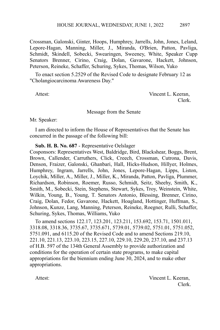Crossman, Galonski, Ginter, Hoops, Humphrey, Jarrells, John, Jones, Leland, Lepore-Hagan, Manning, Miller, J., Miranda, O'Brien, Patton, Pavliga, Schmidt, Skindell, Sobecki, Swearingen, Sweeney, White, Speaker Cupp Senators Brenner, Cirino, Craig, Dolan, Gavarone, Hackett, Johnson, Peterson, Reineke, Schaffer, Schuring, Sykes, Thomas, Wilson, Yuko

To enact section 5.2529 of the Revised Code to designate February 12 as "Cholangiocarcinoma Awareness Day."

Attest: Vincent L. Keeran, Clerk.

#### Message from the Senate

Mr. Speaker:

I am directed to inform the House of Representatives that the Senate has concurred in the passage of the following bill:

**Sub. H. B. No. 687** - Representative Oelslager

Cosponsors: Representatives West, Baldridge, Bird, Blackshear, Boggs, Brent, Brown, Callender, Carruthers, Click, Creech, Crossman, Cutrona, Davis, Denson, Fraizer, Galonski, Ghanbari, Hall, Hicks-Hudson, Hillyer, Holmes, Humphrey, Ingram, Jarrells, John, Jones, Lepore-Hagan, Lipps, Liston, Loychik, Miller, A., Miller, J., Miller, K., Miranda, Patton, Pavliga, Plummer, Richardson, Robinson, Roemer, Russo, Schmidt, Seitz, Sheehy, Smith, K., Smith, M., Sobecki, Stein, Stephens, Stewart, Sykes, Troy, Weinstein, White, Wilkin, Young, B., Young, T. Senators Antonio, Blessing, Brenner, Cirino, Craig, Dolan, Fedor, Gavarone, Hackett, Hoagland, Hottinger, Huffman, S., Johnson, Kunze, Lang, Manning, Peterson, Reineke, Roegner, Rulli, Schaffer, Schuring, Sykes, Thomas, Williams, Yuko

To amend sections 122.17, 123.201, 123.211, 153.692, 153.71, 1501.011, 3318.08, 3318.36, 3735.67, 3735.671, 5739.01, 5739.02, 5751.01, 5751.052, 5751.091, and 6115.20 of the Revised Code and to amend Sections 219.10, 221.10, 221.13, 223.10, 223.15, 227.10, 229.10, 229.20, 237.10, and 237.13 of H.B. 597 of the 134th General Assembly to provide authorization and conditions for the operation of certain state programs, to make capital appropriations for the biennium ending June 30, 2024, and to make other appropriations.

Attest: Vincent L. Keeran, Clerk.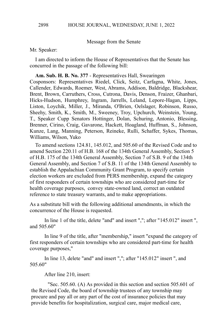## Message from the Senate

Mr. Speaker:

I am directed to inform the House of Representatives that the Senate has concurred in the passage of the following bill:

#### **Am. Sub. H. B. No. 377** - Representatives Hall, Swearingen

Cosponsors: Representatives Riedel, Click, Seitz, Carfagna, White, Jones, Callender, Edwards, Roemer, West, Abrams, Addison, Baldridge, Blackshear, Brent, Brown, Carruthers, Cross, Cutrona, Davis, Denson, Fraizer, Ghanbari, Hicks-Hudson, Humphrey, Ingram, Jarrells, Leland, Lepore-Hagan, Lipps, Liston, Loychik, Miller, J., Miranda, O'Brien, Oelslager, Robinson, Russo, Sheehy, Smith, K., Smith, M., Sweeney, Troy, Upchurch, Weinstein, Young, T., Speaker Cupp Senators Hottinger, Dolan, Schuring, Antonio, Blessing, Brenner, Cirino, Craig, Gavarone, Hackett, Hoagland, Huffman, S., Johnson, Kunze, Lang, Manning, Peterson, Reineke, Rulli, Schaffer, Sykes, Thomas, Williams, Wilson, Yuko

To amend sections 124.81, 145.012, and 505.60 of the Revised Code and to amend Section 220.11 of H.B. 168 of the 134th General Assembly, Section 5 of H.B. 175 of the 134th General Assembly, Section 7 of S.B. 9 of the 134th General Assembly, and Section 7 of S.B. 11 of the 134th General Assembly to establish the Appalachian Community Grant Program, to specify certain election workers are excluded from PERS membership, expand the category of first responders of certain townships who are considered part-time for health coverage purposes, convey state-owned land, correct an outdated reference to state treasury warrants, and to make appropriations.

As a substitute bill with the following additional amendments, in which the concurrence of the House is requested.

In line 1 of the title, delete "and" and insert ","; after "145.012" insert ", and 505.60"

In line 9 of the title, after "membership," insert "expand the category of first responders of certain townships who are considered part-time for health coverage purposes,"

In line 13, delete "and" and insert ","; after "145.012" insert ", and 505.60"

After line 210, insert:

"Sec. 505.60. (A) As provided in this section and section 505.601 of the Revised Code, the board of township trustees of any township may procure and pay all or any part of the cost of insurance policies that may provide benefits for hospitalization, surgical care, major medical care,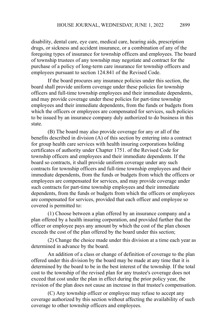disability, dental care, eye care, medical care, hearing aids, prescription drugs, or sickness and accident insurance, or a combination of any of the foregoing types of insurance for township officers and employees. The board of township trustees of any township may negotiate and contract for the purchase of a policy of long-term care insurance for township officers and employees pursuant to section 124.841 of the Revised Code.

If the board procures any insurance policies under this section, the board shall provide uniform coverage under these policies for township officers and full-time township employees and their immediate dependents, and may provide coverage under these policies for part-time township employees and their immediate dependents, from the funds or budgets from which the officers or employees are compensated for services, such policies to be issued by an insurance company duly authorized to do business in this state.

(B) The board may also provide coverage for any or all of the benefits described in division (A) of this section by entering into a contract for group health care services with health insuring corporations holding certificates of authority under Chapter 1751. of the Revised Code for township officers and employees and their immediate dependents. If the board so contracts, it shall provide uniform coverage under any such contracts for township officers and full-time township employees and their immediate dependents, from the funds or budgets from which the officers or employees are compensated for services, and may provide coverage under such contracts for part-time township employees and their immediate dependents, from the funds or budgets from which the officers or employees are compensated for services, provided that each officer and employee so covered is permitted to:

(1) Choose between a plan offered by an insurance company and a plan offered by a health insuring corporation, and provided further that the officer or employee pays any amount by which the cost of the plan chosen exceeds the cost of the plan offered by the board under this section;

(2) Change the choice made under this division at a time each year as determined in advance by the board.

An addition of a class or change of definition of coverage to the plan offered under this division by the board may be made at any time that it is determined by the board to be in the best interest of the township. If the total cost to the township of the revised plan for any trustee's coverage does not exceed that cost under the plan in effect during the prior policy year, the revision of the plan does not cause an increase in that trustee's compensation.

(C) Any township officer or employee may refuse to accept any coverage authorized by this section without affecting the availability of such coverage to other township officers and employees.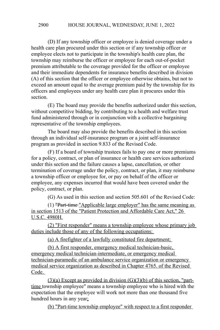(D) If any township officer or employee is denied coverage under a health care plan procured under this section or if any township officer or employee elects not to participate in the township's health care plan, the township may reimburse the officer or employee for each out-of-pocket premium attributable to the coverage provided for the officer or employee and their immediate dependents for insurance benefits described in division (A) of this section that the officer or employee otherwise obtains, but not to exceed an amount equal to the average premium paid by the township for its officers and employees under any health care plan it procures under this section.

(E) The board may provide the benefits authorized under this section, without competitive bidding, by contributing to a health and welfare trust fund administered through or in conjunction with a collective bargaining representative of the township employees.

The board may also provide the benefits described in this section through an individual self-insurance program or a joint self-insurance program as provided in section 9.833 of the Revised Code.

(F) If a board of township trustees fails to pay one or more premiums for a policy, contract, or plan of insurance or health care services authorized under this section and the failure causes a lapse, cancellation, or other termination of coverage under the policy, contract, or plan, it may reimburse a township officer or employee for, or pay on behalf of the officer or employee, any expenses incurred that would have been covered under the policy, contract, or plan.

(G) As used in this section and section 505.601 of the Revised Code:

(1) "Part-time "Applicable large employer" has the same meaning as in section 1513 of the "Patient Protection and Affordable Care Act," 26 U.S.C. 4980H.

(2) "First responder" means a township employee whose primary job duties include those of any of the following occupations:

(a) A firefighter of a lawfully constituted fire department;

(b) A first responder, emergency medical technician-basic, emergency medical technician-intermediate, or emergency medical technician-paramedic of an ambulance service organization or emergency medical service organization as described in Chapter 4765. of the Revised Code.

 $(3)(a)$  Except as provided in division  $(G)(3)(b)$  of this section, "parttime township employee" means a township employee who is hired with the expectation that the employee will work not more than one thousand five hundred hours in any year;

(b) "Part-time township employee" with respect to a first responder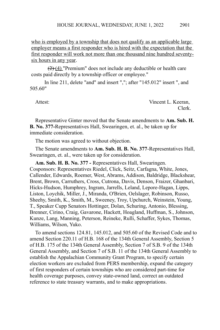who is employed by a township that does not qualify as an applicable large employer means a first responder who is hired with the expectation that the first responder will work not more than one thousand nine hundred seventysix hours in any year.

 $(2)$  (4) "Premium" does not include any deductible or health care costs paid directly by a township officer or employee."

In line 211, delete "and" and insert ","; after "145.012" insert ", and 505.60"

Attest: Vincent L. Keeran, Clerk.

Representative Ginter moved that the Senate amendments to **Am. Sub. H. B. No. 377-**Representatives Hall, Swearingen, et. al., be taken up for immediate consideration.

The motion was agreed to without objection.

The Senate amendments to **Am. Sub. H. B. No. 377**-Representatives Hall, Swearingen, et. al., were taken up for consideration.

**Am. Sub. H. B. No. 377 -** Representatives Hall, Swearingen. Cosponsors: Representatives Riedel, Click, Seitz, Carfagna, White, Jones, Callender, Edwards, Roemer, West, Abrams, Addison, Baldridge, Blackshear, Brent, Brown, Carruthers, Cross, Cutrona, Davis, Denson, Fraizer, Ghanbari, Hicks-Hudson, Humphrey, Ingram, Jarrells, Leland, Lepore-Hagan, Lipps, Liston, Loychik, Miller, J., Miranda, O'Brien, Oelslager, Robinson, Russo, Sheehy, Smith, K., Smith, M., Sweeney, Troy, Upchurch, Weinstein, Young, T., Speaker Cupp Senators Hottinger, Dolan, Schuring, Antonio, Blessing, Brenner, Cirino, Craig, Gavarone, Hackett, Hoagland, Huffman, S., Johnson, Kunze, Lang, Manning, Peterson, Reineke, Rulli, Schaffer, Sykes, Thomas, Williams, Wilson, Yuko.

To amend sections 124.81, 145.012, and 505.60 of the Revised Code and to amend Section 220.11 of H.B. 168 of the 134th General Assembly, Section 5 of H.B. 175 of the 134th General Assembly, Section 7 of S.B. 9 of the 134th General Assembly, and Section 7 of S.B. 11 of the 134th General Assembly to establish the Appalachian Community Grant Program, to specify certain election workers are excluded from PERS membership, expand the category of first responders of certain townships who are considered part-time for health coverage purposes, convey state-owned land, correct an outdated reference to state treasury warrants, and to make appropriations.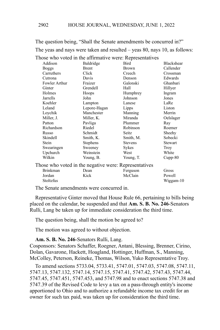The question being, "Shall the Senate amendments be concurred in?" The yeas and nays were taken and resulted – yeas 80, nays 10, as follows:

Those who voted in the affirmative were: Representatives

| Addison          | Baldridge                                             | Bird           | <b>Blackshear</b> |
|------------------|-------------------------------------------------------|----------------|-------------------|
| <b>Boggs</b>     | <b>Brent</b>                                          | <b>Brown</b>   | Callender         |
| Carruthers       | Click                                                 | Creech         | Crossman          |
| Cutrona          | Davis                                                 | Denson         | Edwards           |
| Fowler Arthur    | Fraizer                                               | Galonski       | Ghanbari          |
| Ginter           | Grendell                                              | Hall           | Hillyer           |
| Holmes           | Hoops                                                 | Humphrey       | Ingram            |
| Jarrells         | John                                                  | Johnson        | Jones             |
| Koehler          | Lampton                                               | Lanese         | LaRe              |
| Leland           | Lepore-Hagan                                          | Lipps          | Liston            |
| Loychik          | Manchester                                            | Manning        | Merrin            |
| Miller, J.       | Miller, K.                                            | Miranda        | Oelslager         |
| Patton           | Pavliga                                               | Plummer        | Ray               |
| Richardson       | Riedel                                                | Robinson       | Roemer            |
| Russo            | Schmidt                                               | Seitz          | Sheehy            |
| Skindell         | Smith, K.                                             | Smith, M.      | Sobecki           |
| Stein            | Stephens                                              | <b>Stevens</b> | Stewart           |
| Swearingen       | Sweeney                                               | <b>Sykes</b>   | Troy              |
| Upchurch         | Weinstein                                             | West           | White             |
| Wilkin           | Young, B.                                             | Young, T.      | $Cupp-80$         |
|                  | Those who voted in the negative were: Representatives |                |                   |
| <b>Brinkman</b>  | Dean                                                  | Ferguson       | Gross             |
| Jordan           | Kick                                                  | McClain        | Powell            |
| <b>Stoltzfus</b> |                                                       |                | Wiggam-10         |
|                  |                                                       |                |                   |

The Senate amendments were concurred in.

Representative Ginter moved that House Rule 66, pertaining to bills being placed on the calendar, be suspended and that **Am. S. B. No. 246**-Senators Rulli, Lang be taken up for immediate consideration the third time.

The question being, shall the motion be agreed to?

The motion was agreed to without objection.

## **Am. S. B. No. 246**-Senators Rulli, Lang.

Cosponsors: Senators Schaffer, Roegner, Antani, Blessing, Brenner, Cirino, Dolan, Gavarone, Hackett, Hoagland, Hottinger, Huffman, S., Manning, McColley, Peterson, Reineke, Thomas, Wilson, Yuko Representative Troy.

To amend sections 5733.04, 5733.41, 5747.01, 5747.03, 5747.08, 5747.11, 5747.13, 5747.132, 5747.14, 5747.15, 5747.41, 5747.42, 5747.43, 5747.44, 5747.45, 5747.451, 5747.453, and 5747.98 and to enact sections 5747.38 and 5747.39 of the Revised Code to levy a tax on a pass-through entity's income apportioned to Ohio and to authorize a refundable income tax credit for an owner for such tax paid, was taken up for consideration the third time.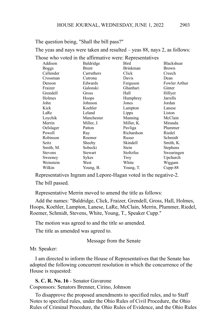The question being, "Shall the bill pass?"

The yeas and nays were taken and resulted – yeas 88, nays 2, as follows:

Those who voted in the affirmative were: Representatives

| Brinkman<br>Brent<br><b>Brown</b><br><b>Boggs</b><br>Callender<br>Carruthers<br>Click<br>Creech<br>Davis<br>Cutrona<br>Dean<br>Crossman<br>Edwards<br>Fowler Arthur<br>Ferguson<br>Denson<br>Fraizer<br>Galonski<br>Ghanbari<br>Ginter<br>Grendell<br>Hall<br>Hillyer<br>Gross<br>Jarrells<br>Holmes<br>Hoops<br>Humphrey<br>John<br>Johnson<br>Jordan<br>Jones<br>Kick<br>Koehler<br>Lanese<br>Lampton<br>LaRe<br>Leland<br>Liston<br>Lipps<br>McClain<br>Manchester<br>Loychik<br>Manning<br>Merrin<br>Miller, K.<br>Miranda<br>Miller, J.<br>Oelslager<br>Pavliga<br>Plummer<br>Patton<br>Powell<br>Richardson<br>Riedel<br>Ray<br>Robinson<br>Schmidt<br>Roemer<br>Russo<br>Skindell<br>Smith, K.<br>Seitz<br>Sheehy<br>Sobecki<br>Smith, M.<br>Stein<br>Stephens<br>Stoltzfus<br>Swearingen<br><b>Stevens</b><br>Stewart | Addison | Baldridge | Bird | Blackshear |
|-------------------------------------------------------------------------------------------------------------------------------------------------------------------------------------------------------------------------------------------------------------------------------------------------------------------------------------------------------------------------------------------------------------------------------------------------------------------------------------------------------------------------------------------------------------------------------------------------------------------------------------------------------------------------------------------------------------------------------------------------------------------------------------------------------------------------------|---------|-----------|------|------------|
|                                                                                                                                                                                                                                                                                                                                                                                                                                                                                                                                                                                                                                                                                                                                                                                                                               |         |           |      |            |
|                                                                                                                                                                                                                                                                                                                                                                                                                                                                                                                                                                                                                                                                                                                                                                                                                               |         |           |      |            |
|                                                                                                                                                                                                                                                                                                                                                                                                                                                                                                                                                                                                                                                                                                                                                                                                                               |         |           |      |            |
|                                                                                                                                                                                                                                                                                                                                                                                                                                                                                                                                                                                                                                                                                                                                                                                                                               |         |           |      |            |
|                                                                                                                                                                                                                                                                                                                                                                                                                                                                                                                                                                                                                                                                                                                                                                                                                               |         |           |      |            |
|                                                                                                                                                                                                                                                                                                                                                                                                                                                                                                                                                                                                                                                                                                                                                                                                                               |         |           |      |            |
|                                                                                                                                                                                                                                                                                                                                                                                                                                                                                                                                                                                                                                                                                                                                                                                                                               |         |           |      |            |
|                                                                                                                                                                                                                                                                                                                                                                                                                                                                                                                                                                                                                                                                                                                                                                                                                               |         |           |      |            |
|                                                                                                                                                                                                                                                                                                                                                                                                                                                                                                                                                                                                                                                                                                                                                                                                                               |         |           |      |            |
|                                                                                                                                                                                                                                                                                                                                                                                                                                                                                                                                                                                                                                                                                                                                                                                                                               |         |           |      |            |
|                                                                                                                                                                                                                                                                                                                                                                                                                                                                                                                                                                                                                                                                                                                                                                                                                               |         |           |      |            |
|                                                                                                                                                                                                                                                                                                                                                                                                                                                                                                                                                                                                                                                                                                                                                                                                                               |         |           |      |            |
|                                                                                                                                                                                                                                                                                                                                                                                                                                                                                                                                                                                                                                                                                                                                                                                                                               |         |           |      |            |
|                                                                                                                                                                                                                                                                                                                                                                                                                                                                                                                                                                                                                                                                                                                                                                                                                               |         |           |      |            |
|                                                                                                                                                                                                                                                                                                                                                                                                                                                                                                                                                                                                                                                                                                                                                                                                                               |         |           |      |            |
|                                                                                                                                                                                                                                                                                                                                                                                                                                                                                                                                                                                                                                                                                                                                                                                                                               |         |           |      |            |
|                                                                                                                                                                                                                                                                                                                                                                                                                                                                                                                                                                                                                                                                                                                                                                                                                               |         |           |      |            |
|                                                                                                                                                                                                                                                                                                                                                                                                                                                                                                                                                                                                                                                                                                                                                                                                                               |         |           |      |            |
|                                                                                                                                                                                                                                                                                                                                                                                                                                                                                                                                                                                                                                                                                                                                                                                                                               | Sweeney | Sykes     | Troy | Upchurch   |
| Weinstein<br>White<br>Wiggam<br>West                                                                                                                                                                                                                                                                                                                                                                                                                                                                                                                                                                                                                                                                                                                                                                                          |         |           |      |            |
| Wilkin<br>Cupp-88<br>Young, B.<br>Young, T.                                                                                                                                                                                                                                                                                                                                                                                                                                                                                                                                                                                                                                                                                                                                                                                   |         |           |      |            |

Representatives Ingram and Lepore-Hagan voted in the negative-2.

The bill passed.

Representative Merrin moved to amend the title as follows:

Add the names: "Baldridge, Click, Fraizer, Grendell, Gross, Hall, Holmes, Hoops, Koehler, Lampton, Lanese, LaRe, McClain, Merrin, Plummer, Riedel, Roemer, Schmidt, Stevens, White, Young, T., Speaker Cupp."

The motion was agreed to and the title so amended.

The title as amended was agreed to.

Message from the Senate

Mr. Speaker:

I am directed to inform the House of Representatives that the Senate has adopted the following concurrent resolution in which the concurrence of the House is requested:

**S. C. R. No. 16** - Senator Gavarone

Cosponsors: Senators Brenner, Cirino, Johnson

To disapprove the proposed amendments to specified rules, and to Staff Notes to specified rules, under the Ohio Rules of Civil Procedure, the Ohio Rules of Criminal Procedure, the Ohio Rules of Evidence, and the Ohio Rules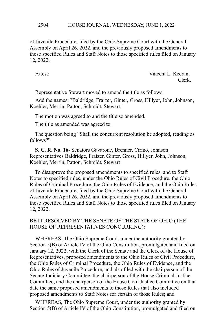HOUSE JOURNAL, WEDNESDAY, JUNE 1, 2022 2904

of Juvenile Procedure, filed by the Ohio Supreme Court with the General Assembly on April 26, 2022, and the previously proposed amendments to those specified Rules and Staff Notes to those specified rules filed on January 12, 2022.

Attest: Vincent L. Keeran, Clerk.

Representative Stewart moved to amend the title as follows:

Add the names: "Baldridge, Fraizer, Ginter, Gross, Hillyer, John, Johnson, Koehler, Merrin, Patton, Schmidt, Stewart."

The motion was agreed to and the title so amended.

The title as amended was agreed to.

 The question being "Shall the concurrent resolution be adopted, reading as follows?"

 **S. C. R. No. 16**- Senators Gavarone, Brenner, Cirino, Johnson Representatives Baldridge, Fraizer, Ginter, Gross, Hillyer, John, Johnson, Koehler, Merrin, Patton, Schmidt, Stewart

 To disapprove the proposed amendments to specified rules, and to Staff Notes to specified rules, under the Ohio Rules of Civil Procedure, the Ohio Rules of Criminal Procedure, the Ohio Rules of Evidence, and the Ohio Rules of Juvenile Procedure, filed by the Ohio Supreme Court with the General Assembly on April 26, 2022, and the previously proposed amendments to those specified Rules and Staff Notes to those specified rules filed on January 12, 2022.

BE IT RESOLVED BY THE SENATE OF THE STATE OF OHIO (THE HOUSE OF REPRESENTATIVES CONCURRING):

WHEREAS, The Ohio Supreme Court, under the authority granted by Section 5(B) of Article IV of the Ohio Constitution, promulgated and filed on January 12, 2022, with the Clerk of the Senate and the Clerk of the House of Representatives, proposed amendments to the Ohio Rules of Civil Procedure, the Ohio Rules of Criminal Procedure, the Ohio Rules of Evidence, and the Ohio Rules of Juvenile Procedure, and also filed with the chairperson of the Senate Judiciary Committee, the chairperson of the House Criminal Justice Committee, and the chairperson of the House Civil Justice Committee on that date the same proposed amendments to those Rules that also included proposed amendments to Staff Notes for certain of those Rules; and

WHEREAS, The Ohio Supreme Court, under the authority granted by Section 5(B) of Article IV of the Ohio Constitution, promulgated and filed on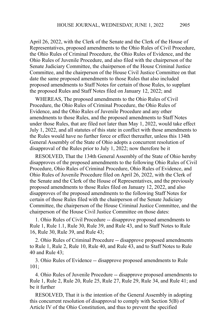April 26, 2022, with the Clerk of the Senate and the Clerk of the House of Representatives, proposed amendments to the Ohio Rules of Civil Procedure, the Ohio Rules of Criminal Procedure, the Ohio Rules of Evidence, and the Ohio Rules of Juvenile Procedure, and also filed with the chairperson of the Senate Judiciary Committee, the chairperson of the House Criminal Justice Committee, and the chairperson of the House Civil Justice Committee on that date the same proposed amendments to those Rules that also included proposed amendments to Staff Notes for certain of those Rules, to supplant the proposed Rules and Staff Notes filed on January 12, 2022; and

WHEREAS, The proposed amendments to the Ohio Rules of Civil Procedure, the Ohio Rules of Criminal Procedure, the Ohio Rules of Evidence, and the Ohio Rules of Juvenile Procedure and any other amendments to those Rules, and the proposed amendments to Staff Notes under those Rules, that are filed not later than May 1, 2022, would take effect July 1, 2022, and all statutes of this state in conflict with those amendments to the Rules would have no further force or effect thereafter, unless this 134th General Assembly of the State of Ohio adopts a concurrent resolution of disapproval of the Rules prior to July 1, 2022; now therefore be it

RESOLVED, That the 134th General Assembly of the State of Ohio hereby disapproves of the proposed amendments to the following Ohio Rules of Civil Procedure, Ohio Rules of Criminal Procedure, Ohio Rules of Evidence, and Ohio Rules of Juvenile Procedure filed on April 26, 2022, with the Clerk of the Senate and the Clerk of the House of Representatives, and the previously proposed amendments to those Rules filed on January 12, 2022, and also disapproves of the proposed amendments to the following Staff Notes for certain of those Rules filed with the chairperson of the Senate Judiciary Committee, the chairperson of the House Criminal Justice Committee, and the chairperson of the House Civil Justice Committee on those dates:

1. Ohio Rules of Civil Procedure -- disapprove proposed amendments to Rule 1, Rule 1.1, Rule 30, Rule 39, and Rule 43, and to Staff Notes to Rule 16, Rule 30, Rule 39, and Rule 43;

2. Ohio Rules of Criminal Procedure -- disapprove proposed amendments to Rule 1, Rule 2, Rule 10, Rule 40, and Rule 43, and to Staff Notes to Rule 40 and Rule 43;

3. Ohio Rules of Evidence -- disapprove proposed amendments to Rule 101;

4. Ohio Rules of Juvenile Procedure -- disapprove proposed amendments to Rule 1, Rule 2, Rule 20, Rule 25, Rule 27, Rule 29, Rule 34, and Rule 41; and be it further

RESOLVED, That it is the intention of the General Assembly in adopting this concurrent resolution of disapproval to comply with Section 5(B) of Article IV of the Ohio Constitution, and thus to prevent the specified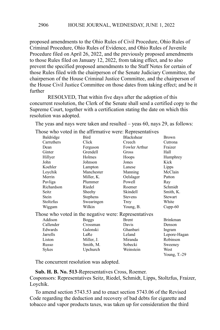2906

proposed amendments to the Ohio Rules of Civil Procedure, Ohio Rules of Criminal Procedure, Ohio Rules of Evidence, and Ohio Rules of Juvenile Procedure filed on April 26, 2022, and the previously proposed amendments to those Rules filed on January 12, 2022, from taking effect, and to also prevent the specified proposed amendments to the Staff Notes for certain of those Rules filed with the chairperson of the Senate Judiciary Committee, the chairperson of the House Criminal Justice Committee, and the chairperson of the House Civil Justice Committee on those dates from taking effect; and be it further

RESOLVED, That within five days after the adoption of this concurrent resolution, the Clerk of the Senate shall send a certified copy to the Supreme Court, together with a certification stating the date on which this resolution was adopted.

The yeas and nays were taken and resulted – yeas 60, nays 29, as follows:

| Those who voted in the affirmative were. Representatives |                 |                   |                 |
|----------------------------------------------------------|-----------------|-------------------|-----------------|
| Baldridge                                                | Bird            | <b>Blackshear</b> | <b>Brown</b>    |
| Carruthers                                               | Click           | Creech            | Cutrona         |
| Dean                                                     | Ferguson        | Fowler Arthur     | Fraizer         |
| Ginter                                                   | Grendell        | Gross             | Hall            |
| Hillyer                                                  | Holmes          | Hoops             | Humphrey        |
| John                                                     | Johnson         | Jones             | Kick            |
| Koehler                                                  | Lampton         | Lanese            | Lipps           |
| Loychik                                                  | Manchester      | Manning           | McClain         |
| Merrin                                                   | Miller, K.      | Oelslager         | Patton          |
| Pavliga                                                  | Plummer         | Powell            | Ray             |
| Richardson                                               | Riedel          | Roemer            | Schmidt         |
| Seitz                                                    | Sheehy          | Skindell          | Smith, K.       |
| Stein                                                    | <b>Stephens</b> | <b>Stevens</b>    | <b>Stewart</b>  |
| Stoltzfus                                                | Swearingen      | Troy              | White           |
| Wiggam                                                   | Wilkin          | Young, B.         | $Cupp-60$       |
| Those who voted in the negative were: Representatives    |                 |                   |                 |
| Addison                                                  | <b>Boggs</b>    | <b>Brent</b>      | <b>Brinkman</b> |
| Callender                                                | Crossman        | Davis             | Denson          |
| Edwards                                                  | Galonski        | Ghanbari          | Ingram          |
| Jarrells                                                 | LaRe            | Leland            | Lepore-Hagan    |
| Liston                                                   | Miller, J.      | Miranda           | Robinson        |
| Russo                                                    | Smith, M.       | Sobecki           | Sweeney         |
| Sykes                                                    | Upchurch        | Weinstein         | West            |
|                                                          |                 |                   | Young, T.-29    |
|                                                          |                 |                   |                 |

Those who voted in the affirmative were: Representatives

The concurrent resolution was adopted.

**Sub. H. B. No. 513**-Representatives Cross, Roemer. Cosponsors: Representatives Seitz, Riedel, Schmidt, Lipps, Stoltzfus, Fraizer, Loychik.

To amend section 5743.53 and to enact section 5743.06 of the Revised Code regarding the deduction and recovery of bad debts for cigarette and tobacco and vapor products taxes, was taken up for consideration the third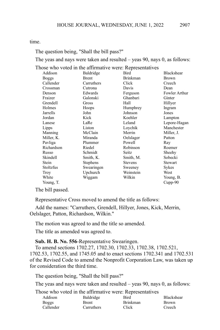time.

The question being, "Shall the bill pass?"

The yeas and nays were taken and resulted – yeas 90, nays 0, as follows:

Those who voted in the affirmative were: Representatives

| Addison      | Baldridge    | Bird            | Blackshear    |
|--------------|--------------|-----------------|---------------|
| <b>Boggs</b> | <b>Brent</b> | <b>Brinkman</b> | Brown         |
| Callender    | Carruthers   | Click           | Creech        |
| Crossman     | Cutrona      | Davis           | Dean          |
| Denson       | Edwards      | Ferguson        | Fowler Arthur |
| Fraizer      | Galonski     | Ghanbari        | Ginter        |
| Grendell     | Gross        | Hall            | Hillyer       |
| Holmes       | Hoops        | Humphrey        | Ingram        |
| Jarrells     | John         | Johnson         | Jones         |
| Jordan       | Kick         | Koehler         | Lampton       |
| Lanese       | LaRe         | Leland          | Lepore-Hagan  |
| Lipps        | Liston       | Loychik         | Manchester    |
| Manning      | McClain      | Merrin          | Miller, J.    |
| Miller, K.   | Miranda      | Oelslager       | Patton        |
| Pavliga      | Plummer      | Powell          | Ray           |
| Richardson   | Riedel       | Robinson        | Roemer        |
| Russo        | Schmidt      | Seitz           | Sheehy        |
| Skindell     | Smith, K.    | Smith, M.       | Sobecki       |
| Stein        | Stephens     | Stevens         | Stewart       |
| Stoltzfus    | Swearingen   | Sweeney         | Sykes         |
| Troy         | Upchurch     | Weinstein       | West          |
| White        | Wiggam       | Wilkin          | Young, B.     |
| Young, T.    |              |                 | $Cupp-90$     |
|              |              |                 |               |

The bill passed.

Representative Cross moved to amend the title as follows:

Add the names: "Carruthers, Grendell, Hillyer, Jones, Kick, Merrin, Oelslager, Patton, Richardson, Wilkin."

The motion was agreed to and the title so amended.

The title as amended was agreed to.

**Sub. H. B. No. 556**-Representative Swearingen.

To amend sections 1702.27, 1702.30, 1702.33, 1702.38, 1702.521, 1702.53, 1702.55, and 1745.05 and to enact sections 1702.341 and 1702.531 of the Revised Code to amend the Nonprofit Corporation Law, was taken up for consideration the third time.

The question being, "Shall the bill pass?"

The yeas and nays were taken and resulted – yeas 90, nays 0, as follows:

Those who voted in the affirmative were: Representatives

| Addison   | Baldridge    | <b>Bird</b>     | Blackshear   |
|-----------|--------------|-----------------|--------------|
| Boggs     | <b>Brent</b> | <b>Brinkman</b> | <b>Brown</b> |
| Callender | Carruthers   | Click           | Creech       |

2907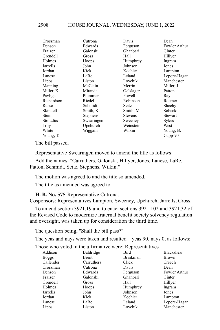| Crossman   | Cutrona         | Davis          | Dean                 |
|------------|-----------------|----------------|----------------------|
| Denson     | Edwards         | Ferguson       | <b>Fowler Arthur</b> |
| Fraizer    | Galonski        | Ghanbari       | Ginter               |
| Grendell   | Gross           | Hall           | Hillyer              |
| Holmes     | Hoops           | Humphrey       | Ingram               |
| Jarrells   | John            | Johnson        | Jones                |
| Jordan     | Kick            | Koehler        | Lampton              |
| Lanese     | LaRe            | Leland         | Lepore-Hagan         |
| Lipps      | Liston          | Lovchik        | Manchester           |
| Manning    | McClain         | Merrin         | Miller, J.           |
| Miller, K. | Miranda         | Oelslager      | Patton               |
| Pavliga    | Plummer         | Powell         | Ray                  |
| Richardson | Riedel          | Robinson       | Roemer               |
| Russo      | Schmidt         | Seitz          | Sheehy               |
| Skindell   | Smith, K.       | Smith, M.      | Sobecki              |
| Stein      | <b>Stephens</b> | <b>Stevens</b> | <b>Stewart</b>       |
| Stoltzfus  | Swearingen      | Sweeney        | Sykes                |
| Troy       | Upchurch        | Weinstein      | West                 |
| White      | Wiggam          | Wilkin         | Young, B.            |
| Young, T.  |                 |                | Cupp-90              |

Representative Swearingen moved to amend the title as follows:

Add the names: "Carruthers, Galonski, Hillyer, Jones, Lanese, LaRe, Patton, Schmidt, Seitz, Stephens, Wilkin."

The motion was agreed to and the title so amended.

The title as amended was agreed to.

**H. B. No. 575**-Representative Cutrona.

Cosponsors: Representatives Lampton, Sweeney, Upchurch, Jarrells, Cross.

To amend section 3921.19 and to enact sections 3921.102 and 3921.32 of the Revised Code to modernize fraternal benefit society solvency regulation and oversight, was taken up for consideration the third time.

The question being, "Shall the bill pass?"

The yeas and nays were taken and resulted – yeas 90, nays 0, as follows:

| Addison   | Baldridge    | Bird            | Blackshear    |
|-----------|--------------|-----------------|---------------|
| Boggs     | <b>Brent</b> | <b>Brinkman</b> | Brown         |
| Callender | Carruthers   | Click           | Creech        |
| Crossman  | Cutrona      | Davis           | Dean          |
| Denson    | Edwards      | Ferguson        | Fowler Arthur |
| Fraizer   | Galonski     | Ghanbari        | Ginter        |
| Grendell  | Gross        | Hall            | Hillyer       |
| Holmes    | Hoops        | Humphrey        | Ingram        |
| Jarrells  | John         | Johnson         | Jones         |
| Jordan    | Kick         | Koehler         | Lampton       |
| Lanese    | LaRe         | Leland          | Lepore-Hagan  |
| Lipps     | Liston       | Lovchik         | Manchester    |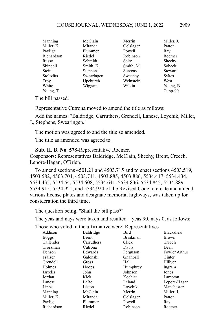| Manning     | McClain         | Merrin         | Miller, J.     |
|-------------|-----------------|----------------|----------------|
| Miller, K.  | Miranda         | Oelslager      | Patton         |
| Pavliga     | Plummer         | Powell         | Ray            |
| Richardson  | Riedel          | Robinson       | Roemer         |
| Russo       | Schmidt         | Seitz          | Sheehy         |
| Skindell    | Smith, K.       | Smith, M.      | Sobecki        |
| Stein       | <b>Stephens</b> | <b>Stevens</b> | <b>Stewart</b> |
| Stoltzfus   | Swearingen      | Sweeney        | Sykes          |
| <b>Troy</b> | Upchurch        | Weinstein      | West           |
| White       | Wiggam          | Wilkin         | Young, B.      |
| Young, T.   |                 |                | $C$ upp- $90$  |

Representative Cutrona moved to amend the title as follows:

Add the names: "Baldridge, Carruthers, Grendell, Lanese, Loychik, Miller, J., Stephens, Swearingen."

The motion was agreed to and the title so amended.

The title as amended was agreed to.

**Sub. H. B. No. 578**-Representative Roemer.

Cosponsors: Representatives Baldridge, McClain, Sheehy, Brent, Creech, Lepore-Hagan, O'Brien.

To amend sections 4501.21 and 4503.715 and to enact sections 4503.519, 4503.582, 4503.704, 4503.741, 4503.885, 4503.886, 5534.417, 5534.434, 5534.435, 5534.54, 5534.608, 5534.641, 5534.836, 5534.845, 5534.889, 5534.915, 5534.921, and 5534.924 of the Revised Code to create and amend various license plates and designate memorial highways, was taken up for consideration the third time.

The question being, "Shall the bill pass?"

The yeas and nays were taken and resulted – yeas 90, nays 0, as follows:

|              | $\ddotsc$ of $\ddotsc$ and $\ddotsc$ $\ddotsc$ $\ddotsc$ $\ddotsc$ $\ddotsc$ $\ddotsc$ $\ddotsc$ $\ddotsc$ |                 |                   |
|--------------|------------------------------------------------------------------------------------------------------------|-----------------|-------------------|
| Addison      | Baldridge                                                                                                  | Bird            | <b>Blackshear</b> |
| <b>Boggs</b> | <b>Brent</b>                                                                                               | <b>Brinkman</b> | <b>Brown</b>      |
| Callender    | Carruthers                                                                                                 | Click           | Creech            |
| Crossman     | Cutrona                                                                                                    | Davis           | Dean              |
| Denson       | Edwards                                                                                                    | Ferguson        | Fowler Arthur     |
| Fraizer      | Galonski                                                                                                   | Ghanbari        | Ginter            |
| Grendell     | Gross                                                                                                      | Hall            | Hillyer           |
| Holmes       | Hoops                                                                                                      | Humphrey        | Ingram            |
| Jarrells     | John                                                                                                       | Johnson         | Jones             |
| Jordan       | Kick                                                                                                       | Koehler         | Lampton           |
| Lanese       | LaRe                                                                                                       | Leland          | Lepore-Hagan      |
| Lipps        | Liston                                                                                                     | Lovchik         | Manchester        |
| Manning      | McClain                                                                                                    | Merrin          | Miller, J.        |
| Miller, K.   | Miranda                                                                                                    | Oelslager       | Patton            |
| Pavliga      | Plummer                                                                                                    | Powell          | Ray               |
| Richardson   | Riedel                                                                                                     | Robinson        | Roemer            |
|              |                                                                                                            |                 |                   |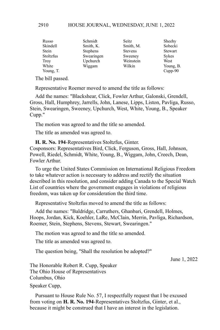| Russo            | Schmidt         | Seitz          | Sheehy         |
|------------------|-----------------|----------------|----------------|
| Skindell         | Smith, K.       | Smith, M.      | Sobecki        |
| Stein            | <b>Stephens</b> | <b>Stevens</b> | <b>Stewart</b> |
| <b>Stoltzfus</b> | Swearingen      | Sweeney        | <b>Sykes</b>   |
| <b>Troy</b>      | Upchurch        | Weinstein      | West           |
| White            | Wiggam          | Wilkin         | Young, B.      |
| Young, T.        |                 |                | $Cupp-90$      |

Representative Roemer moved to amend the title as follows:

Add the names: "Blackshear, Click, Fowler Arthur, Galonski, Grendell, Gross, Hall, Humphrey, Jarrells, John, Lanese, Lipps, Liston, Pavliga, Russo, Stein, Swearingen, Sweeney, Upchurch, West, White, Young, B., Speaker Cupp."

The motion was agreed to and the title so amended.

The title as amended was agreed to.

**H. R. No. 194**-Representatives Stoltzfus, Ginter.

Cosponsors: Representatives Bird, Click, Ferguson, Gross, Hall, Johnson, Powell, Riedel, Schmidt, White, Young, B., Wiggam, John, Creech, Dean, Fowler Arthur.

To urge the United States Commission on International Religious Freedom to take whatever action is necessary to address and rectify the situation described in this resolution, and consider adding Canada to the Special Watch List of countries where the government engages in violations of religious freedom, was taken up for consideration the third time.

Representative Stoltzfus moved to amend the title as follows:

Add the names: "Baldridge, Carruthers, Ghanbari, Grendell, Holmes, Hoops, Jordan, Kick, Koehler, LaRe, McClain, Merrin, Pavliga, Richardson, Roemer, Stein, Stephens, Stevens, Stewart, Swearingen."

The motion was agreed to and the title so amended.

The title as amended was agreed to.

The question being, "Shall the resolution be adopted?"

June 1, 2022

The Honorable Robert R. Cupp, Speaker The Ohio House of Representatives Columbus, Ohio

Speaker Cupp,

Pursuant to House Rule No. 57, I respectfully request that I be excused from voting on **H. R. No. 194**-Representatives Stoltzfus, Ginter, et al., because it might be construed that I have an interest in the legislation.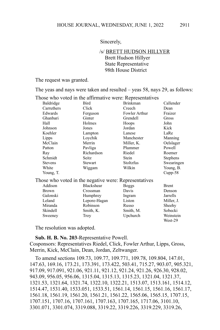Sincerely,

/s/ BRETT HUDSON HILLYER Brett Hudson Hillyer State Representative 98th House District

The request was granted.

The yeas and nays were taken and resulted – yeas 58, nays 29, as follows:

| Those who voted in the affirmative were: Representatives |              |                 |              |
|----------------------------------------------------------|--------------|-----------------|--------------|
| Baldridge                                                | Bird         | <b>Brinkman</b> | Callender    |
| Carruthers                                               | Click        | Creech          | Dean         |
| Edwards                                                  | Ferguson     | Fowler Arthur   | Fraizer      |
| Ghanbari                                                 | Ginter       | Grendell        | Gross        |
| Hall                                                     | Holmes       | Hoops           | John         |
| Johnson                                                  | Jones        | Jordan          | Kick         |
| Koehler                                                  | Lampton      | Lanese          | LaRe         |
| Lipps                                                    | Loychik      | Manchester      | Manning      |
| McClain                                                  | Merrin       | Miller, K.      | Oelslager    |
| Patton                                                   | Pavliga      | Plummer         | Powell       |
| Ray                                                      | Richardson   | Riedel          | Roemer       |
| Schmidt                                                  | <b>Seitz</b> | Stein           | Stephens     |
| <b>Stevens</b>                                           | Stewart      | Stoltzfus       | Swearingen   |
| White                                                    | Wiggam       | Wilkin          | Young, B.    |
| Young, T.                                                |              |                 | $Cupp-58$    |
| Those who voted in the negative were: Representatives    |              |                 |              |
| Addison                                                  | Blackshear   | <b>Boggs</b>    | <b>Brent</b> |
| <b>Brown</b>                                             | Crossman     | Davis           | Denson       |
| Galonski                                                 | Humphrey     | Ingram          | Jarrells     |
| Leland                                                   | Lepore-Hagan | Liston          | Miller, J.   |
| Miranda                                                  | Robinson     | Russo           | Sheehy       |
| Skindell                                                 | Smith, K.    | Smith, M.       | Sobecki      |
| Sweeney                                                  | Troy         | Upchurch        | Weinstein    |
|                                                          |              |                 | West-29      |

The resolution was adopted.

**Sub. H. B. No. 203**-Representative Powell.

Cosponsors: Representatives Riedel, Click, Fowler Arthur, Lipps, Gross, Merrin, Kick, McClain, Dean, Jordan, Zeltwanger.

To amend sections 109.73, 109.77, 109.771, 109.78, 109.804, 147.01, 147.63, 169.16, 173.21, 173.391, 173.422, 503.41, 715.27, 903.07, 905.321, 917.09, 917.091, 921.06, 921.11, 921.12, 921.24, 921.26, 926.30, 928.02, 943.09, 956.05, 956.06, 1315.04, 1315.13, 1315.23, 1321.04, 1321.37, 1321.53, 1321.64, 1321.74, 1322.10, 1322.21, 1513.07, 1513.161, 1514.12, 1514.47, 1531.40, 1533.051, 1533.51, 1561.14, 1561.15, 1561.16, 1561.17, 1561.18, 1561.19, 1561.20, 1561.21, 1561.22, 1565.06, 1565.15, 1707.15, 1707.151, 1707.16, 1707.161, 1707.163, 1707.165, 1717.06, 3101.10, 3301.071, 3301.074, 3319.088, 3319.22, 3319.226, 3319.229, 3319.26,

2911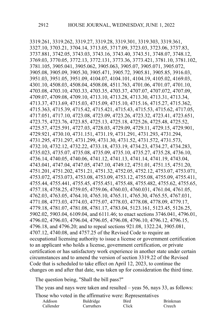3319.261, 3319.262, 3319.27, 3319.28, 3319.301, 3319.303, 3319.361, 3327.10, 3703.21, 3704.14, 3713.05, 3717.09, 3723.03, 3723.06, 3737.83, 3737.881, 3742.05, 3743.03, 3743.16, 3743.40, 3743.51, 3748.07, 3748.12, 3769.03, 3770.05, 3772.13, 3772.131, 3773.36, 3773.421, 3781.10, 3781.102, 3781.105, 3905.041, 3905.062, 3905.063, 3905.07, 3905.071, 3905.072, 3905.08, 3905.09, 3905.30, 3905.471, 3905.72, 3905.81, 3905.85, 3916.03, 3951.03, 3951.05, 3951.09, 4104.07, 4104.101, 4104.19, 4105.02, 4169.03, 4301.10, 4508.03, 4508.04, 4508.08, 4511.763, 4701.06, 4701.07, 4701.10, 4703.08, 4703.10, 4703.33, 4703.35, 4703.37, 4707.07, 4707.072, 4707.09, 4709.07, 4709.08, 4709.10, 4713.10, 4713.28, 4713.30, 4713.31, 4713.34, 4713.37, 4713.69, 4715.03, 4715.09, 4715.10, 4715.16, 4715.27, 4715.362, 4715.363, 4715.39, 4715.42, 4715.421, 4715.43, 4715.53, 4715.62, 4717.05, 4717.051, 4717.10, 4723.08, 4723.09, 4723.26, 4723.32, 4723.41, 4723.651, 4723.75, 4723.76, 4723.85, 4725.13, 4725.18, 4725.26, 4725.48, 4725.52, 4725.57, 4725.591, 4727.03, 4728.03, 4729.09, 4729.11, 4729.15, 4729.901, 4729.921, 4730.10, 4731.151, 4731.19, 4731.291, 4731.293, 4731.294, 4731.295, 4731.297, 4731.299, 4731.30, 4731.52, 4731.572, 4731.573, 4732.10, 4732.12, 4732.22, 4733.18, 4733.19, 4734.23, 4734.27, 4734.283, 4735.023, 4735.07, 4735.08, 4735.09, 4735.10, 4735.27, 4735.28, 4736.10, 4736.14, 4740.05, 4740.06, 4741.12, 4741.13, 4741.14, 4741.19, 4743.04, 4743.041, 4747.04, 4747.05, 4747.10, 4749.12, 4751.01, 4751.15, 4751.20, 4751.201, 4751.202, 4751.21, 4751.32, 4752.05, 4752.12, 4753.07, 4753.071, 4753.072, 4753.073, 4753.08, 4753.09, 4753.12, 4755.08, 4755.09, 4755.411, 4755.44, 4755.441, 4755.45, 4755.451, 4755.48, 4755.482, 4755.62, 4755.65, 4757.18, 4758.25, 4759.05, 4759.06, 4760.03, 4760.031, 4761.04, 4761.05, 4762.03, 4763.05, 4764.10, 4765.10, 4765.11, 4765.30, 4765.55, 4767.031, 4771.08, 4773.03, 4774.03, 4775.07, 4778.03, 4778.08, 4778.09, 4779.17, 4779.18, 4781.07, 4781.08, 4781.17, 4783.04, 5123.161, 5123.45, 5126.25, 5902.02, 5903.04, 6109.04, and 6111.46; to enact sections 3746.041, 4796.01, 4796.02, 4796.03, 4796.04, 4796.05, 4796.08, 4796.10, 4796.12, 4796.15, 4796.18, and 4796.20; and to repeal sections 921.08, 1322.24, 3905.081, 4707.12, 4740.08, and 4757.25 of the Revised Code to require an occupational licensing authority to issue a license or government certification to an applicant who holds a license, government certification, or private certification or has satisfactory work experience in another state under certain circumstances and to amend the version of section 3319.22 of the Revised Code that is scheduled to take effect on April 12, 2023, to continue the changes on and after that date, was taken up for consideration the third time.

The question being, "Shall the bill pass?"

The yeas and nays were taken and resulted – yeas 56, nays 33, as follows:

| Addison   | Baldridge  | Bird  | <b>Brinkman</b> |
|-----------|------------|-------|-----------------|
| Callender | Carruthers | Click | Creech          |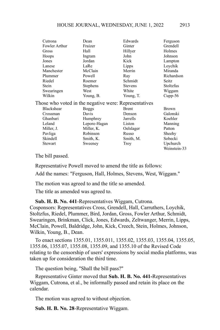| Cutrona           | Dean                                                  | Edwards        | Ferguson         |
|-------------------|-------------------------------------------------------|----------------|------------------|
| Fowler Arthur     | Fraizer                                               | Ginter         | Grendell         |
| Gross             | Hall                                                  | Hillyer        | Holmes           |
| Hoops             | Ingram                                                | John           | Johnson          |
| Jones             | Jordan                                                | Kick           | Lampton          |
| Lanese            | LaRe                                                  | Lipps          | Loychik          |
| Manchester        | McClain                                               | Merrin         | Miranda          |
| Plummer           | Powell                                                | Ray            | Richardson       |
| Riedel            | Roemer                                                | Schmidt        | Seitz            |
| Stein             | <b>Stephens</b>                                       | <b>Stevens</b> | <b>Stoltzfus</b> |
| Swearingen        | West                                                  | White          | Wiggam           |
| Wilkin            | Young, B.                                             | Young, T.      | $Cupp-56$        |
|                   | Those who voted in the negative were: Representatives |                |                  |
| <b>Blackshear</b> | <b>Boggs</b>                                          | <b>Brent</b>   | <b>Brown</b>     |
| Crossman          | Davis                                                 | Denson         | Galonski         |
| Ghanbari          | Humphrey                                              | Jarrells       | Koehler          |
| Leland            | Lepore-Hagan                                          | Liston         | Manning          |
| Miller, J.        | Miller, K.                                            | Oelslager      | Patton           |
| Pavliga           | Robinson                                              | Russo          | Sheehy           |
| Skindell          | Smith, K.                                             | Smith, M.      | Sobecki          |
| Stewart           | Sweeney                                               | Troy           | Upchurch         |
|                   |                                                       |                | Weinstein-33     |

Representative Powell moved to amend the title as follows:

Add the names: "Ferguson, Hall, Holmes, Stevens, West, Wiggam."

The motion was agreed to and the title so amended.

The title as amended was agreed to.

**Sub. H. B. No. 441**-Representatives Wiggam, Cutrona. Cosponsors: Representatives Cross, Grendell, Hall, Carruthers, Loychik, Stoltzfus, Riedel, Plummer, Bird, Jordan, Gross, Fowler Arthur, Schmidt, Swearingen, Brinkman, Click, Jones, Edwards, Zeltwanger, Merrin, Lipps, McClain, Powell, Baldridge, John, Kick, Creech, Stein, Holmes, Johnson, Wilkin, Young, B., Dean.

To enact sections 1355.01, 1355.011, 1355.02, 1355.03, 1355.04, 1355.05, 1355.06, 1355.07, 1355.08, 1355.09, and 1355.10 of the Revised Code relating to the censorship of users' expressions by social media platforms, was taken up for consideration the third time.

The question being, "Shall the bill pass?"

Representative Ginter moved that **Sub. H. B. No. 441-**Representatives Wiggam, Cutrona, et al., be informally passed and retain its place on the calendar.

The motion was agreed to without objection.

**Sub. H. B. No. 28**-Representative Wiggam.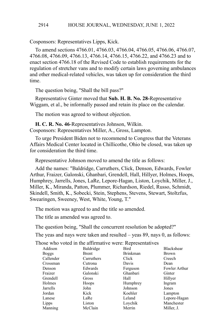Cosponsors: Representatives Lipps, Kick.

To amend sections 4766.01, 4766.03, 4766.04, 4766.05, 4766.06, 4766.07, 4766.08, 4766.09, 4766.13, 4766.14, 4766.15, 4766.22, and 4766.23 and to enact section 4766.18 of the Revised Code to establish requirements for the regulation of stretcher vans and to modify certain laws governing ambulances and other medical-related vehicles, was taken up for consideration the third time.

The question being, "Shall the bill pass?"

Representative Ginter moved that **Sub. H. B. No. 28-**Representative Wiggam, et al., be informally passed and retain its place on the calendar.

The motion was agreed to without objection.

**H. C. R. No. 46**-Representatives Johnson, Wilkin. Cosponsors: Representatives Miller, A., Gross, Lampton.

To urge President Biden not to recommend to Congress that the Veterans Affairs Medical Center located in Chillicothe, Ohio be closed, was taken up for consideration the third time.

Representative Johnson moved to amend the title as follows:

Add the names: "Baldridge, Carruthers, Click, Denson, Edwards, Fowler Arthur, Fraizer, Galonski, Ghanbari, Grendell, Hall, Hillyer, Holmes, Hoops, Humphrey, Jarrells, Jones, LaRe, Lepore-Hagan, Liston, Loychik, Miller, J., Miller, K., Miranda, Patton, Plummer, Richardson, Riedel, Russo, Schmidt, Skindell, Smith, K., Sobecki, Stein, Stephens, Stevens, Stewart, Stoltzfus, Swearingen, Sweeney, West, White, Young, T."

The motion was agreed to and the title so amended.

The title as amended was agreed to.

The question being, "Shall the concurrent resolution be adopted?"

The yeas and nays were taken and resulted – yeas 89, nays 0, as follows:

| Addison      | Baldridge  | Bird            | Blackshear    |
|--------------|------------|-----------------|---------------|
| <b>Boggs</b> | Brent      | <b>Brinkman</b> | <b>Brown</b>  |
| Callender    | Carruthers | Click           | Creech        |
| Crossman     | Cutrona    | Davis           | Dean          |
| Denson       | Edwards    | Ferguson        | Fowler Arthur |
| Fraizer      | Galonski   | Ghanbari        | Ginter        |
| Grendell     | Gross      | Hall            | Hillyer       |
| Holmes       | Hoops      | Humphrey        | Ingram        |
| Jarrells     | John       | Johnson         | Jones         |
| Jordan       | Kick       | Koehler         | Lampton       |
| Lanese       | LaRe       | Leland          | Lepore-Hagan  |
| Lipps        | Liston     | Loychik         | Manchester    |
| Manning      | McClain    | Merrin          | Miller, J.    |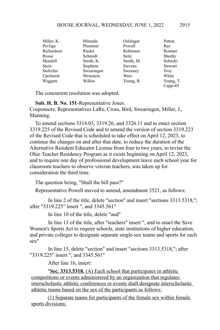| Miller, K.       | Miranda         | Oelslager      | Patton         |
|------------------|-----------------|----------------|----------------|
| Pavliga          | Plummer         | Powell         | Ray            |
| Richardson       | Riedel          | Robinson       | Roemer         |
| Russo            | Schmidt         | Seitz          | Sheehy         |
| Skindell         | Smith, K.       | Smith, M.      | Sobecki        |
| <b>Stein</b>     | <b>Stephens</b> | <b>Stevens</b> | <b>Stewart</b> |
| <b>Stoltzfus</b> | Swearingen      | Sweeney        | Troy           |
| Upchurch         | Weinstein       | West           | White          |
| Wiggam           | Wilkin          | Young, B.      | Young, T.      |
|                  |                 |                | Cupp-89        |

The concurrent resolution was adopted.

**Sub. H. B. No. 151**-Representative Jones.

Cosponsors: Representatives LaRe, Cross, Bird, Swearingen, Miller, J., Manning.

To amend sections 3314.03, 3319.26, and 3326.11 and to enact section 3319.225 of the Revised Code and to amend the version of section 3319.223 of the Revised Code that is scheduled to take effect on April 12, 2023, to continue the changes on and after that date, to reduce the duration of the Alternative Resident Educator License from four to two years, to revise the Ohio Teacher Residency Program as it exists beginning on April 12, 2023, and to require one day of professional development leave each school year for classroom teachers to observe veteran teachers, was taken up for consideration the third time.

The question being, "Shall the bill pass?"

Representative Powell moved to amend, amendment 3521, as follows:

In line 2 of the title, delete "section" and insert "sections 3313.5318,"; after "3319.225" insert ", and 3345.561"

In line 10 of the title, delete "and"

In line 13 of the title, after "teachers" insert ", and to enact the Save Women's Sports Act to require schools, state institutions of higher education, and private colleges to designate separate single-sex teams and sports for each sex"

In line 15, delete "section" and insert "sections 3313.5318,"; after "3319.225" insert ", and 3345.561"

After line 16, insert:

"**Sec. 3313.5318.** (A) Each school that participates in athletic competitions or events administered by an organization that regulates interscholastic athletic conferences or events shall designate interscholastic athletic teams based on the sex of the participants as follows:

(1) Separate teams for participants of the female sex within female sports divisions;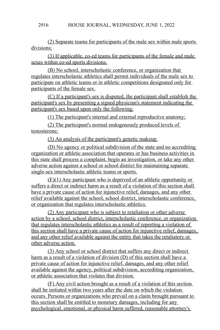(2) Separate teams for participants of the male sex within male sports divisions;

(3) If applicable, co-ed teams for participants of the female and male sexes within co-ed sports divisions.

(B) No school, interscholastic conference, or organization that regulates interscholastic athletics shall permit individuals of the male sex to participate on athletic teams or in athletic competitions designated only for participants of the female sex.

(C) If a participant's sex is disputed, the participant shall establish the participant's sex by presenting a signed physician's statement indicating the participant's sex based upon only the following:

(1) The participant's internal and external reproductive anatomy;

(2) The participant's normal endogenously produced levels of testosterone;

(3) An analysis of the participant's genetic makeup.

(D) No agency or political subdivision of the state and no accrediting organization or athletic association that operates or has business activities in this state shall process a complaint, begin an investigation, or take any other adverse action against a school or school district for maintaining separate single-sex interscholastic athletic teams or sports.

(E)(1) Any participant who is deprived of an athletic opportunity or suffers a direct or indirect harm as a result of a violation of this section shall have a private cause of action for injunctive relief, damages, and any other relief available against the school, school district, interscholastic conference, or organization that regulates interscholastic athletics.

(2) Any participant who is subject to retaliation or other adverse action by a school, school district, interscholastic conference, or organization that regulates interscholastic athletics as a result of reporting a violation of this section shall have a private cause of action for injunctive relief, damages, and any other relief available against the entity that takes the retaliatory or other adverse action.

(3) Any school or school district that suffers any direct or indirect harm as a result of a violation of division (D) of this section shall have a private cause of action for injunctive relief, damages, and any other relief available against the agency, political subdivision, accrediting organization, or athletic association that violates that division.

(F) Any civil action brought as a result of a violation of this section shall be initiated within two years after the date on which the violation occurs. Persons or organizations who prevail on a claim brought pursuant to this section shall be entitled to monetary damages, including for any psychological, emotional, or physical harm suffered, reasonable attorney's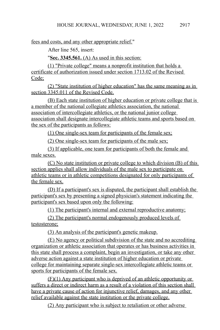fees and costs, and any other appropriate relief."

After line 565, insert:

" **Sec. 3345.561.** (A) As used in this section:

(1) "Private college" means a nonprofit institution that holds a certificate of authorization issued under section 1713.02 of the Revised Code;

(2) "State institution of higher education" has the same meaning as in section 3345.011 of the Revised Code.

(B) Each state institution of higher education or private college that is a member of the national collegiate athletics association, the national association of intercollegiate athletics, or the national junior college association shall designate intercollegiate athletic teams and sports based on the sex of the participants as follows:

(1) One single-sex team for participants of the female sex;

(2) One single-sex team for participants of the male sex;

(3) If applicable, one team for participants of both the female and male sexes.

(C) No state institution or private college to which division (B) of this section applies shall allow individuals of the male sex to participate on athletic teams or in athletic competitions designated for only participants of the female sex.

(D) If a participant's sex is disputed, the participant shall establish the participant's sex by presenting a signed physician's statement indicating the participant's sex based upon only the following:

(1) The participant's internal and external reproductive anatomy;

(2) The participant's normal endogenously produced levels of testosterone;

(3) An analysis of the participant's genetic makeup.

(E) No agency or political subdivision of the state and no accrediting organization or athletic association that operates or has business activities in this state shall process a complaint, begin an investigation, or take any other adverse action against a state institution of higher education or private college for maintaining separate single-sex intercollegiate athletic teams or sports for participants of the female sex.

(F)(1) Any participant who is deprived of an athletic opportunity or suffers a direct or indirect harm as a result of a violation of this section shall have a private cause of action for injunctive relief, damages, and any other relief available against the state institution or the private college.

(2) Any participant who is subject to retaliation or other adverse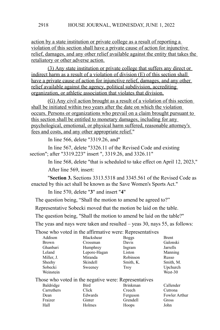action by a state institution or private college as a result of reporting a violation of this section shall have a private cause of action for injunctive relief, damages, and any other relief available against the entity that takes the retaliatory or other adverse action.

(3) Any state institution or private college that suffers any direct or indirect harm as a result of a violation of division (E) of this section shall have a private cause of action for injunctive relief, damages, and any other relief available against the agency, political subdivision, accrediting organization, or athletic association that violates that division.

(G) Any civil action brought as a result of a violation of this section shall be initiated within two years after the date on which the violation occurs. Persons or organizations who prevail on a claim brought pursuant to this section shall be entitled to monetary damages, including for any psychological, emotional, or physical harm suffered, reasonable attorney's fees and costs, and any other appropriate relief."

In line 566, delete "3319.26, and"

In line 567, delete "3326.11 of the Revised Code and existing section"; after "3319.223" insert ", 3319.26, and 3326.11"

> In line 568, delete "that is scheduled to take effect on April 12, 2023," After line 569, insert:

"**Section 3.** Sections 3313.5318 and 3345.561 of the Revised Code as enacted by this act shall be known as the Save Women's Sports Act."

In line 570, delete "**3**" and insert "**4**"

The question being, "Shall the motion to amend be agreed to?"

Representative Sobecki moved that the motion be laid on the table.

The question being, "Shall the motion to amend be laid on the table?"

The yeas and nays were taken and resulted – yeas 30, nays 55, as follows:

|              | $\ddotsc$ . The state measurement of $\ddotsc$ is the state of $\ddotsc$ of $\ddotsc$ |                 |               |
|--------------|---------------------------------------------------------------------------------------|-----------------|---------------|
| Addison      | Blackshear                                                                            | <b>Boggs</b>    | <b>Brent</b>  |
| <b>Brown</b> | Crossman                                                                              | Davis           | Galonski      |
| Ghanbari     | Humphrey                                                                              | Ingram          | Jarrells      |
| Leland       | Lepore-Hagan                                                                          | Liston          | Manning       |
| Miller, J.   | Miranda                                                                               | Robinson        | Russo         |
| Sheehy       | Skindell                                                                              | Smith, K.       | Smith, M.     |
| Sobecki      | Sweeney                                                                               | Troy            | Upchurch      |
| Weinstein    |                                                                                       |                 | West-30       |
|              | Those who voted in the negative were: Representatives                                 |                 |               |
| Baldridge    | <b>Bird</b>                                                                           | <b>Brinkman</b> | Callender     |
| Carruthers   | Click                                                                                 | Creech          | Cutrona       |
| Dean         | Edwards                                                                               | Ferguson        | Fowler Arthur |
| Fraizer      | Ginter                                                                                | Grendell        | Gross         |
| Hall         | Holmes                                                                                | Hoops           | John          |
|              |                                                                                       |                 |               |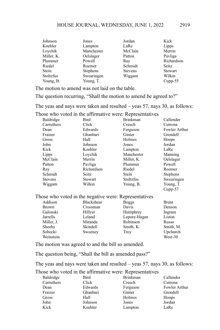| Johnson    | Jones           | Jordan         | Kick       |
|------------|-----------------|----------------|------------|
| Koehler    | Lampton         | LaRe           | Lipps      |
| Loychik    | Manchester      | McClain        | Merrin     |
| Miller, K. | Oelslager       | Patton         | Pavliga    |
| Plummer    | Powell          | Ray            | Richardson |
| Riedel     | Roemer          | Schmidt        | Seitz      |
| Stein      | <b>Stephens</b> | <b>Stevens</b> | Stewart    |
| Stoltzfus  | Swearingen      | Wiggam         | Wilkin     |
| Young, B.  | Young, T.       |                | $Cupp-55$  |

The motion to amend was not laid on the table.

The question recurring, "Shall the motion to amend be agreed to?"

The yeas and nays were taken and resulted – yeas 57, nays 30, as follows:

Those who voted in the affirmative were: Representatives

| Baldridge      | Bird           | <b>Brinkman</b>  | Callender       |
|----------------|----------------|------------------|-----------------|
| Carruthers     | Click          | Creech           | Cutrona         |
| Dean           | Edwards        | Ferguson         | Fowler Arthur   |
| Fraizer        | Ghanbari       | Ginter           | Grendell        |
| Gross          | Hall           | Holmes           | Hoops           |
| John           | Johnson        | Jones            | Jordan          |
| Kick           | Koehler        | Lampton          | LaRe            |
| Lipps          | Loychik        | Manchester       | Manning         |
| McClain        | Merrin         | Miller, K.       | Oelslager       |
| Patton         | Pavliga        | Plummer          | Powell          |
| Ray            | Richardson     | Riedel           | Roemer          |
| Schmidt        | Seitz          | <b>Stein</b>     | <b>Stephens</b> |
| <b>Stevens</b> | <b>Stewart</b> | <b>Stoltzfus</b> | Swearingen      |
| Wiggam         | Wilkin         | Young, B.        | Young, T.       |
|                |                |                  | $Cupp-57$       |

Those who voted in the negative were: Representatives

| Addison      | Blackshear | <b>Boggs</b> | <b>Brent</b> |
|--------------|------------|--------------|--------------|
| <b>Brown</b> | Crossman   | Davis        | Denson       |
| Galonski     | Hillyer    | Humphrey     | Ingram       |
| Jarrells     | Leland     | Lepore-Hagan | Liston       |
| Miller, J.   | Miranda    | Robinson     | Russo        |
| Sheehy       | Skindell   | Smith, K.    | Smith, M.    |
| Sobecki      | Sweeney    | <b>Troy</b>  | Upchurch     |
| Weinstein    |            |              | West-30      |

The motion was agreed to and the bill so amended.

The question being, "Shall the bill as amended pass?"

The yeas and nays were taken and resulted – yeas 57, nays 30, as follows:

| Baldridge  | Bird     | <b>Brinkman</b> | Callender     |
|------------|----------|-----------------|---------------|
| Carruthers | Click    | Creech          | Cutrona       |
| Dean       | Edwards  | Ferguson        | Fowler Arthur |
| Fraizer    | Ghanbari | Ginter          | Grendell      |
| Gross      | Hall     | Holmes          | Hoops         |
| John       | Johnson  | Jones           | Jordan        |
| Kick       | Koehler  | Lampton         | LaRe          |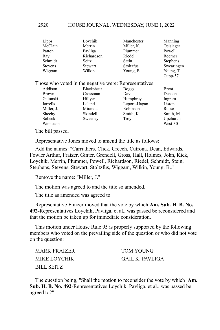| Lipps          | Lovchik    | Manchester               | Manning         |
|----------------|------------|--------------------------|-----------------|
| McClain        | Merrin     | Miller, K.               | Oelslager       |
| Patton         | Pavliga    | Plummer                  | Powell          |
| Ray            | Richardson | Riedel                   | Roemer          |
| Schmidt        | Seitz      | Stein                    | <b>Stephens</b> |
| <b>Stevens</b> | Stewart    | Stoltzfus                | Swearingen      |
| Wiggam         | Wilkin     | Young, B.                | Young, T.       |
|                |            |                          | $Cupp-57$       |
|                |            | <sup>n</sup><br>$\cdots$ |                 |

|              | Those who voted in the negative were: Representatives |              |              |
|--------------|-------------------------------------------------------|--------------|--------------|
| Addison      | Blackshear                                            | <b>Boggs</b> | <b>Brent</b> |
| <b>Brown</b> | Crossman                                              | Davis        | Denson       |
| Galonski     | Hillyer                                               | Humphrey     | Ingram       |
| Jarrells     | Leland                                                | Lepore-Hagan | Liston       |
| Miller, J.   | Miranda                                               | Robinson     | Russo        |
| Sheehy       | Skindell                                              | Smith, K.    | Smith, M.    |
| Sobecki      | Sweeney                                               | <b>Troy</b>  | Upchurch     |
| Weinstein    |                                                       |              | West-30      |

Representative Jones moved to amend the title as follows:

Add the names: "Carruthers, Click, Creech, Cutrona, Dean, Edwards, Fowler Arthur, Fraizer, Ginter, Grendell, Gross, Hall, Holmes, John, Kick, Loychik, Merrin, Plummer, Powell, Richardson, Riedel, Schmidt, Stein, Stephens, Stevens, Stewart, Stoltzfus, Wiggam, Wilkin, Young, B.."

Remove the name: "Miller, J."

The motion was agreed to and the title so amended.

The title as amended was agreed to.

Representative Fraizer moved that the vote by which **Am. Sub. H. B. No. 492-**Representatives Loychik, Pavliga, et al., was passed be reconsidered and that the motion be taken up for immediate consideration.

This motion under House Rule 95 is properly supported by the following members who voted on the prevailing side of the question or who did not vote on the question:

| MARK FRAIZER | <b>TOM YOUNG</b> |
|--------------|------------------|
| MIKE LOYCHIK | GAIL K. PAVLIGA  |
| BILL SEITZ   |                  |

The question being, "Shall the motion to reconsider the vote by which **Am. Sub. H. B. No. 492**-Representatives Loychik, Pavliga, et al., was passed be agreed to?"

2920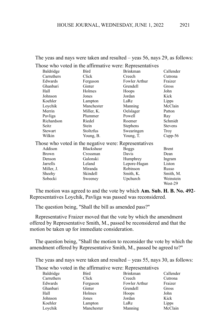|              |                                                       | Those who voted in the affirmative were: Representatives |                |
|--------------|-------------------------------------------------------|----------------------------------------------------------|----------------|
| Baldridge    | Bird                                                  | <b>Brinkman</b>                                          | Callender      |
| Carruthers   | Click                                                 | Creech                                                   | Cutrona        |
| Edwards      | Ferguson                                              | Fowler Arthur                                            | Fraizer        |
| Ghanbari     | Ginter                                                | Grendell                                                 | Gross          |
| Hall         | Holmes                                                | Hoops                                                    | John           |
| Johnson      | Jones                                                 | Jordan                                                   | Kick           |
| Koehler      | Lampton                                               | LaRe                                                     | Lipps          |
| Loychik      | Manchester                                            | Manning                                                  | McClain        |
| Merrin       | Miller, K.                                            | Oelslager                                                | Patton         |
| Pavliga      | Plummer                                               | Powell                                                   | Ray            |
| Richardson   | Riedel                                                | Roemer                                                   | Schmidt        |
| Seitz        | Stein                                                 | <b>Stephens</b>                                          | <b>Stevens</b> |
| Stewart      | Stoltzfus                                             | Swearingen                                               | Troy           |
| Wilkin       | Young, B.                                             | Young, T.                                                | Cupp-56        |
|              | Those who voted in the negative were: Representatives |                                                          |                |
| Addison      | <b>Blackshear</b>                                     | <b>Boggs</b>                                             | <b>Brent</b>   |
| <b>Brown</b> | Crossman                                              | Davis                                                    | Dean           |
| Denson       | Galonski                                              | Humphrey                                                 | Ingram         |
| Jarrells     | Leland                                                | Lepore-Hagan                                             | Liston         |
| Miller, J.   | Miranda                                               | Robinson                                                 | Russo          |
| Sheehy       | Skindell                                              | Smith, K.                                                | Smith, M.      |
| Sobecki      | Sweeney                                               | Upchurch                                                 | Weinstein      |
|              |                                                       |                                                          | West-29        |

The yeas and nays were taken and resulted – yeas 56, nays 29, as follows:

The motion was agreed to and the vote by which **Am. Sub. H. B. No. 492**- Representatives Loychik, Pavliga was passed was reconsidered.

The question being, "Shall the bill as amended pass?"

Representative Fraizer moved that the vote by which the amendment offered by Representative Smith, M., passed be reconsidered and that the motion be taken up for immediate consideration.

 The question being, "Shall the motion to reconsider the vote by which the amendment offered by Representative Smith, M., passed be agreed to?"

The yeas and nays were taken and resulted – yeas 55, nays 30, as follows:

| Bird       | <b>Brinkman</b> | Callender |
|------------|-----------------|-----------|
| Click      | Creech          | Cutrona   |
| Ferguson   | Fowler Arthur   | Fraizer   |
| Ginter     | Grendell        | Gross     |
| Holmes     | Hoops           | John      |
| Jones      | Jordan          | Kick      |
| Lampton    | LaRe            | Lipps     |
| Manchester | Manning         | McClain   |
|            |                 |           |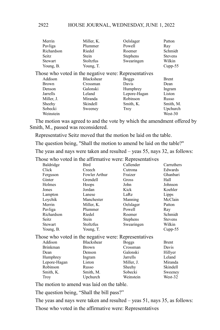| Merrin       | Miller, K.                                            | Oelslager       | Patton         |
|--------------|-------------------------------------------------------|-----------------|----------------|
| Pavliga      | Plummer                                               | Powell          | Ray            |
| Richardson   | Riedel                                                | Roemer          | Schmidt        |
| <b>Seitz</b> | <b>Stein</b>                                          | <b>Stephens</b> | <b>Stevens</b> |
| Stewart      | Stoltzfus                                             | Swearingen      | Wilkin         |
| Young, B.    | Young, T.                                             |                 | $Cupp-55$      |
|              | Those who voted in the negative were: Representatives |                 |                |
| Addison      | <b>Blackshear</b>                                     | <b>Boggs</b>    | <b>Brent</b>   |
| <b>Brown</b> | Crossman                                              | Davis           | Dean           |
| Denson       | Galonski                                              | Humphrey        | Ingram         |
| Jarrells     | Leland                                                | Lepore-Hagan    | Liston         |
| Miller, J.   | Miranda                                               | Robinson        | Russo          |
| Sheehy       | Skindell                                              | Smith, K.       | Smith, M.      |
| Sobecki      | Sweeney                                               | <b>Troy</b>     | Upchurch       |
| Weinstein    |                                                       |                 | West-30        |

The motion was agreed to and the vote by which the amendment offered by Smith, M., passed was reconsidered.

Representative Seitz moved that the motion be laid on the table.

The question being, "Shall the motion to amend be laid on the table?"

The yeas and nays were taken and resulted – yeas 55, nays 32, as follows:

| Those who voted in the affirmative were: Representatives |  |  |  |  |  |  |
|----------------------------------------------------------|--|--|--|--|--|--|
|----------------------------------------------------------|--|--|--|--|--|--|

| Baldridge                                             | Bird             | Callender       | Carruthers     |
|-------------------------------------------------------|------------------|-----------------|----------------|
| Click                                                 | Creech           | Cutrona         | Edwards        |
| Ferguson                                              | Fowler Arthur    | Fraizer         | Ghanbari       |
| Ginter                                                | Grendell         | Gross           | Hall           |
| Holmes                                                | Hoops            | John            | Johnson        |
| Jones                                                 | Jordan           | Kick            | Koehler        |
| Lampton                                               | Lanese           | LaRe            | Lipps          |
| Loychik                                               | Manchester       | Manning         | McClain        |
| Merrin                                                | Miller, K.       | Oelslager       | Patton         |
| Pavliga                                               | Plummer          | Powell          | Ray            |
| Richardson                                            | Riedel           | Roemer          | Schmidt        |
| Seitz                                                 | Stein            | <b>Stephens</b> | <b>Stevens</b> |
| Stewart                                               | <b>Stoltzfus</b> | Swearingen      | Wilkin         |
| Young, B.                                             | Young, T.        |                 | $Cupp-55$      |
| Those who voted in the negative were: Representatives |                  |                 |                |
| Addison                                               | Blackshear       | <b>Boggs</b>    | <b>Brent</b>   |
| n ' 1                                                 | $\mathbf{r}$     |                 | n ·            |

| <b>Brinkman</b> | <b>Brown</b> | Crossman   | Davis           |
|-----------------|--------------|------------|-----------------|
| Dean            | Denson       | Galonski   | Hillyer         |
| Humphrey        | Ingram       | Jarrells   | Leland          |
| Lepore-Hagan    | Liston       | Miller, J. | Miranda         |
| Robinson        | Russo        | Sheehy     | <b>Skindell</b> |
| Smith, K.       | Smith, M.    | Sobecki    | Sweeney         |
| <b>Troy</b>     | Upchurch     | Weinstein  | West-32         |
|                 |              |            |                 |

The motion to amend was laid on the table.

The question being, "Shall the bill pass?"

The yeas and nays were taken and resulted – yeas 51, nays 35, as follows: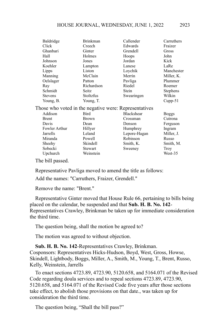|                                                       | Baldridge      | <b>Brinkman</b>  | Callender         | Carruthers |  |
|-------------------------------------------------------|----------------|------------------|-------------------|------------|--|
|                                                       | Click          | Creech           | Edwards           | Fraizer    |  |
|                                                       | Ghanbari       | Ginter           | Grendell          | Gross      |  |
|                                                       | Hall           | Holmes           | Hoops             | John       |  |
|                                                       | Johnson        | Jones            | Jordan            | Kick       |  |
|                                                       | Koehler        | Lampton          | Lanese            | LaRe       |  |
|                                                       | Lipps          | Liston           | Loychik           | Manchester |  |
|                                                       | Manning        | McClain          | Merrin            | Miller, K. |  |
|                                                       | Oelslager      | Patton           | Pavliga           | Plummer    |  |
|                                                       | Ray            | Richardson       | Riedel            | Roemer     |  |
|                                                       | Schmidt        | Seitz            | Stein             | Stephens   |  |
|                                                       | <b>Stevens</b> | <b>Stoltzfus</b> | Swearingen        | Wilkin     |  |
|                                                       | Young, B.      | Young, T.        |                   | $Cupp-51$  |  |
| Those who voted in the negative were: Representatives |                |                  |                   |            |  |
|                                                       | Addison        | <b>Bird</b>      | <b>Blackshear</b> | Boggs      |  |
|                                                       | <b>Brent</b>   | <b>Brown</b>     | Crossman          | Cutrona    |  |
|                                                       | Davis          | Dean             | Denson            | Ferguson   |  |
|                                                       | Fowler Arthur  | Hillyer          | Humphrey          | Ingram     |  |
|                                                       | Jarrells       | Leland           | Lepore-Hagan      | Miller, J. |  |
|                                                       | Miranda        | Powell           | Robinson          | Russo      |  |
|                                                       | Sheehy         | Skindell         | Smith, K.         | Smith, M.  |  |
|                                                       | Sobecki        | Stewart          | Sweeney           | Troy       |  |
|                                                       | Upchurch       | Weinstein        |                   | West-35    |  |
|                                                       |                |                  |                   |            |  |

Representative Pavliga moved to amend the title as follows:

Add the names: "Carruthers, Fraizer, Grendell."

Remove the name: "Brent."

Representative Ginter moved that House Rule 66, pertaining to bills being placed on the calendar, be suspended and that **Sub. H. B. No. 142**- Representatives Crawley, Brinkman be taken up for immediate consideration the third time.

The question being, shall the motion be agreed to?

The motion was agreed to without objection.

**Sub. H. B. No. 142**-Representatives Crawley, Brinkman. Cosponsors: Representatives Hicks-Hudson, Boyd, West, Gross, Howse, Skindell, Lightbody, Boggs, Miller, A., Smith, M., Young, T., Brent, Russo, Kelly, Weinstein, Jarrells

To enact sections 4723.89, 4723.90, 5120.658, and 5164.071 of the Revised Code regarding doula services and to repeal sections 4723.89, 4723.90, 5120.658, and 5164.071 of the Revised Code five years after those sections take effect, to abolish those provisions on that date., was taken up for consideration the third time.

The question being, "Shall the bill pass?"